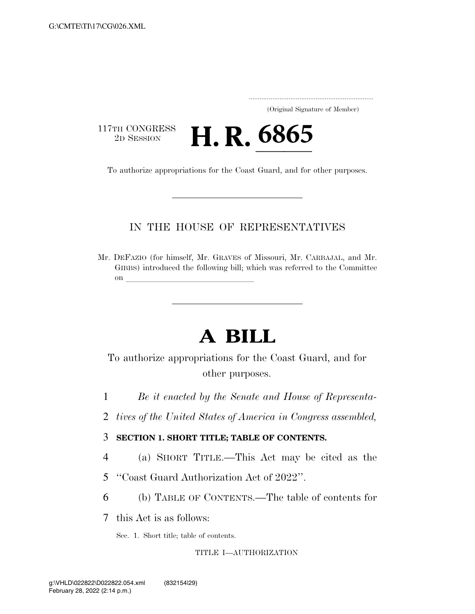..................................................................... (Original Signature of Member)

117TH CONGRESS<br>2D SESSION

<sup>7TH CONGRESS</sup> **H. R. 6865**<br>To authorize appropriations for the Coast Guard, and for other purposes.

### IN THE HOUSE OF REPRESENTATIVES

Mr. DEFAZIO (for himself, Mr. GRAVES of Missouri, Mr. CARBAJAL, and Mr. GIBBS) introduced the following bill; which was referred to the Committee on **later and later and later and later and later and later and later and later and later**  $\alpha$ 

# **A BILL**

To authorize appropriations for the Coast Guard, and for other purposes.

- 1 *Be it enacted by the Senate and House of Representa-*
- 2 *tives of the United States of America in Congress assembled,*

### 3 **SECTION 1. SHORT TITLE; TABLE OF CONTENTS.**

- 4 (a) SHORT TITLE.—This Act may be cited as the
- 5 ''Coast Guard Authorization Act of 2022''.
- 6 (b) TABLE OF CONTENTS.—The table of contents for

7 this Act is as follows:

Sec. 1. Short title; table of contents.

### TITLE I—AUTHORIZATION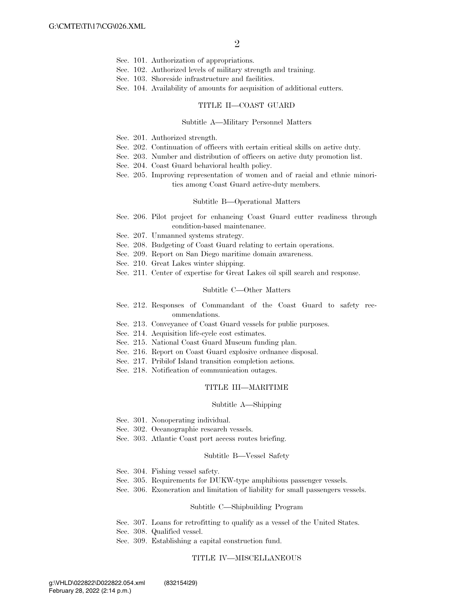- Sec. 101. Authorization of appropriations.
- Sec. 102. Authorized levels of military strength and training.
- Sec. 103. Shoreside infrastructure and facilities.
- Sec. 104. Availability of amounts for acquisition of additional cutters.

#### TITLE II—COAST GUARD

### Subtitle A—Military Personnel Matters

- Sec. 201. Authorized strength.
- Sec. 202. Continuation of officers with certain critical skills on active duty.
- Sec. 203. Number and distribution of officers on active duty promotion list.
- Sec. 204. Coast Guard behavioral health policy.
- Sec. 205. Improving representation of women and of racial and ethnic minorities among Coast Guard active-duty members.

### Subtitle B—Operational Matters

- Sec. 206. Pilot project for enhancing Coast Guard cutter readiness through condition-based maintenance.
- Sec. 207. Unmanned systems strategy.
- Sec. 208. Budgeting of Coast Guard relating to certain operations.
- Sec. 209. Report on San Diego maritime domain awareness.
- Sec. 210. Great Lakes winter shipping.
- Sec. 211. Center of expertise for Great Lakes oil spill search and response.

#### Subtitle C—Other Matters

- Sec. 212. Responses of Commandant of the Coast Guard to safety recommendations.
- Sec. 213. Conveyance of Coast Guard vessels for public purposes.
- Sec. 214. Acquisition life-cycle cost estimates.
- Sec. 215. National Coast Guard Museum funding plan.
- Sec. 216. Report on Coast Guard explosive ordnance disposal.
- Sec. 217. Pribilof Island transition completion actions.
- Sec. 218. Notification of communication outages.

### TITLE III—MARITIME

#### Subtitle A—Shipping

- Sec. 301. Nonoperating individual.
- Sec. 302. Oceanographic research vessels.
- Sec. 303. Atlantic Coast port access routes briefing.

#### Subtitle B—Vessel Safety

- Sec. 304. Fishing vessel safety.
- Sec. 305. Requirements for DUKW-type amphibious passenger vessels.
- Sec. 306. Exoneration and limitation of liability for small passengers vessels.

### Subtitle C—Shipbuilding Program

- Sec. 307. Loans for retrofitting to qualify as a vessel of the United States.
- Sec. 308. Qualified vessel.
- Sec. 309. Establishing a capital construction fund.

### TITLE IV—MISCELLANEOUS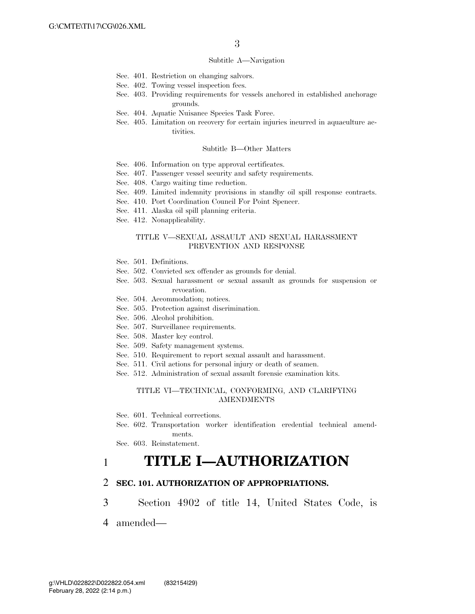#### Subtitle A—Navigation

- Sec. 401. Restriction on changing salvors.
- Sec. 402. Towing vessel inspection fees.
- Sec. 403. Providing requirements for vessels anchored in established anchorage grounds.
- Sec. 404. Aquatic Nuisance Species Task Force.
- Sec. 405. Limitation on recovery for certain injuries incurred in aquaculture activities.

### Subtitle B—Other Matters

- Sec. 406. Information on type approval certificates.
- Sec. 407. Passenger vessel security and safety requirements.
- Sec. 408. Cargo waiting time reduction.
- Sec. 409. Limited indemnity provisions in standby oil spill response contracts.
- Sec. 410. Port Coordination Council For Point Spencer.
- Sec. 411. Alaska oil spill planning criteria.
- Sec. 412. Nonapplicability.

### TITLE V—SEXUAL ASSAULT AND SEXUAL HARASSMENT PREVENTION AND RESPONSE

- Sec. 501. Definitions.
- Sec. 502. Convicted sex offender as grounds for denial.
- Sec. 503. Sexual harassment or sexual assault as grounds for suspension or revocation.
- Sec. 504. Accommodation; notices.
- Sec. 505. Protection against discrimination.
- Sec. 506. Alcohol prohibition.
- Sec. 507. Surveillance requirements.
- Sec. 508. Master key control.
- Sec. 509. Safety management systems.
- Sec. 510. Requirement to report sexual assault and harassment.
- Sec. 511. Civil actions for personal injury or death of seamen.
- Sec. 512. Administration of sexual assault forensic examination kits.

### TITLE VI—TECHNICAL, CONFORMING, AND CLARIFYING AMENDMENTS

- Sec. 601. Technical corrections.
- Sec. 602. Transportation worker identification credential technical amendments.

Sec. 603. Reinstatement.

### 1 **TITLE I—AUTHORIZATION**

### 2 **SEC. 101. AUTHORIZATION OF APPROPRIATIONS.**

- 3 Section 4902 of title 14, United States Code, is
- 4 amended—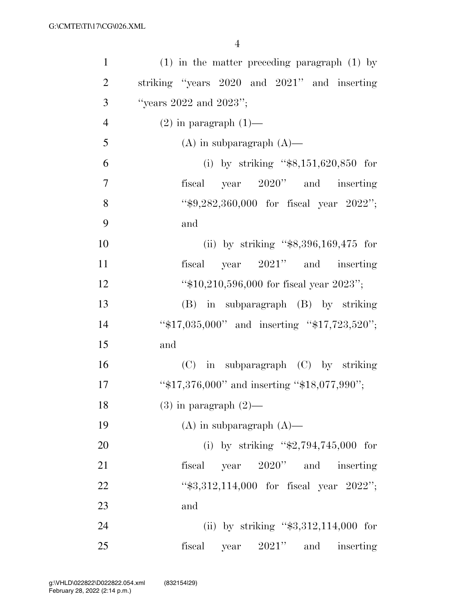| $\mathbf{1}$   | $(1)$ in the matter preceding paragraph $(1)$ by |
|----------------|--------------------------------------------------|
| $\overline{2}$ | striking "years 2020 and 2021" and inserting     |
| 3              | "years $2022$ and $2023"$ ;                      |
| $\overline{4}$ | $(2)$ in paragraph $(1)$ —                       |
| 5              | $(A)$ in subparagraph $(A)$ —                    |
| 6              | (i) by striking " $$8,151,620,850$ for           |
| $\overline{7}$ | fiscal year 2020" and inserting                  |
| 8              | " $$9,282,360,000$ for fiscal year $2022$ ";     |
| 9              | and                                              |
| 10             | (ii) by striking " $$8,396,169,475$ for          |
| 11             | fiscal year $2021$ " and inserting               |
| 12             | " $$10,210,596,000$ for fiscal year $2023$ ";    |
| 13             | (B) in subparagraph (B) by striking              |
| 14             | "\$17,035,000" and inserting "\$17,723,520";     |
| 15             | and                                              |
| 16             | (C) in subparagraph (C) by striking              |
| 17             | "\$17,376,000" and inserting "\$18,077,990";     |
| 18             | $(3)$ in paragraph $(2)$ —                       |
| 19             | $(A)$ in subparagraph $(A)$ —                    |
| 20             | (i) by striking " $$2,794,745,000$ for           |
| 21             | fiscal year 2020" and inserting                  |
| 22             | "\$3,312,114,000 for fiscal year 2022";          |
| 23             | and                                              |
| 24             | (ii) by striking " $$3,312,114,000$ for          |
| 25             | fiscal year 2021" and inserting                  |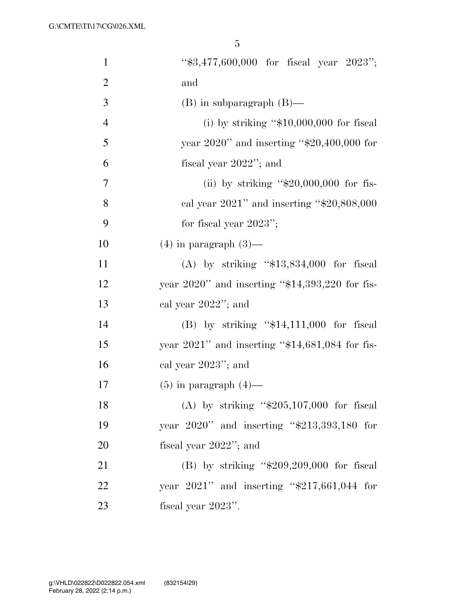| $\mathbf{1}$   | " $$3,477,600,000$ for fiscal year $2023$ ";       |
|----------------|----------------------------------------------------|
| $\overline{2}$ | and                                                |
| 3              | $(B)$ in subparagraph $(B)$ —                      |
| $\overline{4}$ | (i) by striking " $$10,000,000$ for fiscal         |
| 5              | year $2020$ " and inserting "\$20,400,000 for      |
| 6              | fiscal year $2022$ "; and                          |
| 7              | (ii) by striking " $$20,000,000$ for fis-          |
| 8              | cal year $2021$ " and inserting " $$20,808,000$    |
| 9              | for fiscal year $2023$ ";                          |
| 10             | $(4)$ in paragraph $(3)$ —                         |
| 11             | (A) by striking " $$13,834,000$ for fiscal         |
| 12             | year $2020$ " and inserting "\$14,393,220 for fis- |
| 13             | cal year $2022$ "; and                             |
| 14             | $(B)$ by striking "\$14,111,000 for fiscal         |
| 15             | year $2021$ " and inserting "\$14,681,084 for fis- |
| 16             | cal year $2023$ "; and                             |
| 17             | $(5)$ in paragraph $(4)$ —                         |
| 18             | (A) by striking " $$205,107,000$ for fiscal        |
| 19             | year $2020"$ and inserting "\$213,393,180 for      |
| 20             | fiscal year $2022$ "; and                          |
| 21             | (B) by striking " $$209,209,000$ for fiscal        |
| 22             | year $2021$ " and inserting "\$217,661,044 for     |
| 23             | fiscal year 2023".                                 |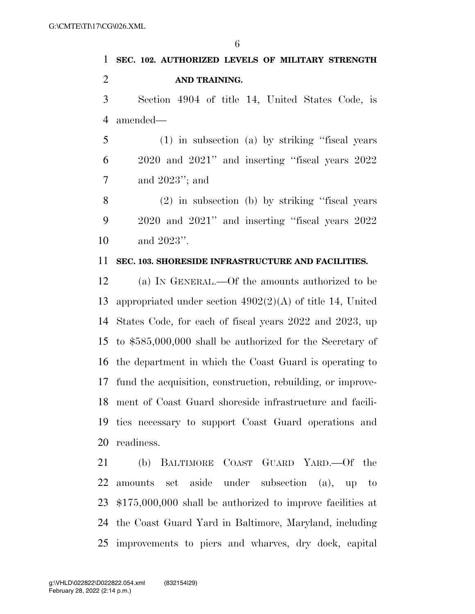# **SEC. 102. AUTHORIZED LEVELS OF MILITARY STRENGTH AND TRAINING.**

 Section 4904 of title 14, United States Code, is amended—

 (1) in subsection (a) by striking ''fiscal years 2020 and 2021'' and inserting ''fiscal years 2022 and 2023''; and

 (2) in subsection (b) by striking ''fiscal years 2020 and 2021'' and inserting ''fiscal years 2022 and 2023''.

### **SEC. 103. SHORESIDE INFRASTRUCTURE AND FACILITIES.**

 (a) IN GENERAL.—Of the amounts authorized to be appropriated under section 4902(2)(A) of title 14, United States Code, for each of fiscal years 2022 and 2023, up to \$585,000,000 shall be authorized for the Secretary of the department in which the Coast Guard is operating to fund the acquisition, construction, rebuilding, or improve- ment of Coast Guard shoreside infrastructure and facili- ties necessary to support Coast Guard operations and readiness.

 (b) BALTIMORE COAST GUARD YARD.—Of the amounts set aside under subsection (a), up to \$175,000,000 shall be authorized to improve facilities at the Coast Guard Yard in Baltimore, Maryland, including improvements to piers and wharves, dry dock, capital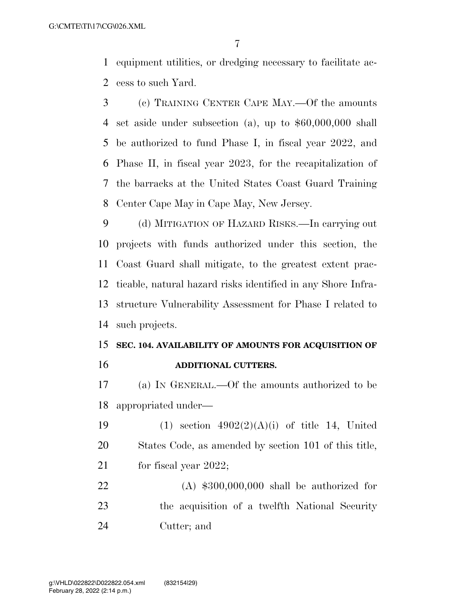equipment utilities, or dredging necessary to facilitate ac-cess to such Yard.

 (c) TRAINING CENTER CAPE MAY.—Of the amounts set aside under subsection (a), up to \$60,000,000 shall be authorized to fund Phase I, in fiscal year 2022, and Phase II, in fiscal year 2023, for the recapitalization of the barracks at the United States Coast Guard Training Center Cape May in Cape May, New Jersey.

 (d) MITIGATION OF HAZARD RISKS.—In carrying out projects with funds authorized under this section, the Coast Guard shall mitigate, to the greatest extent prac- ticable, natural hazard risks identified in any Shore Infra- structure Vulnerability Assessment for Phase I related to such projects.

### **SEC. 104. AVAILABILITY OF AMOUNTS FOR ACQUISITION OF ADDITIONAL CUTTERS.**

 (a) IN GENERAL.—Of the amounts authorized to be appropriated under—

19 (1) section  $4902(2)(A)(i)$  of title 14, United States Code, as amended by section 101 of this title, 21 for fiscal year 2022;

 (A) \$300,000,000 shall be authorized for the acquisition of a twelfth National Security Cutter; and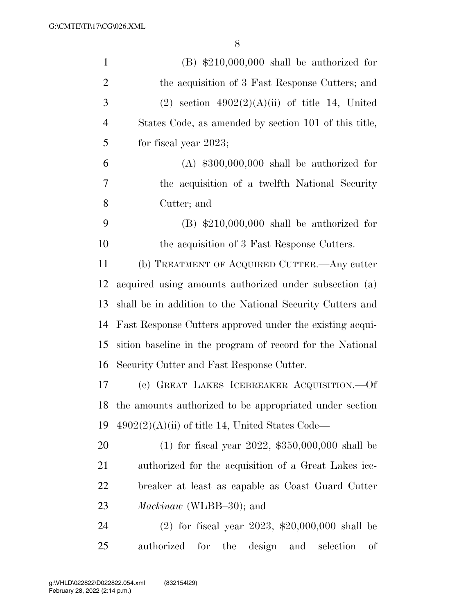| $\mathbf{1}$   | $(B)$ \$210,000,000 shall be authorized for                  |
|----------------|--------------------------------------------------------------|
| $\overline{2}$ | the acquisition of 3 Fast Response Cutters; and              |
| 3              | $(2)$ section $4902(2)(A)(ii)$ of title 14, United           |
| $\overline{4}$ | States Code, as amended by section 101 of this title,        |
| 5              | for fiscal year $2023$ ;                                     |
| 6              | $(A)$ \$300,000,000 shall be authorized for                  |
| 7              | the acquisition of a twelfth National Security               |
| 8              | Cutter; and                                                  |
| 9              | $(B)$ \$210,000,000 shall be authorized for                  |
| 10             | the acquisition of 3 Fast Response Cutters.                  |
| 11             | (b) TREATMENT OF ACQUIRED CUTTER.—Any cutter                 |
| 12             | acquired using amounts authorized under subsection (a)       |
| 13             | shall be in addition to the National Security Cutters and    |
| 14             | Fast Response Cutters approved under the existing acqui-     |
| 15             | sition baseline in the program of record for the National    |
| 16             | Security Cutter and Fast Response Cutter.                    |
| 17             | (c) GREAT LAKES ICEBREAKER ACQUISITION. Of                   |
| 18             | the amounts authorized to be appropriated under section      |
| 19             | $4902(2)(A)(ii)$ of title 14, United States Code—            |
| 20             | (1) for fiscal year 2022, $$350,000,000$ shall be            |
| 21             | authorized for the acquisition of a Great Lakes ice-         |
| 22             | breaker at least as capable as Coast Guard Cutter            |
| 23             | <i>Mackinaw</i> (WLBB-30); and                               |
| 24             | $(2)$ for fiscal year 2023, \$20,000,000 shall be            |
| 25             | design<br>authorized<br>for<br>the<br>selection<br>and<br>οf |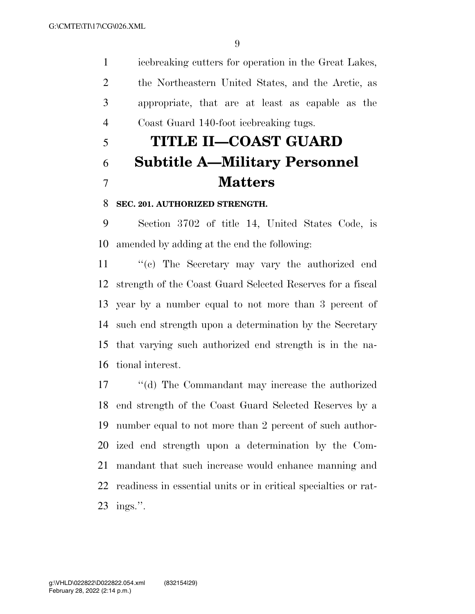icebreaking cutters for operation in the Great Lakes, the Northeastern United States, and the Arctic, as appropriate, that are at least as capable as the Coast Guard 140-foot icebreaking tugs.

# **TITLE II—COAST GUARD Subtitle A—Military Personnel Matters**

### **SEC. 201. AUTHORIZED STRENGTH.**

 Section 3702 of title 14, United States Code, is amended by adding at the end the following:

 ''(c) The Secretary may vary the authorized end strength of the Coast Guard Selected Reserves for a fiscal year by a number equal to not more than 3 percent of such end strength upon a determination by the Secretary that varying such authorized end strength is in the na-tional interest.

 ''(d) The Commandant may increase the authorized end strength of the Coast Guard Selected Reserves by a number equal to not more than 2 percent of such author- ized end strength upon a determination by the Com- mandant that such increase would enhance manning and readiness in essential units or in critical specialties or rat-ings.''.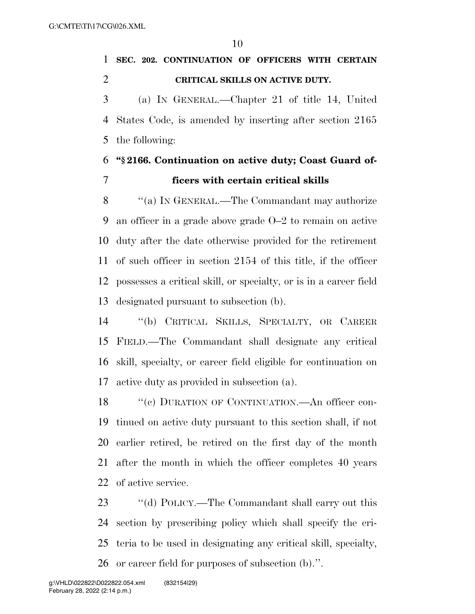**SEC. 202. CONTINUATION OF OFFICERS WITH CERTAIN CRITICAL SKILLS ON ACTIVE DUTY.** 

 (a) IN GENERAL.—Chapter 21 of title 14, United States Code, is amended by inserting after section 2165 the following:

### **''§ 2166. Continuation on active duty; Coast Guard of-ficers with certain critical skills**

8 "(a) IN GENERAL.—The Commandant may authorize an officer in a grade above grade O–2 to remain on active duty after the date otherwise provided for the retirement of such officer in section 2154 of this title, if the officer possesses a critical skill, or specialty, or is in a career field designated pursuant to subsection (b).

 ''(b) CRITICAL SKILLS, SPECIALTY, OR CAREER FIELD.—The Commandant shall designate any critical skill, specialty, or career field eligible for continuation on active duty as provided in subsection (a).

18 "(c) DURATION OF CONTINUATION.—An officer con- tinued on active duty pursuant to this section shall, if not earlier retired, be retired on the first day of the month after the month in which the officer completes 40 years of active service.

23 "(d) POLICY.—The Commandant shall carry out this section by prescribing policy which shall specify the cri- teria to be used in designating any critical skill, specialty, or career field for purposes of subsection (b).''.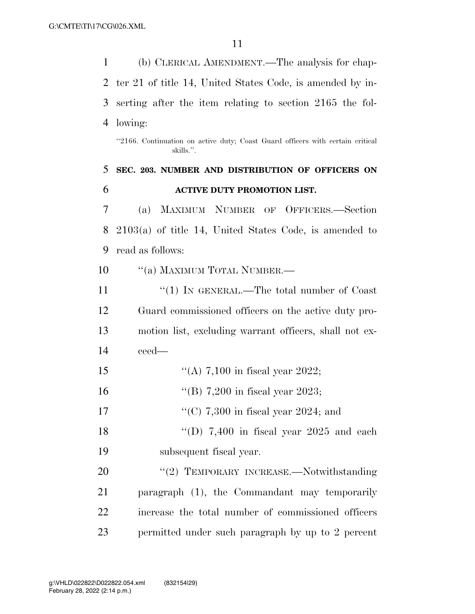(b) CLERICAL AMENDMENT.—The analysis for chap- ter 21 of title 14, United States Code, is amended by in- serting after the item relating to section 2165 the fol- lowing: ''2166. Continuation on active duty; Coast Guard officers with certain critical skills.''. **SEC. 203. NUMBER AND DISTRIBUTION OF OFFICERS ON ACTIVE DUTY PROMOTION LIST.**  (a) MAXIMUM NUMBER OF OFFICERS.—Section 2103(a) of title 14, United States Code, is amended to read as follows: 10 <sup>"</sup>(a) MAXIMUM TOTAL NUMBER.— 11 ''(1) IN GENERAL.—The total number of Coast Guard commissioned officers on the active duty pro- motion list, excluding warrant officers, shall not ex- ceed—  $\frac{1}{2}$  (A) 7,100 in fiscal year 2022; ''(B) 7,200 in fiscal year 2023;  $\frac{17}{(C)}$  7,300 in fiscal year 2024; and 18 "(D) 7,400 in fiscal year 2025 and each subsequent fiscal year. 20 "(2) TEMPORARY INCREASE.—Notwithstanding paragraph (1), the Commandant may temporarily increase the total number of commissioned officers permitted under such paragraph by up to 2 percent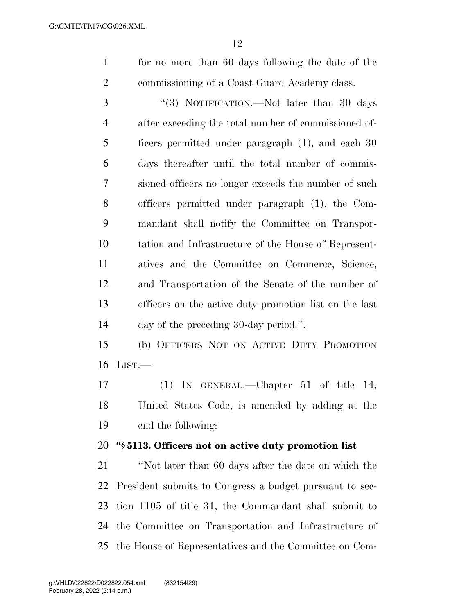for no more than 60 days following the date of the commissioning of a Coast Guard Academy class.

3 "(3) NOTIFICATION.—Not later than 30 days after exceeding the total number of commissioned of- ficers permitted under paragraph (1), and each 30 days thereafter until the total number of commis- sioned officers no longer exceeds the number of such officers permitted under paragraph (1), the Com- mandant shall notify the Committee on Transpor- tation and Infrastructure of the House of Represent- atives and the Committee on Commerce, Science, and Transportation of the Senate of the number of officers on the active duty promotion list on the last day of the preceding 30-day period.''.

 (b) OFFICERS NOT ON ACTIVE DUTY PROMOTION LIST.—

 (1) IN GENERAL.—Chapter 51 of title 14, United States Code, is amended by adding at the end the following:

### **''§ 5113. Officers not on active duty promotion list**

 ''Not later than 60 days after the date on which the President submits to Congress a budget pursuant to sec- tion 1105 of title 31, the Commandant shall submit to the Committee on Transportation and Infrastructure of the House of Representatives and the Committee on Com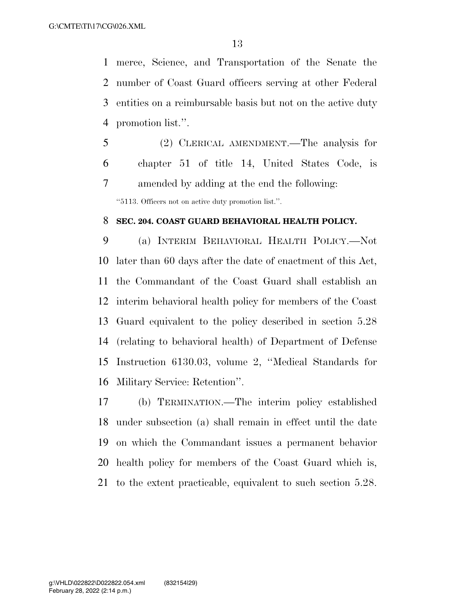merce, Science, and Transportation of the Senate the number of Coast Guard officers serving at other Federal entities on a reimbursable basis but not on the active duty promotion list.''.

 (2) CLERICAL AMENDMENT.—The analysis for chapter 51 of title 14, United States Code, is amended by adding at the end the following:

''5113. Officers not on active duty promotion list.''.

### **SEC. 204. COAST GUARD BEHAVIORAL HEALTH POLICY.**

 (a) INTERIM BEHAVIORAL HEALTH POLICY.—Not later than 60 days after the date of enactment of this Act, the Commandant of the Coast Guard shall establish an interim behavioral health policy for members of the Coast Guard equivalent to the policy described in section 5.28 (relating to behavioral health) of Department of Defense Instruction 6130.03, volume 2, ''Medical Standards for Military Service: Retention''.

 (b) TERMINATION.—The interim policy established under subsection (a) shall remain in effect until the date on which the Commandant issues a permanent behavior health policy for members of the Coast Guard which is, to the extent practicable, equivalent to such section 5.28.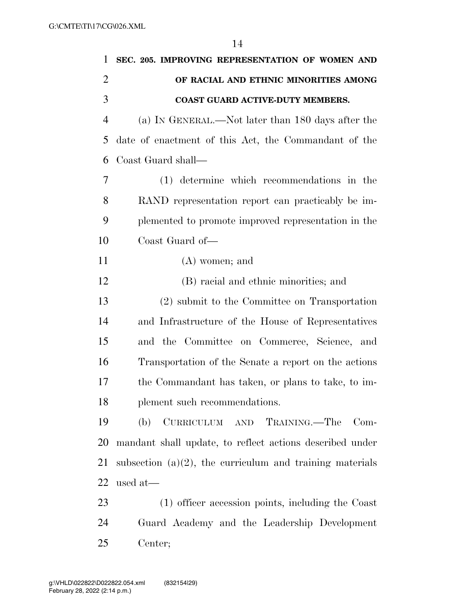| $\mathbf{1}$   | SEC. 205. IMPROVING REPRESENTATION OF WOMEN AND             |
|----------------|-------------------------------------------------------------|
| $\overline{2}$ | OF RACIAL AND ETHNIC MINORITIES AMONG                       |
| 3              | COAST GUARD ACTIVE-DUTY MEMBERS.                            |
| $\overline{4}$ | (a) IN GENERAL.—Not later than 180 days after the           |
| 5              | date of enactment of this Act, the Commandant of the        |
| 6              | Coast Guard shall—                                          |
| 7              | (1) determine which recommendations in the                  |
| 8              | RAND representation report can practicably be im-           |
| 9              | plemented to promote improved representation in the         |
| 10             | Coast Guard of-                                             |
| 11             | $(A)$ women; and                                            |
| 12             | (B) racial and ethnic minorities; and                       |
| 13             | (2) submit to the Committee on Transportation               |
| 14             | and Infrastructure of the House of Representatives          |
| 15             | and the Committee on Commerce, Science, and                 |
| 16             | Transportation of the Senate a report on the actions        |
| 17             | the Commandant has taken, or plans to take, to im-          |
| 18             | plement such recommendations.                               |
| 19             | (b)<br>CURRICULUM AND TRAINING.—The Com-                    |
| 20             | mandant shall update, to reflect actions described under    |
| 21             | subsection $(a)(2)$ , the curriculum and training materials |
| 22             | used at-                                                    |
| 23             | (1) officer accession points, including the Coast           |
| 24             | Guard Academy and the Leadership Development                |
| 25             | Center;                                                     |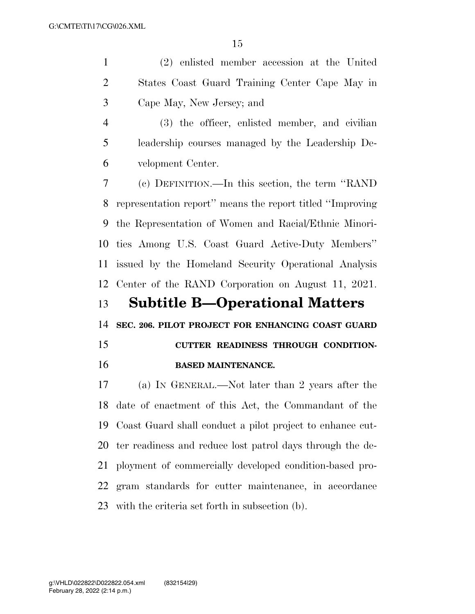(2) enlisted member accession at the United States Coast Guard Training Center Cape May in Cape May, New Jersey; and

 (3) the officer, enlisted member, and civilian leadership courses managed by the Leadership De-velopment Center.

 (c) DEFINITION.—In this section, the term ''RAND representation report'' means the report titled ''Improving the Representation of Women and Racial/Ethnic Minori- ties Among U.S. Coast Guard Active-Duty Members'' issued by the Homeland Security Operational Analysis Center of the RAND Corporation on August 11, 2021.

**Subtitle B—Operational Matters** 

**SEC. 206. PILOT PROJECT FOR ENHANCING COAST GUARD** 

## **CUTTER READINESS THROUGH CONDITION-BASED MAINTENANCE.**

 (a) IN GENERAL.—Not later than 2 years after the date of enactment of this Act, the Commandant of the Coast Guard shall conduct a pilot project to enhance cut- ter readiness and reduce lost patrol days through the de- ployment of commercially developed condition-based pro- gram standards for cutter maintenance, in accordance with the criteria set forth in subsection (b).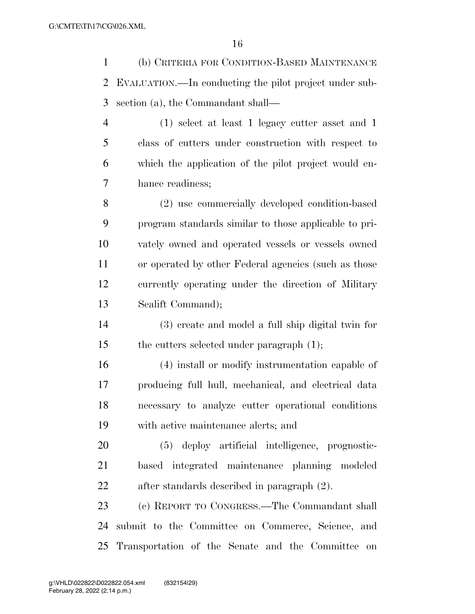(b) CRITERIA FOR CONDITION-BASED MAINTENANCE EVALUATION.—In conducting the pilot project under sub-section (a), the Commandant shall—

 (1) select at least 1 legacy cutter asset and 1 class of cutters under construction with respect to which the application of the pilot project would en-hance readiness;

 (2) use commercially developed condition-based program standards similar to those applicable to pri- vately owned and operated vessels or vessels owned or operated by other Federal agencies (such as those currently operating under the direction of Military Sealift Command);

 (3) create and model a full ship digital twin for the cutters selected under paragraph (1);

 (4) install or modify instrumentation capable of producing full hull, mechanical, and electrical data necessary to analyze cutter operational conditions with active maintenance alerts; and

 (5) deploy artificial intelligence, prognostic- based integrated maintenance planning modeled after standards described in paragraph (2).

 (c) REPORT TO CONGRESS.—The Commandant shall submit to the Committee on Commerce, Science, and Transportation of the Senate and the Committee on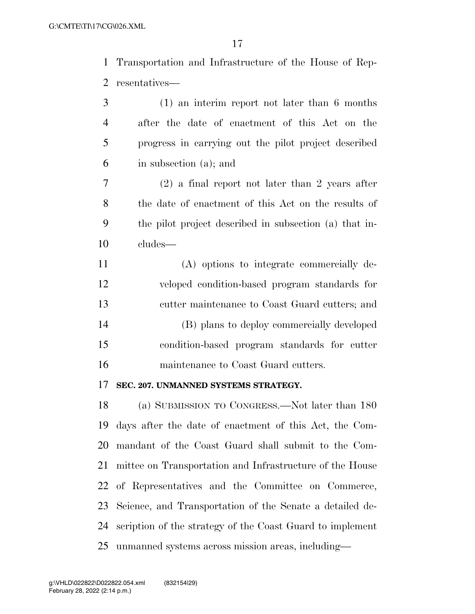Transportation and Infrastructure of the House of Rep-resentatives—

| 3              | $(1)$ an interim report not later than 6 months        |
|----------------|--------------------------------------------------------|
| $\overline{4}$ | after the date of enactment of this Act on the         |
| 5              | progress in carrying out the pilot project described   |
| 6              | in subsection (a); and                                 |
| 7              | $(2)$ a final report not later than 2 years after      |
| 8              | the date of enactment of this Act on the results of    |
| 9              | the pilot project described in subsection (a) that in- |
| 10             | cludes-                                                |
| 11             | (A) options to integrate commercially de-              |
| 12             | veloped condition-based program standards for          |
| 13             | cutter maintenance to Coast Guard cutters; and         |
| 14             | (B) plans to deploy commercially developed             |
| 15             | condition-based program standards for cutter           |
| 16             | maintenance to Coast Guard cutters.                    |
| 17             | SEC. 207. UNMANNED SYSTEMS STRATEGY.                   |
| 18             | (a) SUBMISSION TO CONGRESS.—Not later than 180         |
| 19             | days after the date of enactment of this Act, the Com- |

 Science, and Transportation of the Senate a detailed de-scription of the strategy of the Coast Guard to implement

mandant of the Coast Guard shall submit to the Com-

mittee on Transportation and Infrastructure of the House

of Representatives and the Committee on Commerce,

unmanned systems across mission areas, including—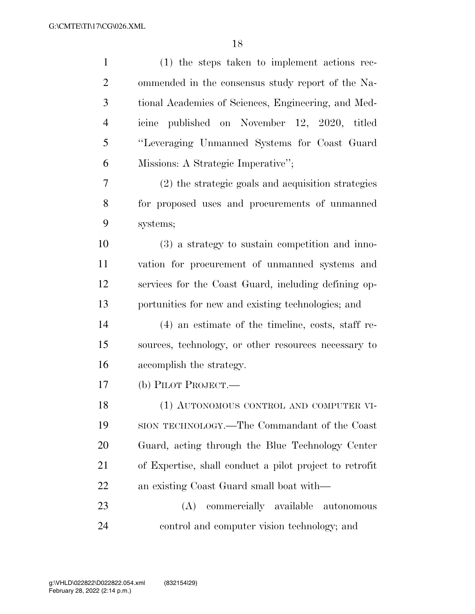| $\mathbf{1}$   | $(1)$ the steps taken to implement actions rec-         |
|----------------|---------------------------------------------------------|
| $\overline{2}$ | ommended in the consensus study report of the Na-       |
| 3              | tional Academies of Sciences, Engineering, and Med-     |
| $\overline{4}$ | published on November 12, 2020, titled<br>icine         |
| 5              | "Leveraging Unmanned Systems for Coast Guard            |
| 6              | Missions: A Strategic Imperative";                      |
| 7              | (2) the strategic goals and acquisition strategies      |
| 8              | for proposed uses and procurements of unmanned          |
| 9              | systems;                                                |
| 10             | (3) a strategy to sustain competition and inno-         |
| 11             | vation for procurement of unmanned systems and          |
| 12             | services for the Coast Guard, including defining op-    |
| 13             | portunities for new and existing technologies; and      |
| 14             | $(4)$ an estimate of the timeline, costs, staff re-     |
| 15             | sources, technology, or other resources necessary to    |
| 16             | accomplish the strategy.                                |
| 17             | (b) PILOT PROJECT.—                                     |
| 18             | (1) AUTONOMOUS CONTROL AND COMPUTER VI-                 |
| 19             | SION TECHNOLOGY.—The Commandant of the Coast            |
| 20             | Guard, acting through the Blue Technology Center        |
| 21             | of Expertise, shall conduct a pilot project to retrofit |
| 22             | an existing Coast Guard small boat with—                |
| 23             | commercially available autonomous<br>(A)                |
| 24             | control and computer vision technology; and             |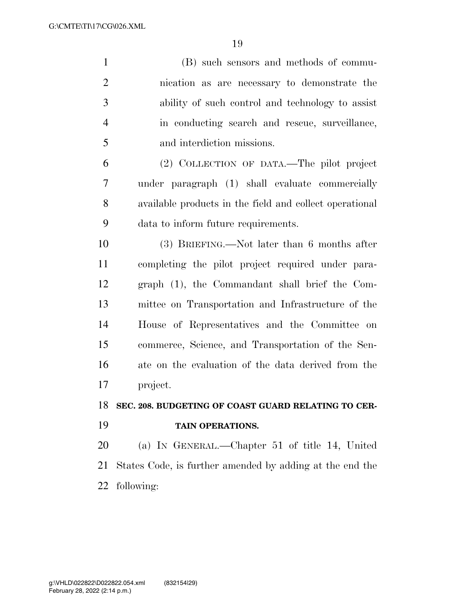| $\mathbf{1}$   | (B) such sensors and methods of commu-                   |
|----------------|----------------------------------------------------------|
| $\overline{2}$ | nication as are necessary to demonstrate the             |
| 3              | ability of such control and technology to assist         |
| $\overline{4}$ | in conducting search and rescue, surveillance,           |
| 5              | and interdiction missions.                               |
| 6              | (2) COLLECTION OF DATA.—The pilot project                |
| 7              | under paragraph (1) shall evaluate commercially          |
| 8              | available products in the field and collect operational  |
| 9              | data to inform future requirements.                      |
| 10             | $(3)$ BRIEFING.—Not later than 6 months after            |
| 11             | completing the pilot project required under para-        |
| 12             | graph (1), the Commandant shall brief the Com-           |
| 13             | mittee on Transportation and Infrastructure of the       |
| 14             | House of Representatives and the Committee on            |
| 15             | commerce, Science, and Transportation of the Sen-        |
| 16             | ate on the evaluation of the data derived from the       |
| 17             | project.                                                 |
| 18             | SEC. 208. BUDGETING OF COAST GUARD RELATING TO CER-      |
| 19             | TAIN OPERATIONS.                                         |
| 20             | (a) IN GENERAL.—Chapter 51 of title 14, United           |
| 21             | States Code, is further amended by adding at the end the |
| 22             | following:                                               |
|                |                                                          |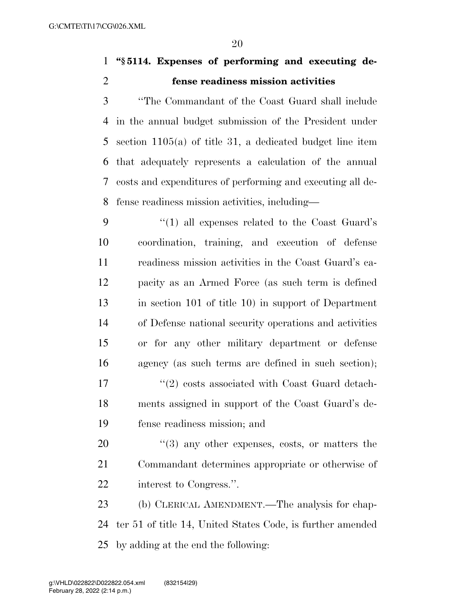### **''§ 5114. Expenses of performing and executing de-fense readiness mission activities**

 ''The Commandant of the Coast Guard shall include in the annual budget submission of the President under section 1105(a) of title 31, a dedicated budget line item that adequately represents a calculation of the annual costs and expenditures of performing and executing all de-fense readiness mission activities, including—

 ''(1) all expenses related to the Coast Guard's coordination, training, and execution of defense readiness mission activities in the Coast Guard's ca- pacity as an Armed Force (as such term is defined in section 101 of title 10) in support of Department of Defense national security operations and activities or for any other military department or defense agency (as such terms are defined in such section); 17 ''(2) costs associated with Coast Guard detach- ments assigned in support of the Coast Guard's de-fense readiness mission; and

20  $\frac{u(3)}{2}$  any other expenses, costs, or matters the Commandant determines appropriate or otherwise of interest to Congress.''.

 (b) CLERICAL AMENDMENT.—The analysis for chap- ter 51 of title 14, United States Code, is further amended by adding at the end the following: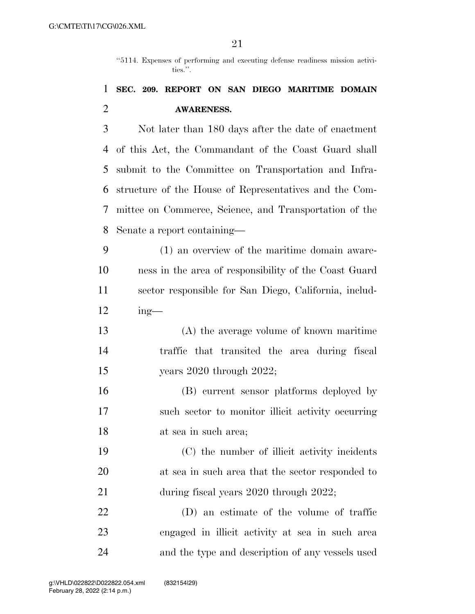''5114. Expenses of performing and executing defense readiness mission activities.''.

### **SEC. 209. REPORT ON SAN DIEGO MARITIME DOMAIN AWARENESS.**

 Not later than 180 days after the date of enactment of this Act, the Commandant of the Coast Guard shall submit to the Committee on Transportation and Infra- structure of the House of Representatives and the Com- mittee on Commerce, Science, and Transportation of the Senate a report containing—

 (1) an overview of the maritime domain aware- ness in the area of responsibility of the Coast Guard sector responsible for San Diego, California, includ-ing—

 (A) the average volume of known maritime traffic that transited the area during fiscal years 2020 through 2022;

 (B) current sensor platforms deployed by such sector to monitor illicit activity occurring at sea in such area;

 (C) the number of illicit activity incidents at sea in such area that the sector responded to 21 during fiscal years 2020 through 2022;

 (D) an estimate of the volume of traffic engaged in illicit activity at sea in such area and the type and description of any vessels used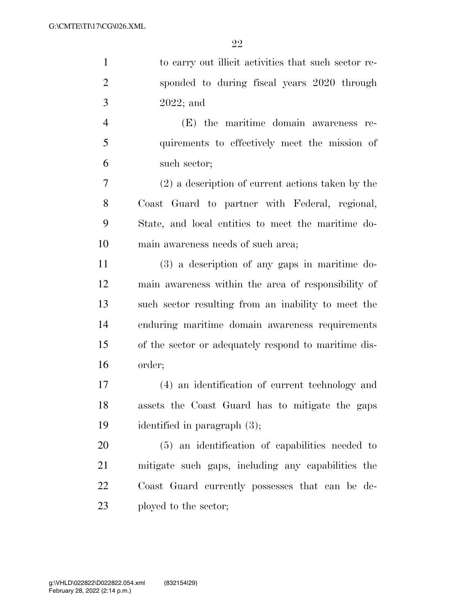| $\mathbf{1}$   | to carry out illicit activities that such sector re- |
|----------------|------------------------------------------------------|
| $\overline{2}$ | sponded to during fiscal years 2020 through          |
| 3              | $2022$ ; and                                         |
| $\overline{4}$ | (E) the maritime domain awareness re-                |
| 5              | quirements to effectively meet the mission of        |
| 6              | such sector;                                         |
| 7              | $(2)$ a description of current actions taken by the  |
| 8              | Coast Guard to partner with Federal, regional,       |
| 9              | State, and local entities to meet the maritime do-   |
| 10             | main awareness needs of such area;                   |
| 11             | $(3)$ a description of any gaps in maritime do-      |
| 12             | main awareness within the area of responsibility of  |
| 13             | such sector resulting from an inability to meet the  |
| 14             | enduring maritime domain awareness requirements      |
| 15             | of the sector or adequately respond to maritime dis- |
| 16             | order;                                               |
| 17             | (4) an identification of current technology and      |
| 18             | assets the Coast Guard has to mitigate the gaps      |
| 19             | identified in paragraph (3);                         |
|                |                                                      |

 (5) an identification of capabilities needed to mitigate such gaps, including any capabilities the Coast Guard currently possesses that can be de-ployed to the sector;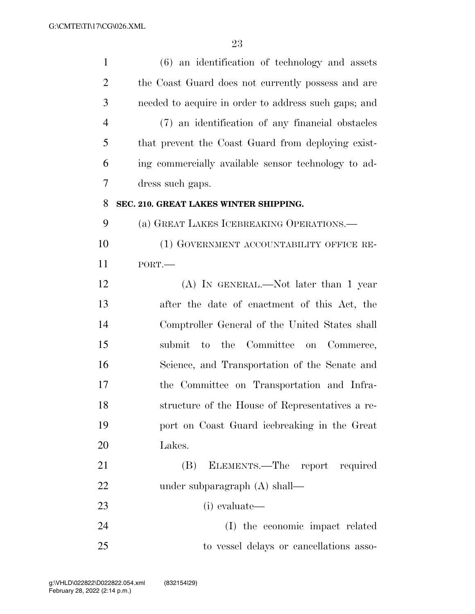| $\mathbf{1}$   | $(6)$ an identification of technology and assets     |
|----------------|------------------------------------------------------|
| $\overline{c}$ | the Coast Guard does not currently possess and are   |
| 3              | needed to acquire in order to address such gaps; and |
| $\overline{4}$ | (7) an identification of any financial obstacles     |
| 5              | that prevent the Coast Guard from deploying exist-   |
| 6              | ing commercially available sensor technology to ad-  |
| 7              | dress such gaps.                                     |
| 8              | SEC. 210. GREAT LAKES WINTER SHIPPING.               |
| 9              | (a) GREAT LAKES ICEBREAKING OPERATIONS.—             |
| 10             | (1) GOVERNMENT ACCOUNTABILITY OFFICE RE-             |
| 11             | PORT.                                                |
| 12             | (A) IN GENERAL.—Not later than 1 year                |
| 13             | after the date of enactment of this Act, the         |
| 14             | Comptroller General of the United States shall       |
| 15             | to the Committee on Commerce,<br>submit              |
| 16             | Science, and Transportation of the Senate and        |
| 17             | the Committee on Transportation and Infra-           |
| 18             | structure of the House of Representatives a re-      |
| 19             | port on Coast Guard icebreaking in the Great         |
| 20             | Lakes.                                               |
| 21             | ELEMENTS.—The report required<br>(B)                 |
| 22             | under subparagraph $(A)$ shall—                      |
| 23             | (i) evaluate—                                        |
| 24             | (I) the economic impact related                      |
| 25             | to vessel delays or cancellations asso-              |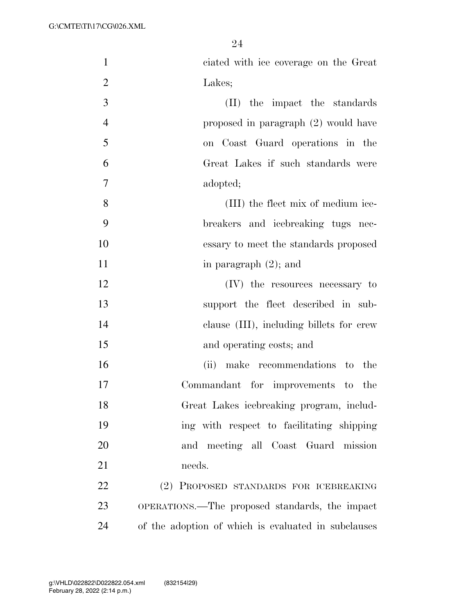| $\mathbf{1}$   | ciated with ice coverage on the Great               |
|----------------|-----------------------------------------------------|
| $\overline{2}$ | Lakes;                                              |
| 3              | (II) the impact the standards                       |
| $\overline{4}$ | proposed in paragraph (2) would have                |
| 5              | on Coast Guard operations in the                    |
| 6              | Great Lakes if such standards were                  |
| $\overline{7}$ | adopted;                                            |
| 8              | (III) the fleet mix of medium ice-                  |
| 9              | breakers and icebreaking tugs nec-                  |
| 10             | essary to meet the standards proposed               |
| 11             | in paragraph $(2)$ ; and                            |
| 12             | (IV) the resources necessary to                     |
| 13             | support the fleet described in sub-                 |
| 14             | clause (III), including billets for crew            |
| 15             | and operating costs; and                            |
| 16             | (ii) make recommendations to<br>the                 |
| 17             | Commandant for improvements to the                  |
| 18             | Great Lakes icebreaking program, includ-            |
| 19             | ing with respect to facilitating shipping           |
| 20             | and meeting all Coast Guard mission                 |
| 21             | needs.                                              |
| 22             | (2) PROPOSED STANDARDS FOR ICEBREAKING              |
| 23             | OPERATIONS.—The proposed standards, the impact      |
| 24             | of the adoption of which is evaluated in subclauses |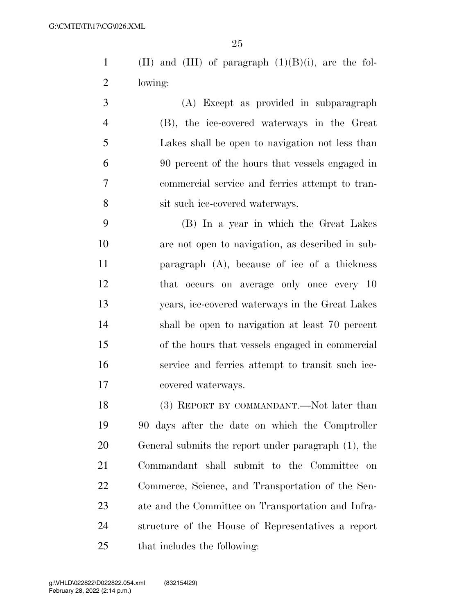1 (II) and (III) of paragraph  $(1)(B)(i)$ , are the fol-lowing:

 (A) Except as provided in subparagraph (B), the ice-covered waterways in the Great Lakes shall be open to navigation not less than 90 percent of the hours that vessels engaged in commercial service and ferries attempt to tran-sit such ice-covered waterways.

 (B) In a year in which the Great Lakes are not open to navigation, as described in sub- paragraph (A), because of ice of a thickness that occurs on average only once every 10 years, ice-covered waterways in the Great Lakes shall be open to navigation at least 70 percent of the hours that vessels engaged in commercial service and ferries attempt to transit such ice-covered waterways.

18 (3) REPORT BY COMMANDANT.—Not later than 90 days after the date on which the Comptroller General submits the report under paragraph (1), the Commandant shall submit to the Committee on Commerce, Science, and Transportation of the Sen- ate and the Committee on Transportation and Infra- structure of the House of Representatives a report that includes the following: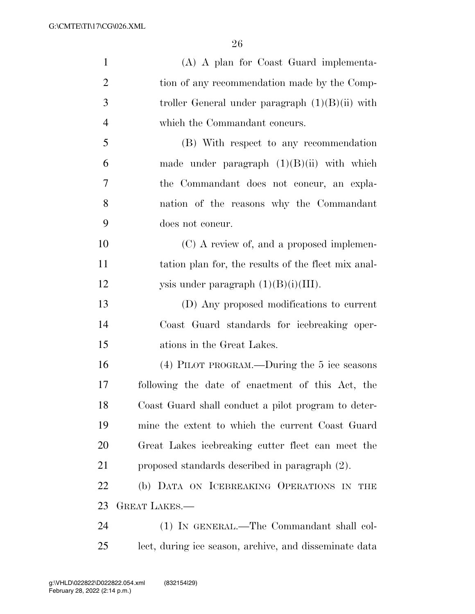| $\mathbf{1}$   | (A) A plan for Coast Guard implementa-                 |
|----------------|--------------------------------------------------------|
| $\overline{2}$ | tion of any recommendation made by the Comp-           |
| 3              | troller General under paragraph $(1)(B)(ii)$ with      |
| $\overline{4}$ | which the Commandant concurs.                          |
| 5              | (B) With respect to any recommendation                 |
| 6              | made under paragraph $(1)(B)(ii)$ with which           |
| 7              | the Commandant does not concur, an expla-              |
| 8              | nation of the reasons why the Commandant               |
| 9              | does not concur.                                       |
| 10             | (C) A review of, and a proposed implemen-              |
| 11             | tation plan for, the results of the fleet mix anal-    |
| 12             | ysis under paragraph $(1)(B)(i)(III)$ .                |
| 13             | (D) Any proposed modifications to current              |
| 14             | Coast Guard standards for icebreaking oper-            |
| 15             | ations in the Great Lakes.                             |
| 16             | (4) PILOT PROGRAM.—During the 5 ice seasons            |
| 17             | following the date of enactment of this Act, the       |
| 18             | Coast Guard shall conduct a pilot program to deter-    |
| 19             | mine the extent to which the current Coast Guard       |
| 20             | Great Lakes icebreaking cutter fleet can meet the      |
| 21             | proposed standards described in paragraph (2).         |
| 22             | (b) DATA ON ICEBREAKING OPERATIONS IN THE              |
| 23             | <b>GREAT LAKES.—</b>                                   |
| 24             | (1) IN GENERAL.—The Commandant shall col-              |
| 25             | lect, during ice season, archive, and disseminate data |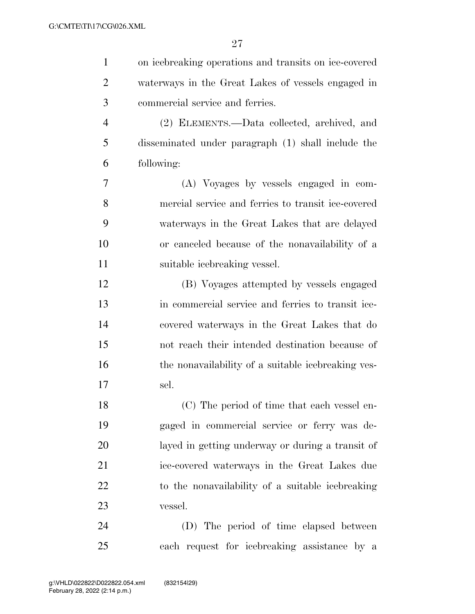| $\mathbf{1}$   | on icebreaking operations and transits on ice-covered |
|----------------|-------------------------------------------------------|
| $\overline{2}$ | waterways in the Great Lakes of vessels engaged in    |
| 3              | commercial service and ferries.                       |
| $\overline{4}$ | (2) ELEMENTS.—Data collected, archived, and           |
| 5              | disseminated under paragraph (1) shall include the    |
| 6              | following:                                            |
| 7              | (A) Voyages by vessels engaged in com-                |
| 8              | mercial service and ferries to transit ice-covered    |
| 9              | waterways in the Great Lakes that are delayed         |
| 10             | or canceled because of the nonavailability of a       |
| 11             | suitable icebreaking vessel.                          |
| 12             | (B) Voyages attempted by vessels engaged              |
| 13             | in commercial service and ferries to transit ice-     |
| 14             | covered waterways in the Great Lakes that do          |
| 15             | not reach their intended destination because of       |
| 16             | the nonavailability of a suitable icebreaking ves-    |
| 17             | sel.                                                  |
| 18             | (C) The period of time that each vessel en-           |
| 19             | gaged in commercial service or ferry was de-          |
| 20             | layed in getting underway or during a transit of      |
| 21             | ice-covered waterways in the Great Lakes due          |
| 22             | to the nonavailability of a suitable icebreaking      |
| 23             | vessel.                                               |
| 24             | (D) The period of time elapsed between                |
| 25             | each request for icebreaking assistance by a          |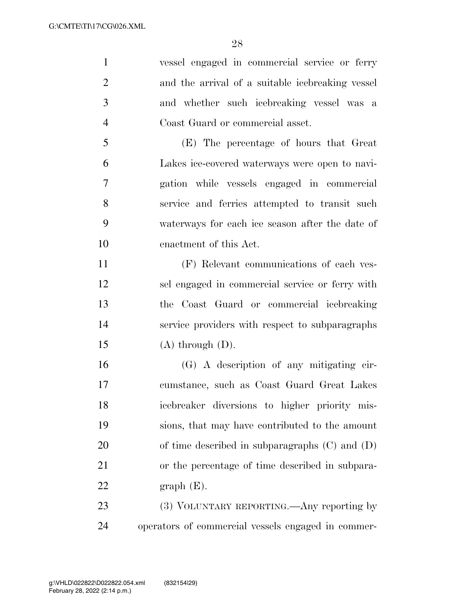vessel engaged in commercial service or ferry and the arrival of a suitable icebreaking vessel and whether such icebreaking vessel was a Coast Guard or commercial asset. (E) The percentage of hours that Great Lakes ice-covered waterways were open to navi- gation while vessels engaged in commercial service and ferries attempted to transit such

 waterways for each ice season after the date of enactment of this Act.

 (F) Relevant communications of each ves- sel engaged in commercial service or ferry with the Coast Guard or commercial icebreaking service providers with respect to subparagraphs  $(A)$  through  $(D)$ .

 (G) A description of any mitigating cir- cumstance, such as Coast Guard Great Lakes icebreaker diversions to higher priority mis- sions, that may have contributed to the amount of time described in subparagraphs (C) and (D) or the percentage of time described in subpara- $22 \quad$  graph  $(E)$ .

23 (3) VOLUNTARY REPORTING.—Any reporting by operators of commercial vessels engaged in commer-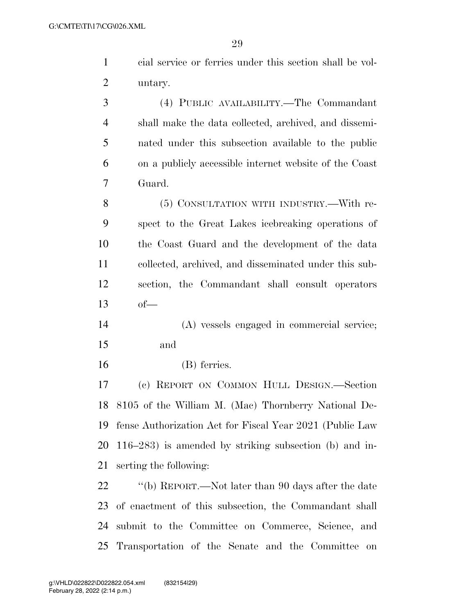| $\mathbf{1}$   |                                                           |
|----------------|-----------------------------------------------------------|
|                | cial service or ferries under this section shall be vol-  |
| $\overline{2}$ | untary.                                                   |
| 3              | (4) PUBLIC AVAILABILITY.—The Commandant                   |
| $\overline{4}$ | shall make the data collected, archived, and dissemi-     |
| 5              | nated under this subsection available to the public       |
| 6              | on a publicly accessible internet website of the Coast    |
| 7              | Guard.                                                    |
| 8              | (5) CONSULTATION WITH INDUSTRY.—With re-                  |
| 9              | spect to the Great Lakes icebreaking operations of        |
| 10             | the Coast Guard and the development of the data           |
| 11             | collected, archived, and disseminated under this sub-     |
| 12             | section, the Commandant shall consult operators           |
| 13             | $of-$                                                     |
| 14             | (A) vessels engaged in commercial service;                |
| 15             | and                                                       |
| 16             | (B) ferries.                                              |
| 17             | (c) REPORT ON COMMON HULL DESIGN.—Section                 |
| 18             | 8105 of the William M. (Mac) Thornberry National De-      |
| 19             | fense Authorization Act for Fiscal Year 2021 (Public Law  |
| 20             | $116-283$ ) is amended by striking subsection (b) and in- |
| 21             | serting the following:                                    |
| 22             | "(b) REPORT.—Not later than 90 days after the date        |
| 23             | of enactment of this subsection, the Commandant shall     |
| 24             | submit to the Committee on Commerce, Science, and         |

Transportation of the Senate and the Committee on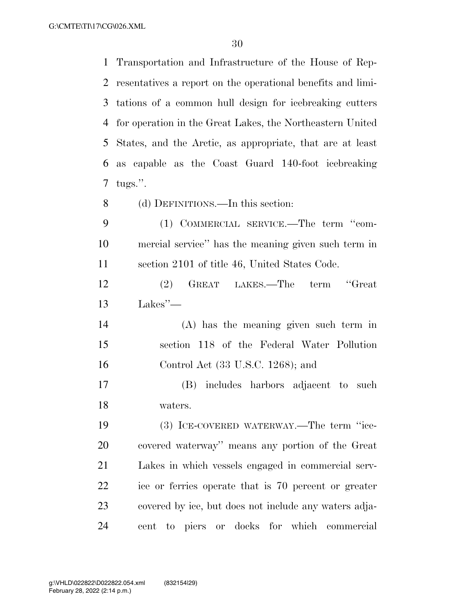G:\CMTE\TI\17\CG\026.XML

 Transportation and Infrastructure of the House of Rep- resentatives a report on the operational benefits and limi- tations of a common hull design for icebreaking cutters for operation in the Great Lakes, the Northeastern United States, and the Arctic, as appropriate, that are at least as capable as the Coast Guard 140-foot icebreaking tugs.''. (d) DEFINITIONS.—In this section: (1) COMMERCIAL SERVICE.—The term ''com- mercial service'' has the meaning given such term in section 2101 of title 46, United States Code. (2) GREAT LAKES.—The term ''Great Lakes''— (A) has the meaning given such term in section 118 of the Federal Water Pollution Control Act (33 U.S.C. 1268); and (B) includes harbors adjacent to such waters. (3) ICE-COVERED WATERWAY.—The term ''ice- covered waterway'' means any portion of the Great Lakes in which vessels engaged in commercial serv- ice or ferries operate that is 70 percent or greater covered by ice, but does not include any waters adja-cent to piers or docks for which commercial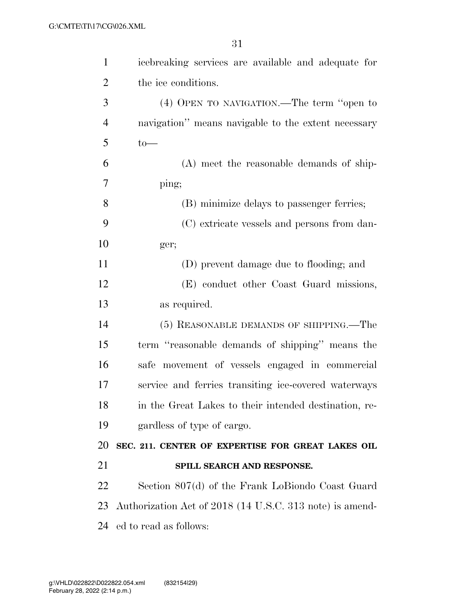| $\mathbf{1}$   | icebreaking services are available and adequate for      |
|----------------|----------------------------------------------------------|
| $\overline{2}$ | the ice conditions.                                      |
| 3              | (4) OPEN TO NAVIGATION.—The term "open to                |
| $\overline{4}$ | navigation" means navigable to the extent necessary      |
| 5              | $to-$                                                    |
| 6              | (A) meet the reasonable demands of ship-                 |
| 7              | ping;                                                    |
| 8              | (B) minimize delays to passenger ferries;                |
| 9              | (C) extricate vessels and persons from dan-              |
| 10             | ger;                                                     |
| 11             | (D) prevent damage due to flooding; and                  |
| 12             | (E) conduct other Coast Guard missions,                  |
| 13             | as required.                                             |
| 14             | (5) REASONABLE DEMANDS OF SHIPPING.—The                  |
| 15             | term "reasonable demands of shipping" means the          |
| 16             | safe movement of vessels engaged in commercial           |
| 17             | service and ferries transiting ice-covered waterways     |
| 18             | in the Great Lakes to their intended destination, re-    |
| 19             | gardless of type of cargo.                               |
| 20             | SEC. 211. CENTER OF EXPERTISE FOR GREAT LAKES OIL        |
| 21             | SPILL SEARCH AND RESPONSE.                               |
| 22             | Section 807(d) of the Frank LoBiondo Coast Guard         |
| 23             | Authorization Act of 2018 (14 U.S.C. 313 note) is amend- |
| 24             | ed to read as follows:                                   |
|                |                                                          |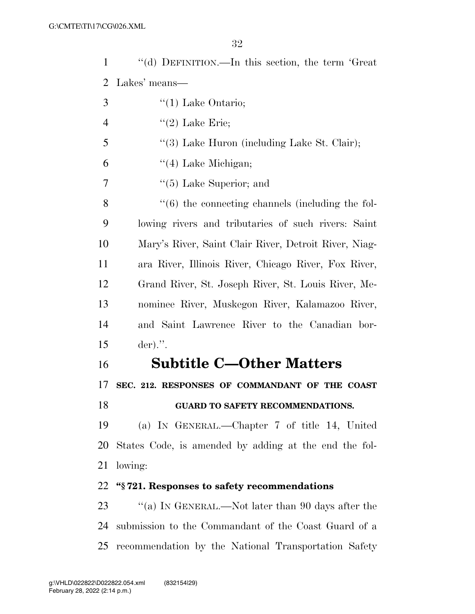| 1              | "(d) DEFINITION.—In this section, the term 'Great                |
|----------------|------------------------------------------------------------------|
| 2              | Lakes' means—                                                    |
| 3              | $\lq(1)$ Lake Ontario;                                           |
| $\overline{4}$ | $"(2)$ Lake Erie;                                                |
| 5              | "(3) Lake Huron (including Lake St. Clair);                      |
| 6              | $\lq(4)$ Lake Michigan;                                          |
| 7              | $\lq(5)$ Lake Superior; and                                      |
| 8              | $\cdot\cdot\cdot(6)$ the connecting channels (including the fol- |
| 9              | lowing rivers and tributaries of such rivers: Saint              |
| 10             | Mary's River, Saint Clair River, Detroit River, Niag-            |
| 11             | ara River, Illinois River, Chicago River, Fox River,             |
| 12             | Grand River, St. Joseph River, St. Louis River, Me-              |
| 13             | nominee River, Muskegon River, Kalamazoo River,                  |
| 14             | and Saint Lawrence River to the Canadian bor-                    |
| 15             | $der).$ ".                                                       |
| 16             | <b>Subtitle C-Other Matters</b>                                  |
| 17             | SEC. 212. RESPONSES OF COMMANDANT OF THE COAST                   |
| 18             | <b>GUARD TO SAFETY RECOMMENDATIONS.</b>                          |
| 19             | (a) IN GENERAL.—Chapter 7 of title 14, United                    |
| 20             | States Code, is amended by adding at the end the fol-            |
| 21             | lowing:                                                          |
| 22             | "\\$721. Responses to safety recommendations                     |
| 23             | "(a) IN GENERAL.—Not later than 90 days after the                |
| 24             | submission to the Commandant of the Coast Guard of a             |

recommendation by the National Transportation Safety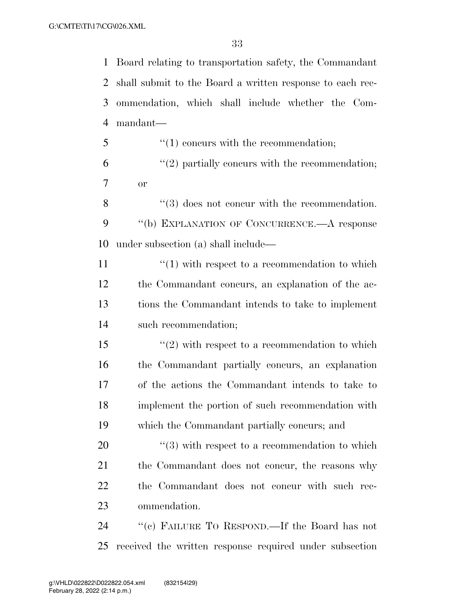Board relating to transportation safety, the Commandant shall submit to the Board a written response to each rec- ommendation, which shall include whether the Com-mandant—

5  $\frac{1}{2}$  (1) concurs with the recommendation;  $(2)$  partially concurs with the recommendation; or

8 ''(3) does not concur with the recommendation. ''(b) EXPLANATION OF CONCURRENCE.—A response under subsection (a) shall include—

 $\frac{u'(1)}{v}$  with respect to a recommendation to which the Commandant concurs, an explanation of the ac- tions the Commandant intends to take to implement such recommendation;

15 ''(2) with respect to a recommendation to which the Commandant partially concurs, an explanation of the actions the Commandant intends to take to implement the portion of such recommendation with which the Commandant partially concurs; and

 ''(3) with respect to a recommendation to which 21 the Commandant does not concur, the reasons why the Commandant does not concur with such rec-ommendation.

 ''(c) FAILURE TO RESPOND.—If the Board has not received the written response required under subsection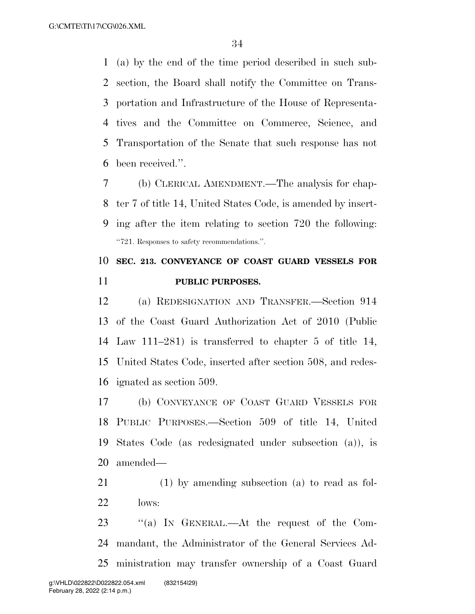(a) by the end of the time period described in such sub- section, the Board shall notify the Committee on Trans- portation and Infrastructure of the House of Representa- tives and the Committee on Commerce, Science, and Transportation of the Senate that such response has not been received.''.

 (b) CLERICAL AMENDMENT.—The analysis for chap- ter 7 of title 14, United States Code, is amended by insert- ing after the item relating to section 720 the following: ''721. Responses to safety recommendations.''.

### **SEC. 213. CONVEYANCE OF COAST GUARD VESSELS FOR PUBLIC PURPOSES.**

 (a) REDESIGNATION AND TRANSFER.—Section 914 of the Coast Guard Authorization Act of 2010 (Public Law 111–281) is transferred to chapter 5 of title 14, United States Code, inserted after section 508, and redes-ignated as section 509.

 (b) CONVEYANCE OF COAST GUARD VESSELS FOR PUBLIC PURPOSES.—Section 509 of title 14, United States Code (as redesignated under subsection (a)), is amended—

 (1) by amending subsection (a) to read as fol-lows:

23 "(a) In GENERAL.—At the request of the Com- mandant, the Administrator of the General Services Ad-ministration may transfer ownership of a Coast Guard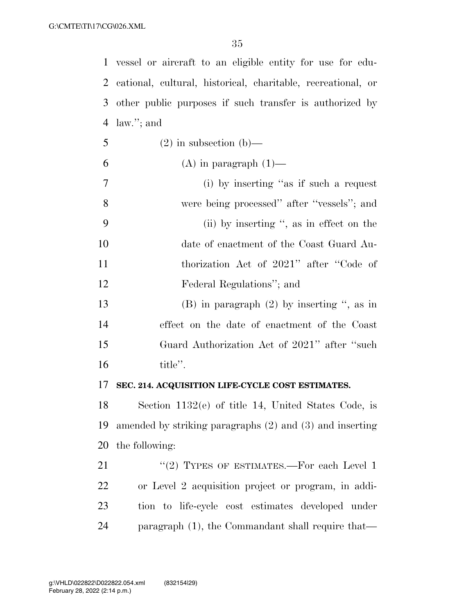vessel or aircraft to an eligible entity for use for edu- cational, cultural, historical, charitable, recreational, or other public purposes if such transfer is authorized by law.''; and

- 5 (2) in subsection (b)—
- 6 (A) in paragraph  $(1)$ —
- (i) by inserting ''as if such a request were being processed'' after ''vessels''; and (ii) by inserting '', as in effect on the date of enactment of the Coast Guard Au- thorization Act of 2021'' after ''Code of Federal Regulations''; and (B) in paragraph (2) by inserting '', as in
- effect on the date of enactment of the Coast Guard Authorization Act of 2021'' after ''such title''.

### **SEC. 214. ACQUISITION LIFE-CYCLE COST ESTIMATES.**

 Section 1132(e) of title 14, United States Code, is amended by striking paragraphs (2) and (3) and inserting the following:

21 "(2) TYPES OF ESTIMATES.—For each Level 1 or Level 2 acquisition project or program, in addi- tion to life-cycle cost estimates developed under paragraph (1), the Commandant shall require that—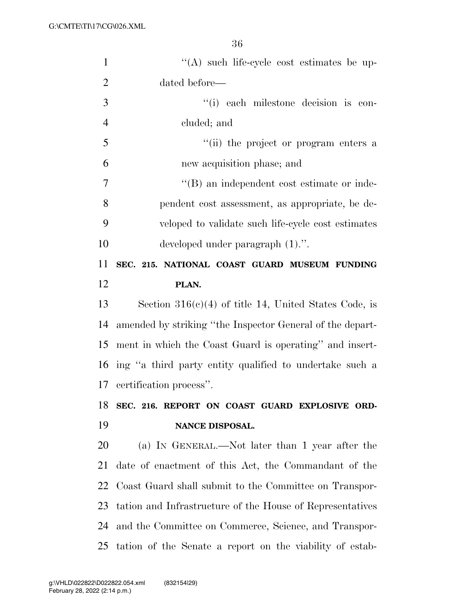| $\mathbf{1}$   | "(A) such life-cycle cost estimates be up-                 |
|----------------|------------------------------------------------------------|
| $\overline{2}$ | dated before—                                              |
| 3              | "(i) each milestone decision is con-                       |
| $\overline{4}$ | cluded; and                                                |
| 5              | "(ii) the project or program enters a                      |
| 6              | new acquisition phase; and                                 |
| 7              | "(B) an independent cost estimate or inde-                 |
| 8              | pendent cost assessment, as appropriate, be de-            |
| 9              | veloped to validate such life-cycle cost estimates         |
| 10             | developed under paragraph $(1)$ .".                        |
| 11             | SEC. 215. NATIONAL COAST GUARD MUSEUM FUNDING              |
| 12             | PLAN.                                                      |
| 13             | Section $316(c)(4)$ of title 14, United States Code, is    |
| 14             | amended by striking "the Inspector General of the depart-  |
| 15             | ment in which the Coast Guard is operating" and insert-    |
|                | 16 ing "a third party entity qualified to undertake such a |
| 17             | certification process".                                    |
| 18             | SEC. 216. REPORT ON COAST GUARD EXPLOSIVE ORD-             |
| 19             | NANCE DISPOSAL.                                            |
| 20             | (a) IN GENERAL.—Not later than 1 year after the            |
| 21             | date of enactment of this Act, the Commandant of the       |
| 22             | Coast Guard shall submit to the Committee on Transpor-     |
| 23             | tation and Infrastructure of the House of Representatives  |
| 24             | and the Committee on Commerce, Science, and Transpor-      |
| 25             | tation of the Senate a report on the viability of estab-   |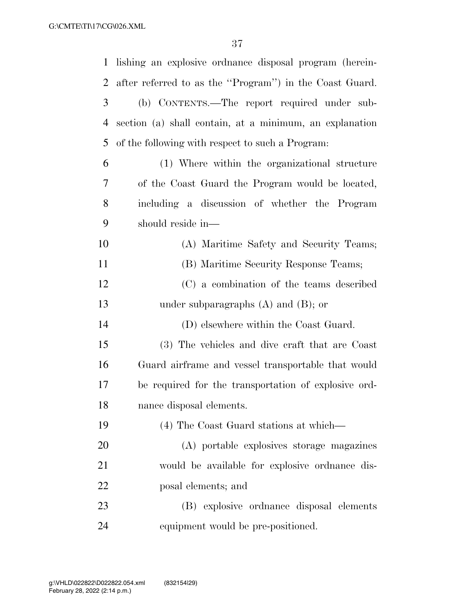| $\mathbf{1}$   | lishing an explosive ordnance disposal program (herein- |
|----------------|---------------------------------------------------------|
| 2              | after referred to as the "Program") in the Coast Guard. |
| 3              | (b) CONTENTS.—The report required under sub-            |
| $\overline{4}$ | section (a) shall contain, at a minimum, an explanation |
| 5              | of the following with respect to such a Program:        |
| 6              | (1) Where within the organizational structure           |
| 7              | of the Coast Guard the Program would be located,        |
| 8              | including a discussion of whether the Program           |
| 9              | should reside in-                                       |
| 10             | (A) Maritime Safety and Security Teams;                 |
| 11             | (B) Maritime Security Response Teams;                   |
| 12             | (C) a combination of the teams described                |
| 13             | under subparagraphs $(A)$ and $(B)$ ; or                |
| 14             | (D) elsewhere within the Coast Guard.                   |
| 15             | (3) The vehicles and dive craft that are Coast          |
| 16             | Guard airframe and vessel transportable that would      |
| 17             | be required for the transportation of explosive ord-    |
| 18             | nance disposal elements.                                |
| 19             | (4) The Coast Guard stations at which—                  |
| 20             | (A) portable explosives storage magazines               |
| 21             | would be available for explosive ordinance dis-         |
| 22             | posal elements; and                                     |
| 23             | (B) explosive ordinance disposal elements               |
| 24             | equipment would be pre-positioned.                      |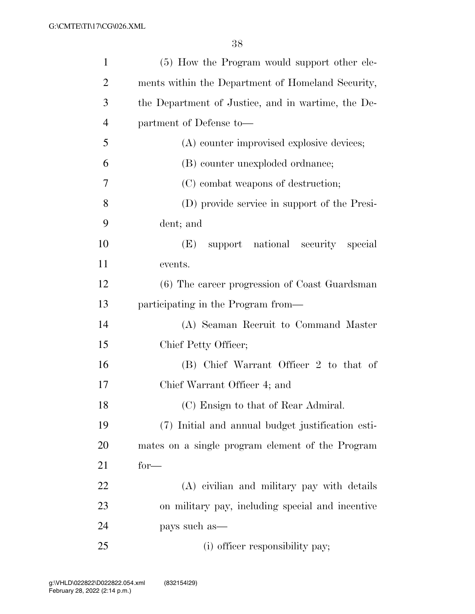| $\mathbf{1}$   | (5) How the Program would support other ele-       |
|----------------|----------------------------------------------------|
| $\overline{2}$ | ments within the Department of Homeland Security,  |
| 3              | the Department of Justice, and in wartime, the De- |
| $\overline{4}$ | partment of Defense to-                            |
| 5              | (A) counter improvised explosive devices;          |
| 6              | (B) counter unexploded ordnance;                   |
| 7              | (C) combat weapons of destruction;                 |
| 8              | (D) provide service in support of the Presi-       |
| 9              | dent; and                                          |
| 10             | support national security special<br>(E)           |
| 11             | events.                                            |
| 12             | (6) The career progression of Coast Guardsman      |
| 13             | participating in the Program from—                 |
| 14             | (A) Seaman Recruit to Command Master               |
| 15             | Chief Petty Officer;                               |
| 16             | (B) Chief Warrant Officer 2 to that of             |
| 17             | Chief Warrant Officer 4; and                       |
| 18             | (C) Ensign to that of Rear Admiral.                |
| 19             | (7) Initial and annual budget justification esti-  |
| 20             | mates on a single program element of the Program   |
| 21             | $for-$                                             |
| 22             | (A) civilian and military pay with details         |
| 23             | on military pay, including special and incentive   |
| 24             | pays such as—                                      |
| 25             | (i) officer responsibility pay;                    |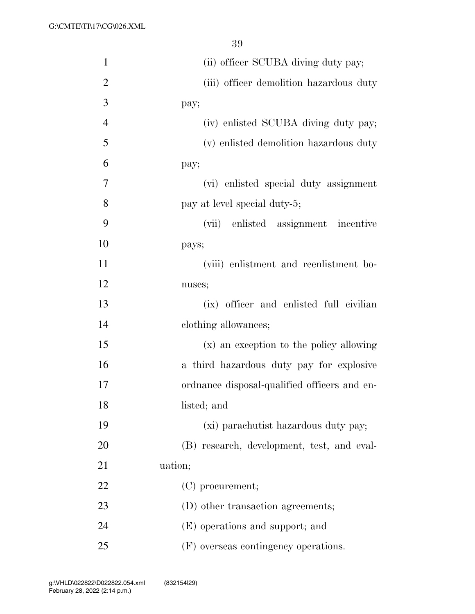| $\mathbf{1}$   | (ii) officer SCUBA diving duty pay;          |
|----------------|----------------------------------------------|
| $\overline{2}$ | (iii) officer demolition hazardous duty      |
| 3              | pay;                                         |
| $\overline{4}$ | (iv) enlisted SCUBA diving duty pay;         |
| 5              | (v) enlisted demolition hazardous duty       |
| 6              | pay;                                         |
| 7              | (vi) enlisted special duty assignment        |
| 8              | pay at level special duty-5;                 |
| 9              | (vii) enlisted assignment incentive          |
| 10             | pays;                                        |
| 11             | (viii) enlistment and reenlistment bo-       |
| 12             | nuses;                                       |
| 13             | (ix) officer and enlisted full civilian      |
| 14             | clothing allowances;                         |
| 15             | (x) an exception to the policy allowing      |
| 16             | a third hazardous duty pay for explosive     |
| 17             | ordnance disposal-qualified officers and en- |
| 18             | listed; and                                  |
| 19             | (xi) parachutist hazardous duty pay;         |
| 20             | (B) research, development, test, and eval-   |
| 21             | uation;                                      |
| 22             | $(C)$ procurement;                           |
| 23             | (D) other transaction agreements;            |
| 24             | (E) operations and support; and              |
| 25             | (F) overseas contingency operations.         |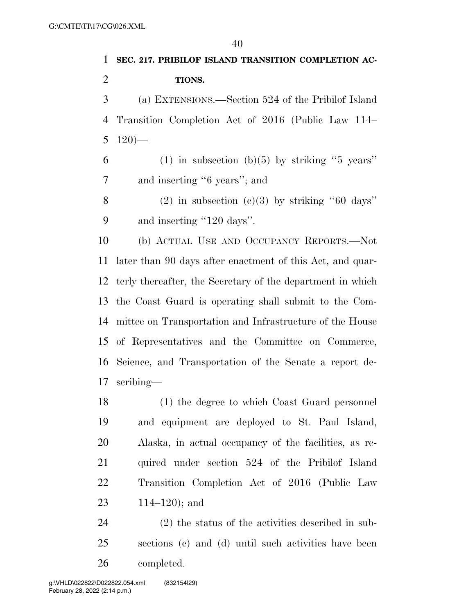# **SEC. 217. PRIBILOF ISLAND TRANSITION COMPLETION AC- TIONS.**  (a) EXTENSIONS.—Section 524 of the Pribilof Island Transition Completion Act of 2016 (Public Law 114– 5 — 6 (1) in subsection (b)(5) by striking "5 years" and inserting ''6 years''; and 8 (2) in subsection  $(c)(3)$  by striking "60 days" 9 and inserting "120 days". (b) ACTUAL USE AND OCCUPANCY REPORTS.—Not later than 90 days after enactment of this Act, and quar- terly thereafter, the Secretary of the department in which the Coast Guard is operating shall submit to the Com- mittee on Transportation and Infrastructure of the House of Representatives and the Committee on Commerce, Science, and Transportation of the Senate a report de- scribing— (1) the degree to which Coast Guard personnel and equipment are deployed to St. Paul Island, Alaska, in actual occupancy of the facilities, as re-quired under section 524 of the Pribilof Island

 Transition Completion Act of 2016 (Public Law 114–120); and

 (2) the status of the activities described in sub- sections (c) and (d) until such activities have been completed.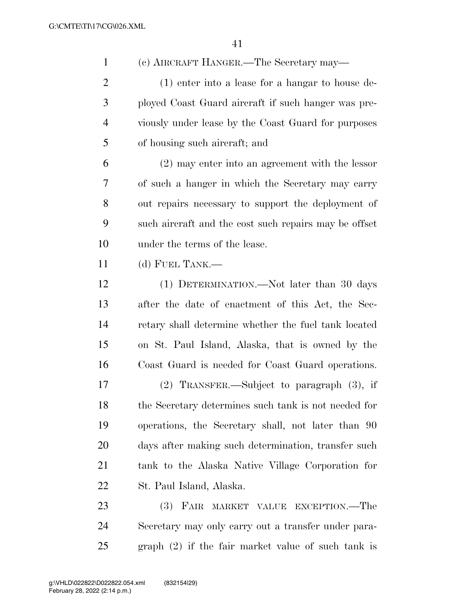(c) AIRCRAFT HANGER.—The Secretary may—

 (1) enter into a lease for a hangar to house de- ployed Coast Guard aircraft if such hanger was pre- viously under lease by the Coast Guard for purposes of housing such aircraft; and

 (2) may enter into an agreement with the lessor of such a hanger in which the Secretary may carry out repairs necessary to support the deployment of such aircraft and the cost such repairs may be offset under the terms of the lease.

(d) FUEL TANK.—

 (1) DETERMINATION.—Not later than 30 days after the date of enactment of this Act, the Sec- retary shall determine whether the fuel tank located on St. Paul Island, Alaska, that is owned by the Coast Guard is needed for Coast Guard operations.

 (2) TRANSFER.—Subject to paragraph (3), if the Secretary determines such tank is not needed for operations, the Secretary shall, not later than 90 days after making such determination, transfer such tank to the Alaska Native Village Corporation for St. Paul Island, Alaska.

 (3) FAIR MARKET VALUE EXCEPTION.—The Secretary may only carry out a transfer under para-graph (2) if the fair market value of such tank is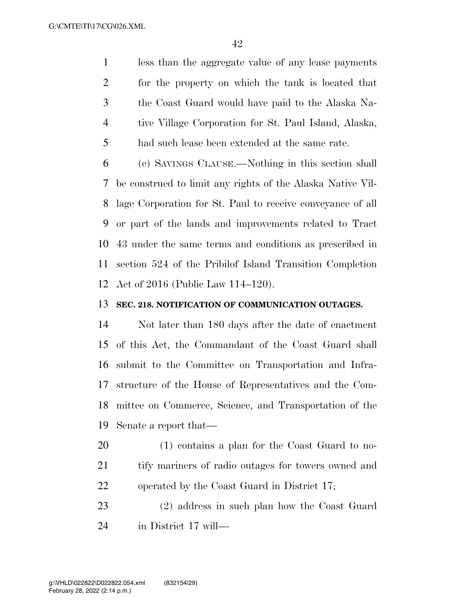less than the aggregate value of any lease payments for the property on which the tank is located that the Coast Guard would have paid to the Alaska Na- tive Village Corporation for St. Paul Island, Alaska, had such lease been extended at the same rate.

 (e) SAVINGS CLAUSE.—Nothing in this section shall be construed to limit any rights of the Alaska Native Vil- lage Corporation for St. Paul to receive conveyance of all or part of the lands and improvements related to Tract 43 under the same terms and conditions as prescribed in section 524 of the Pribilof Island Transition Completion Act of 2016 (Public Law 114–120).

#### **SEC. 218. NOTIFICATION OF COMMUNICATION OUTAGES.**

 Not later than 180 days after the date of enactment of this Act, the Commandant of the Coast Guard shall submit to the Committee on Transportation and Infra- structure of the House of Representatives and the Com- mittee on Commerce, Science, and Transportation of the Senate a report that—

 (1) contains a plan for the Coast Guard to no- tify mariners of radio outages for towers owned and operated by the Coast Guard in District 17;

 (2) address in such plan how the Coast Guard in District 17 will—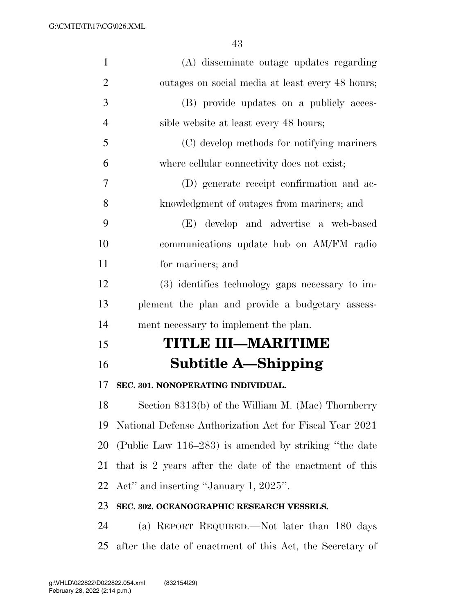| $\mathbf{1}$   | (A) disseminate outage updates regarding                |
|----------------|---------------------------------------------------------|
| $\overline{2}$ | outages on social media at least every 48 hours;        |
| 3              | (B) provide updates on a publicly acces-                |
| $\overline{4}$ | sible website at least every 48 hours;                  |
| 5              | (C) develop methods for notifying mariners              |
| 6              | where cellular connectivity does not exist;             |
| 7              | (D) generate receipt confirmation and ac-               |
| 8              | knowledgment of outages from mariners; and              |
| 9              | (E) develop and advertise a web-based                   |
| 10             | communications update hub on AM/FM radio                |
| 11             | for mariners; and                                       |
| 12             | (3) identifies technology gaps necessary to im-         |
| 13             | plement the plan and provide a budgetary assess-        |
| 14             | ment necessary to implement the plan.                   |
| 15             | TITLE III—MARITIME                                      |
| 16             | Subtitle A—Shipping                                     |
| 17             | SEC. 301. NONOPERATING INDIVIDUAL.                      |
| 18             | Section 8313(b) of the William M. (Mac) Thornberry      |
| 19             | National Defense Authorization Act for Fiscal Year 2021 |
| 20             | (Public Law 116–283) is amended by striking "the date   |
| 21             | that is 2 years after the date of the enactment of this |
| 22             | Act" and inserting "January 1, 2025".                   |
| 23             | SEC. 302. OCEANOGRAPHIC RESEARCH VESSELS.               |
| 24             | (a) REPORT REQUIRED.—Not later than 180 days            |
|                |                                                         |

after the date of enactment of this Act, the Secretary of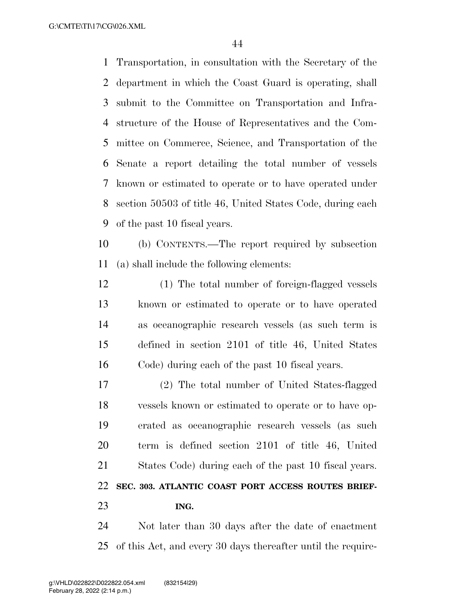G:\CMTE\TI\17\CG\026.XML

 Transportation, in consultation with the Secretary of the department in which the Coast Guard is operating, shall submit to the Committee on Transportation and Infra- structure of the House of Representatives and the Com- mittee on Commerce, Science, and Transportation of the Senate a report detailing the total number of vessels known or estimated to operate or to have operated under section 50503 of title 46, United States Code, during each of the past 10 fiscal years.

 (b) CONTENTS.—The report required by subsection (a) shall include the following elements:

 (1) The total number of foreign-flagged vessels known or estimated to operate or to have operated as oceanographic research vessels (as such term is defined in section 2101 of title 46, United States Code) during each of the past 10 fiscal years.

 (2) The total number of United States-flagged vessels known or estimated to operate or to have op- erated as oceanographic research vessels (as such term is defined section 2101 of title 46, United States Code) during each of the past 10 fiscal years. **SEC. 303. ATLANTIC COAST PORT ACCESS ROUTES BRIEF-ING.** 

 Not later than 30 days after the date of enactment of this Act, and every 30 days thereafter until the require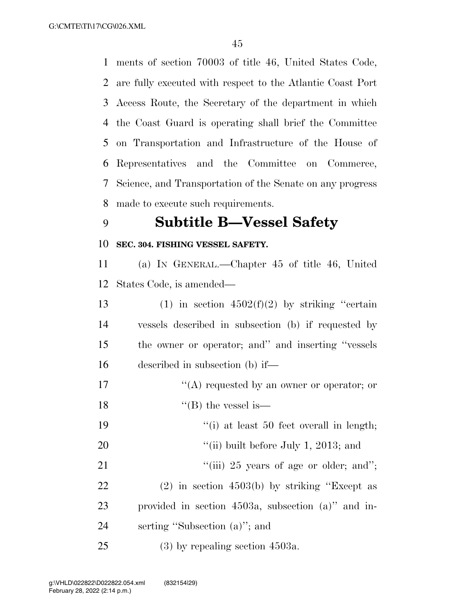ments of section 70003 of title 46, United States Code, are fully executed with respect to the Atlantic Coast Port Access Route, the Secretary of the department in which the Coast Guard is operating shall brief the Committee on Transportation and Infrastructure of the House of Representatives and the Committee on Commerce, Science, and Transportation of the Senate on any progress made to execute such requirements.

### **Subtitle B—Vessel Safety**

#### **SEC. 304. FISHING VESSEL SAFETY.**

 (a) IN GENERAL.—Chapter 45 of title 46, United States Code, is amended—

13 (1) in section  $4502(f)(2)$  by striking "certain vessels described in subsection (b) if requested by the owner or operator; and'' and inserting ''vessels described in subsection (b) if—

- 17  $\langle (A) \rangle$  requested by an owner or operator; or
- 18  $"$ (B) the vessel is—
- 19 ''(i) at least 50 feet overall in length;
- 20  $\frac{1}{20}$  (ii) built before July 1, 2013; and
- 21  $\frac{1}{1}$   $\frac{1}{25}$  years of age or older; and";
- (2) in section 4503(b) by striking ''Except as provided in section 4503a, subsection (a)'' and in-serting ''Subsection (a)''; and
- (3) by repealing section 4503a.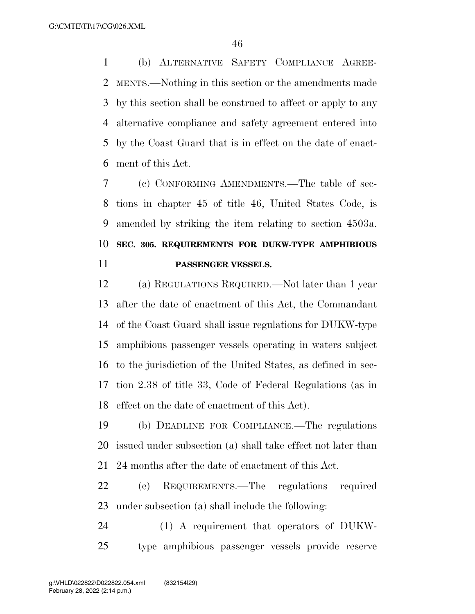(b) ALTERNATIVE SAFETY COMPLIANCE AGREE- MENTS.—Nothing in this section or the amendments made by this section shall be construed to affect or apply to any alternative compliance and safety agreement entered into by the Coast Guard that is in effect on the date of enact-ment of this Act.

 (c) CONFORMING AMENDMENTS.—The table of sec- tions in chapter 45 of title 46, United States Code, is amended by striking the item relating to section 4503a. **SEC. 305. REQUIREMENTS FOR DUKW-TYPE AMPHIBIOUS PASSENGER VESSELS.** 

 (a) REGULATIONS REQUIRED.—Not later than 1 year after the date of enactment of this Act, the Commandant of the Coast Guard shall issue regulations for DUKW-type amphibious passenger vessels operating in waters subject to the jurisdiction of the United States, as defined in sec- tion 2.38 of title 33, Code of Federal Regulations (as in effect on the date of enactment of this Act).

 (b) DEADLINE FOR COMPLIANCE.—The regulations issued under subsection (a) shall take effect not later than 24 months after the date of enactment of this Act.

 (c) REQUIREMENTS.—The regulations required under subsection (a) shall include the following:

 (1) A requirement that operators of DUKW-type amphibious passenger vessels provide reserve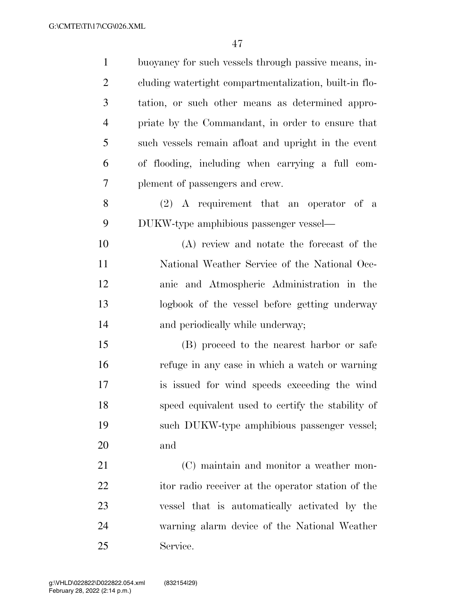| $\mathbf{1}$   | buoyancy for such vessels through passive means, in-   |
|----------------|--------------------------------------------------------|
| $\overline{2}$ | cluding watertight compartmentalization, built-in flo- |
| 3              | tation, or such other means as determined appro-       |
| $\overline{4}$ | priate by the Commandant, in order to ensure that      |
| 5              | such vessels remain afloat and upright in the event    |
| 6              | of flooding, including when carrying a full com-       |
| 7              | plement of passengers and crew.                        |
| 8              | $(2)$ A requirement that an operator of a              |
| 9              | DUKW-type amphibious passenger vessel—                 |
| 10             | (A) review and notate the forecast of the              |
| 11             | National Weather Service of the National Oce-          |
| 12             | anic and Atmospheric Administration in the             |
| 13             | logbook of the vessel before getting underway          |
| 14             | and periodically while underway;                       |
| 15             | (B) proceed to the nearest harbor or safe              |
| 16             | refuge in any case in which a watch or warning         |
| 17             | is issued for wind speeds exceeding the wind           |
| 18             | speed equivalent used to certify the stability of      |
| 19             | such DUKW-type amphibious passenger vessel;            |
| 20             | and                                                    |
| 21             | (C) maintain and monitor a weather mon-                |
| 22             | itor radio receiver at the operator station of the     |
| 23             | vessel that is automatically activated by the          |
| 24             | warning alarm device of the National Weather           |
| 25             | Service.                                               |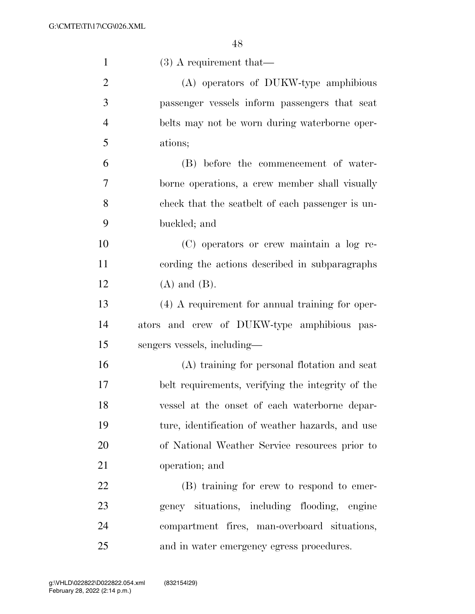| $\mathbf{1}$   | $(3)$ A requirement that—                         |
|----------------|---------------------------------------------------|
| $\overline{2}$ | (A) operators of DUKW-type amphibious             |
| 3              | passenger vessels inform passengers that seat     |
| $\overline{4}$ | belts may not be worn during waterborne oper-     |
| 5              | ations;                                           |
| 6              | (B) before the commencement of water-             |
| 7              | borne operations, a crew member shall visually    |
| 8              | check that the seatbelt of each passenger is un-  |
| 9              | buckled; and                                      |
| 10             | (C) operators or crew maintain a log re-          |
| 11             | cording the actions described in subparagraphs    |
| 12             | $(A)$ and $(B)$ .                                 |
| 13             | $(4)$ A requirement for annual training for oper- |
| 14             | ators and crew of DUKW-type amphibious pas-       |
| 15             | sengers vessels, including—                       |
| 16             | (A) training for personal flotation and seat      |
| 17             | belt requirements, verifying the integrity of the |
| 18             | vessel at the onset of each waterborne depar-     |
| 19             | ture, identification of weather hazards, and use  |
| 20             | of National Weather Service resources prior to    |
| 21             | operation; and                                    |
| 22             | (B) training for crew to respond to emer-         |
| 23             | gency situations, including flooding, engine      |
| 24             | compartment fires, man-overboard situations,      |
| 25             | and in water emergency egress procedures.         |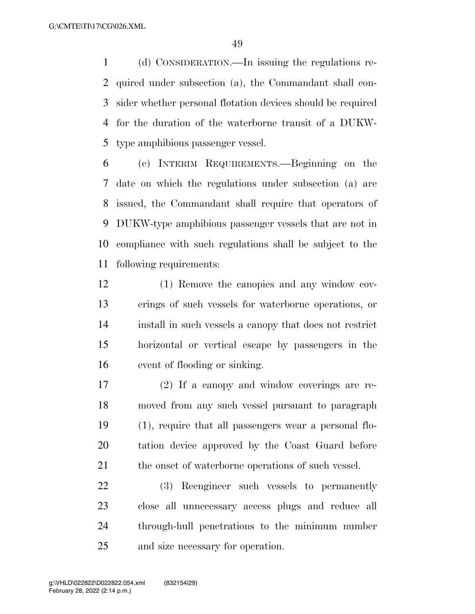(d) CONSIDERATION.—In issuing the regulations re- quired under subsection (a), the Commandant shall con- sider whether personal flotation devices should be required for the duration of the waterborne transit of a DUKW-type amphibious passenger vessel.

 (e) INTERIM REQUIREMENTS.—Beginning on the date on which the regulations under subsection (a) are issued, the Commandant shall require that operators of DUKW-type amphibious passenger vessels that are not in compliance with such regulations shall be subject to the following requirements:

- (1) Remove the canopies and any window cov- erings of such vessels for waterborne operations, or install in such vessels a canopy that does not restrict horizontal or vertical escape by passengers in the event of flooding or sinking.
- (2) If a canopy and window coverings are re- moved from any such vessel pursuant to paragraph (1), require that all passengers wear a personal flo- tation device approved by the Coast Guard before 21 the onset of waterborne operations of such vessel.

 (3) Reengineer such vessels to permanently close all unnecessary access plugs and reduce all through-hull penetrations to the minimum number and size necessary for operation.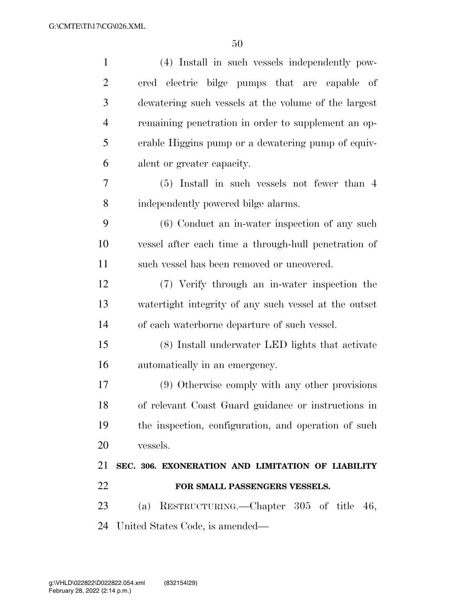| $\mathbf{1}$   | (4) Install in such vessels independently pow-        |
|----------------|-------------------------------------------------------|
| $\overline{2}$ | ered electric bilge pumps that are capable of         |
| 3              | dewatering such vessels at the volume of the largest  |
| $\overline{4}$ | remaining penetration in order to supplement an op-   |
| 5              | erable Higgins pump or a dewatering pump of equiv-    |
| 6              | alent or greater capacity.                            |
| 7              | $(5)$ Install in such vessels not fewer than 4        |
| 8              | independently powered bilge alarms.                   |
| 9              | $(6)$ Conduct an in-water inspection of any such      |
| 10             | vessel after each time a through-hull penetration of  |
| 11             | such vessel has been removed or uncovered.            |
| 12             | (7) Verify through an in-water inspection the         |
| 13             | watertight integrity of any such vessel at the outset |
| 14             | of each waterborne departure of such vessel.          |
| 15             | (8) Install underwater LED lights that activate       |
| 16             | automatically in an emergency.                        |
| 17             | (9) Otherwise comply with any other provisions        |
| 18             | of relevant Coast Guard guidance or instructions in   |
| 19             | the inspection, configuration, and operation of such  |
| 20             | vessels.                                              |
| 21             | SEC. 306. EXONERATION AND LIMITATION OF LIABILITY     |
| 22             | FOR SMALL PASSENGERS VESSELS.                         |
| 23             | (a) RESTRUCTURING.—Chapter 305 of title 46,           |
|                |                                                       |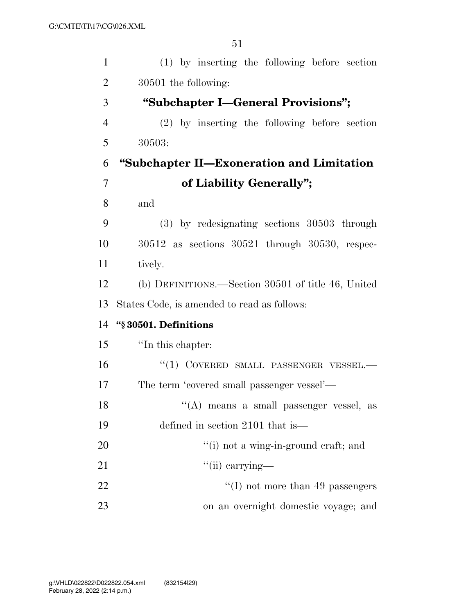| $\mathbf{1}$   | (1) by inserting the following before section         |
|----------------|-------------------------------------------------------|
| $\overline{2}$ | 30501 the following:                                  |
| 3              | "Subchapter I—General Provisions";                    |
| $\overline{4}$ | $(2)$ by inserting the following before section       |
| 5              | 30503:                                                |
| 6              | "Subchapter II—Exoneration and Limitation             |
| $\overline{7}$ | of Liability Generally";                              |
| 8              | and                                                   |
| 9              | $(3)$ by redesignating sections 30503 through         |
| 10             | $30512$ as sections $30521$ through $30530$ , respec- |
| 11             | tively.                                               |
| 12             | (b) DEFINITIONS.—Section 30501 of title 46, United    |
| 13             | States Code, is amended to read as follows:           |
| 14             | "§30501. Definitions                                  |
| 15             | "In this chapter:                                     |
| 16             | "(1) COVERED SMALL PASSENGER VESSEL.-                 |
| 17             | The term 'covered small passenger vessel'—            |
| 18             | "(A) means a small passenger vessel, as               |
| 19             | defined in section 2101 that is—                      |
| 20             | "(i) not a wing-in-ground craft; and                  |
| 21             | $\lq\lq$ (ii) carrying—                               |
| 22             | $\lq\lq$ (I) not more than 49 passengers              |
| 23             | on an overnight domestic voyage; and                  |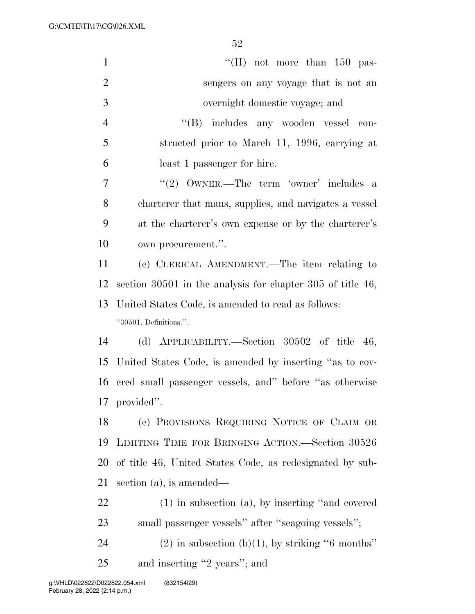G:\CMTE\TI\17\CG\026.XML

| $\mathbf{1}$   | "(II) not more than $150$ pas-                               |
|----------------|--------------------------------------------------------------|
| $\overline{2}$ | sengers on any voyage that is not an                         |
| 3              | overnight domestic voyage; and                               |
| $\overline{4}$ | "(B) includes any wooden vessel<br>con-                      |
| 5              | structed prior to March 11, 1996, carrying at                |
| 6              | least 1 passenger for hire.                                  |
| 7              | "(2) $\text{OWNER.}$ -The term 'owner' includes a            |
| 8              | charterer that mans, supplies, and navigates a vessel        |
| 9              | at the charterer's own expense or by the charterer's         |
| 10             | own procurement.".                                           |
| 11             | (c) CLERICAL AMENDMENT.—The item relating to                 |
| 12             | section $30501$ in the analysis for chapter 305 of title 46, |
| 13             | United States Code, is amended to read as follows:           |
|                | "30501. Definitions.".                                       |
| 14             | (d) APPLICABILITY.—Section $30502$ of title 46,              |
| 15             | United States Code, is amended by inserting "as to cov-      |
| 16             | ered small passenger vessels, and" before "as otherwise      |
|                | 17 provided".                                                |
| 18             | (e) PROVISIONS REQUIRING NOTICE OF CLAIM OR                  |
| 19             | LIMITING TIME FOR BRINGING ACTION.—Section 30526             |
| 20             | of title 46, United States Code, as redesignated by sub-     |
| 21             | section $(a)$ , is amended—                                  |
| 22             | $(1)$ in subsection $(a)$ , by inserting "and covered"       |
| 23             | small passenger vessels" after "seagoing vessels";           |
| 24             | $(2)$ in subsection (b)(1), by striking "6 months"           |
|                |                                                              |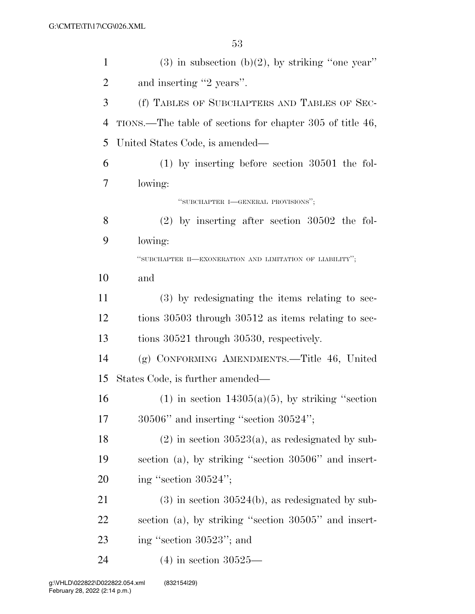| $\mathbf{1}$   | $(3)$ in subsection $(b)(2)$ , by striking "one year"     |
|----------------|-----------------------------------------------------------|
| $\overline{2}$ | and inserting "2 years".                                  |
| 3              | (f) TABLES OF SUBCHAPTERS AND TABLES OF SEC-              |
| 4              | TIONS.—The table of sections for chapter 305 of title 46, |
| 5              | United States Code, is amended—                           |
| 6              | $(1)$ by inserting before section 30501 the fol-          |
| 7              | lowing:                                                   |
|                | "SUBCHAPTER I-GENERAL PROVISIONS";                        |
| 8              | $(2)$ by inserting after section 30502 the fol-           |
| 9              | lowing:                                                   |
|                | "SUBCHAPTER II-EXONERATION AND LIMITATION OF LIABILITY";  |
| 10             | and                                                       |
| 11             | $(3)$ by redesignating the items relating to sec-         |
| 12             | tions 30503 through 30512 as items relating to sec-       |
| 13             | tions 30521 through 30530, respectively.                  |
| 14             | (g) CONFORMING AMENDMENTS.—Title 46, United               |
| 15             | States Code, is further amended—                          |
| 16             | $(1)$ in section 14305(a)(5), by striking "section        |
| 17             | $30506"$ and inserting "section $30524"$ ;                |
| 18             | $(2)$ in section 30523(a), as redesignated by sub-        |
| 19             | section (a), by striking "section 30506" and insert-      |
| 20             | ing "section $30524$ ";                                   |
| 21             | $(3)$ in section 30524(b), as redesignated by sub-        |
| 22             | section (a), by striking "section 30505" and insert-      |
| 23             | ing "section 30523"; and                                  |
| 24             | $(4)$ in section 30525—                                   |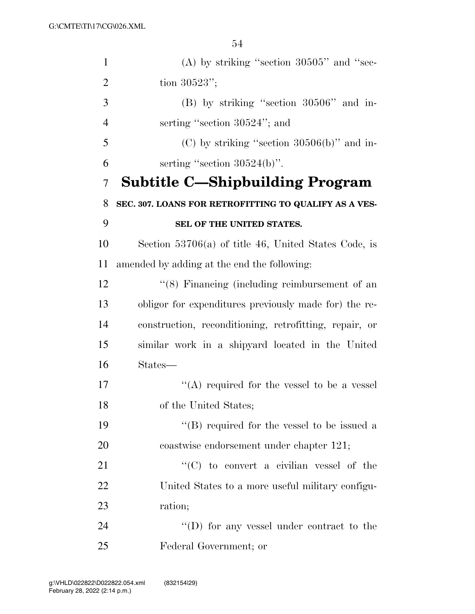| $\mathbf{1}$   | (A) by striking "section $30505$ " and "sec-           |
|----------------|--------------------------------------------------------|
| $\overline{2}$ | tion 30523";                                           |
| 3              | $(B)$ by striking "section 30506" and in-              |
| $\overline{4}$ | serting "section 30524"; and                           |
| 5              | $(C)$ by striking "section 30506(b)" and in-           |
| 6              | serting "section $30524(b)$ ".                         |
| 7              | <b>Subtitle C—Shipbuilding Program</b>                 |
| 8              | SEC. 307. LOANS FOR RETROFITTING TO QUALIFY AS A VES-  |
| 9              | SEL OF THE UNITED STATES.                              |
| 10             | Section $53706(a)$ of title 46, United States Code, is |
| 11             | amended by adding at the end the following:            |
| 12             | $\lq(8)$ Financing (including reimbursement of an      |
| 13             | obligor for expenditures previously made for) the re-  |
| 14             | construction, reconditioning, retrofitting, repair, or |
| 15             | similar work in a shipyard located in the United       |
| 16             | States—                                                |
| 17             | "(A) required for the vessel to be a vessel            |
| 18             | of the United States;                                  |
| 19             | "(B) required for the vessel to be issued a            |
| 20             | coastwise endorsement under chapter 121;               |
| 21             | "(C) to convert a civilian vessel of the               |
| 22             | United States to a more useful military configu-       |
| 23             | ration;                                                |
| 24             | $\lq\lq$ (D) for any vessel under contract to the      |
| 25             | Federal Government; or                                 |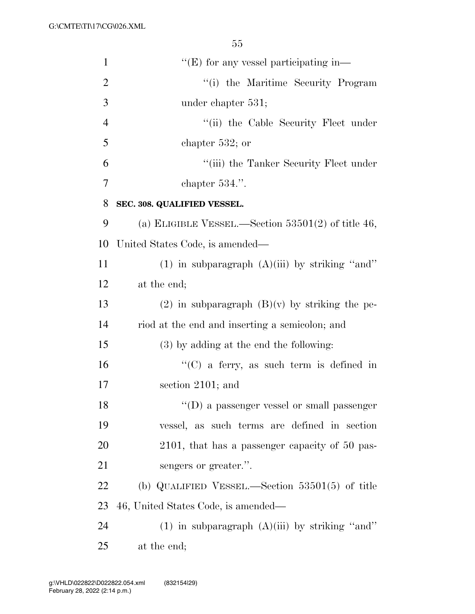| $\mathbf{1}$   | $\lq\lq$ (E) for any vessel participating in-        |
|----------------|------------------------------------------------------|
| $\overline{2}$ | "(i) the Maritime Security Program                   |
| 3              | under chapter 531;                                   |
| $\overline{4}$ | "(ii) the Cable Security Fleet under                 |
| 5              | chapter $532$ ; or                                   |
| 6              | "(iii) the Tanker Security Fleet under               |
| 7              | chapter $534$ .".                                    |
| 8              | SEC. 308. QUALIFIED VESSEL.                          |
| 9              | (a) ELIGIBLE VESSEL.—Section $53501(2)$ of title 46, |
| 10             | United States Code, is amended—                      |
| 11             | $(1)$ in subparagraph $(A)(iii)$ by striking "and"   |
| 12             | at the end;                                          |
| 13             | (2) in subparagraph $(B)(v)$ by striking the pe-     |
| 14             | riod at the end and inserting a semicolon; and       |
| 15             | $(3)$ by adding at the end the following:            |
| 16             | "(C) a ferry, as such term is defined in             |
| 17             | section 2101; and                                    |
| 18             | $\lq\lq$ (D) a passenger vessel or small passenger   |
| 19             | vessel, as such terms are defined in section         |
| 20             | 2101, that has a passenger capacity of 50 pas-       |
| 21             | sengers or greater.".                                |
| 22             | (b) QUALIFIED VESSEL.—Section $53501(5)$ of title    |
| 23             | 46, United States Code, is amended—                  |
| 24             | $(1)$ in subparagraph $(A)(iii)$ by striking "and"   |
| 25             | at the end;                                          |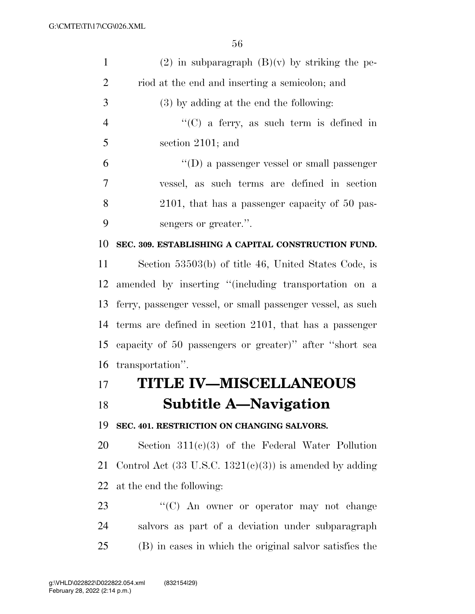| $\mathbf{1}$   | $(2)$ in subparagraph $(B)(v)$ by striking the pe-                 |
|----------------|--------------------------------------------------------------------|
| $\overline{2}$ | riod at the end and inserting a semicolon; and                     |
| 3              | (3) by adding at the end the following:                            |
| $\overline{4}$ | " $(C)$ a ferry, as such term is defined in                        |
| 5              | section 2101; and                                                  |
| 6              | $\lq\lq$ (D) a passenger vessel or small passenger                 |
| 7              | vessel, as such terms are defined in section                       |
| 8              | 2101, that has a passenger capacity of 50 pas-                     |
| 9              | sengers or greater.".                                              |
| 10             | SEC. 309. ESTABLISHING A CAPITAL CONSTRUCTION FUND.                |
| 11             | Section 53503(b) of title 46, United States Code, is               |
| 12             | amended by inserting "(including transportation on a               |
| 13             | ferry, passenger vessel, or small passenger vessel, as such        |
| 14             | terms are defined in section 2101, that has a passenger            |
| 15             | capacity of 50 passengers or greater)" after "short sea            |
| 16             | transportation".                                                   |
| 17             | TITLE IV-MISCELLANEOUS                                             |
| 18             | <b>Subtitle A—Navigation</b>                                       |
| 19             | SEC. 401. RESTRICTION ON CHANGING SALVORS.                         |
| 20             | Section $311(c)(3)$ of the Federal Water Pollution                 |
| 21             | Control Act $(33 \text{ U.S.C. } 1321(c)(3))$ is amended by adding |
| 22             | at the end the following:                                          |
| 23             | " $(C)$ An owner or operator may not change                        |
| 24             | salvors as part of a deviation under subparagraph                  |
| 25             | (B) in cases in which the original salvor satisfies the            |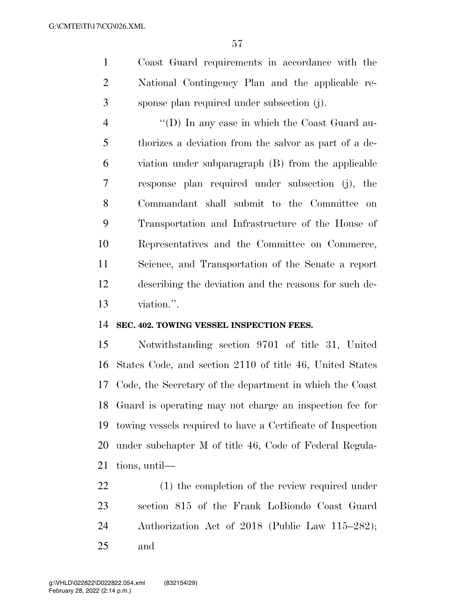Coast Guard requirements in accordance with the National Contingency Plan and the applicable re-sponse plan required under subsection (j).

 ''(D) In any case in which the Coast Guard au- thorizes a deviation from the salvor as part of a de- viation under subparagraph (B) from the applicable response plan required under subsection (j), the Commandant shall submit to the Committee on Transportation and Infrastructure of the House of Representatives and the Committee on Commerce, Science, and Transportation of the Senate a report describing the deviation and the reasons for such de-viation.''.

#### **SEC. 402. TOWING VESSEL INSPECTION FEES.**

 Notwithstanding section 9701 of title 31, United States Code, and section 2110 of title 46, United States Code, the Secretary of the department in which the Coast Guard is operating may not charge an inspection fee for towing vessels required to have a Certificate of Inspection under subchapter M of title 46, Code of Federal Regula-tions, until—

 (1) the completion of the review required under section 815 of the Frank LoBiondo Coast Guard Authorization Act of 2018 (Public Law 115–282); and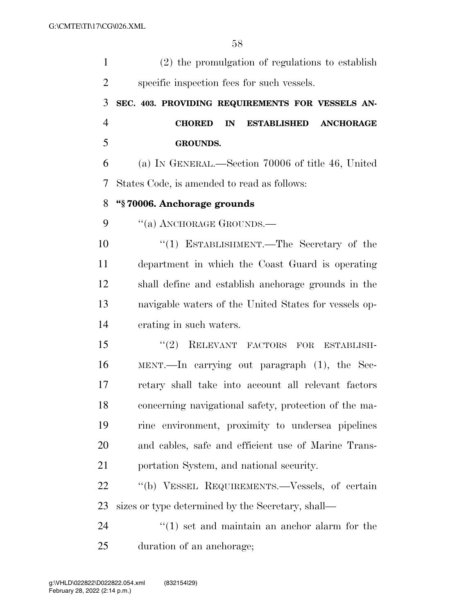| $\mathbf{1}$   | (2) the promulgation of regulations to establish              |
|----------------|---------------------------------------------------------------|
| $\overline{2}$ | specific inspection fees for such vessels.                    |
| 3              | SEC. 403. PROVIDING REQUIREMENTS FOR VESSELS AN-              |
| $\overline{4}$ | <b>CHORED</b><br>IN<br><b>ESTABLISHED</b><br><b>ANCHORAGE</b> |
| 5              | <b>GROUNDS.</b>                                               |
| 6              | (a) IN GENERAL.—Section 70006 of title 46, United             |
| 7              | States Code, is amended to read as follows:                   |
| 8              | "§70006. Anchorage grounds                                    |
| 9              | "(a) ANCHORAGE GROUNDS.—                                      |
| 10             | "(1) ESTABLISHMENT.—The Secretary of the                      |
| 11             | department in which the Coast Guard is operating              |
| 12             | shall define and establish anchorage grounds in the           |
| 13             | navigable waters of the United States for vessels op-         |
| 14             | erating in such waters.                                       |
| 15             | "(2) RELEVANT FACTORS FOR ESTABLISH-                          |
| 16             | MENT.—In carrying out paragraph $(1)$ , the Sec-              |
| 17             | retary shall take into account all relevant factors           |
| 18             | concerning navigational safety, protection of the ma-         |
| 19             | rine environment, proximity to undersea pipelines             |
| 20             | and cables, safe and efficient use of Marine Trans-           |
| 21             | portation System, and national security.                      |
| 22             | "(b) VESSEL REQUIREMENTS.—Vessels, of certain                 |
| 23             | sizes or type determined by the Secretary, shall—             |
| 24             | $\cdot$ (1) set and maintain an anchor alarm for the          |
| 25             | duration of an anchorage;                                     |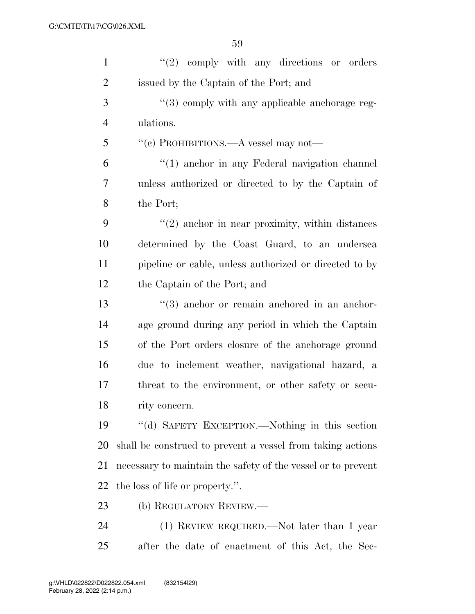| $\mathbf{1}$   | $(2)$ comply with any directions or orders                   |
|----------------|--------------------------------------------------------------|
| $\overline{2}$ | issued by the Captain of the Port; and                       |
| 3              | "(3) comply with any applicable anchorage reg-               |
| $\overline{4}$ | ulations.                                                    |
| 5              | "(c) PROHIBITIONS.—A vessel may not—                         |
| 6              | "(1) anchor in any Federal navigation channel                |
| 7              | unless authorized or directed to by the Captain of           |
| 8              | the Port;                                                    |
| 9              | $"(2)$ anchor in near proximity, within distances            |
| 10             | determined by the Coast Guard, to an undersea                |
| 11             | pipeline or cable, unless authorized or directed to by       |
| 12             | the Captain of the Port; and                                 |
| 13             | $(3)$ anchor or remain anchored in an anchor-                |
| 14             | age ground during any period in which the Captain            |
| 15             | of the Port orders closure of the anchorage ground           |
| 16             | due to inclement weather, navigational hazard, a             |
| 17             | threat to the environment, or other safety or secu-          |
| 18             | rity concern.                                                |
| 19             | "(d) SAFETY EXCEPTION.—Nothing in this section               |
| <b>20</b>      | shall be construed to prevent a vessel from taking actions   |
| 21             | necessary to maintain the safety of the vessel or to prevent |
| 22             | the loss of life or property.".                              |
| 23             | (b) REGULATORY REVIEW.—                                      |
| 24             | $(1)$ REVIEW REQUIRED.—Not later than 1 year                 |
| 25             | after the date of enactment of this Act, the Sec-            |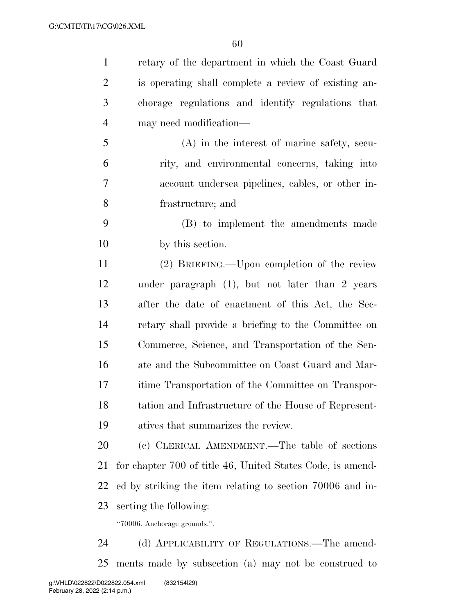| $\mathbf{1}$   | retary of the department in which the Coast Guard          |
|----------------|------------------------------------------------------------|
| $\overline{2}$ | is operating shall complete a review of existing an-       |
| 3              | chorage regulations and identify regulations that          |
| $\overline{4}$ | may need modification—                                     |
| 5              | $(A)$ in the interest of marine safety, secu-              |
| 6              | rity, and environmental concerns, taking into              |
| 7              | account undersea pipelines, cables, or other in-           |
| 8              | frastructure; and                                          |
| 9              | (B) to implement the amendments made                       |
| 10             | by this section.                                           |
| 11             | (2) BRIEFING.—Upon completion of the review                |
| 12             | under paragraph $(1)$ , but not later than 2 years         |
| 13             | after the date of enactment of this Act, the Sec-          |
| 14             | retary shall provide a briefing to the Committee on        |
| 15             | Commerce, Science, and Transportation of the Sen-          |
| 16             | ate and the Subcommittee on Coast Guard and Mar-           |
| 17             | itime Transportation of the Committee on Transpor-         |
| 18             | tation and Infrastructure of the House of Represent-       |
| 19             | atives that summarizes the review.                         |
| 20             | (c) CLERICAL AMENDMENT.—The table of sections              |
| 21             | for chapter 700 of title 46, United States Code, is amend- |
| 22             | ed by striking the item relating to section 70006 and in-  |
| 23             | serting the following:                                     |
|                | "70006. Anchorage grounds.".                               |
| 24             | (d) APPLICABILITY OF REGULATIONS.—The amend-               |

ments made by subsection (a) may not be construed to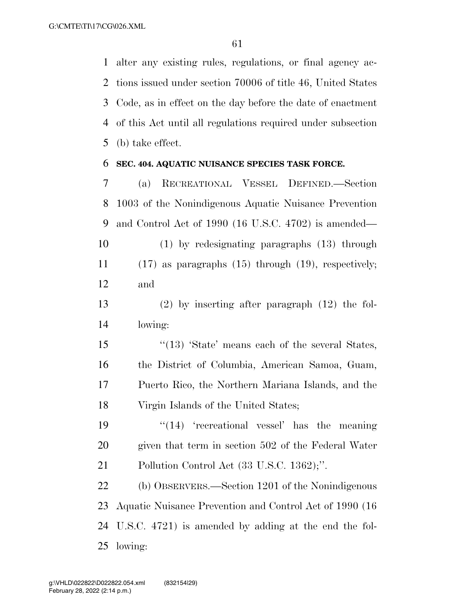alter any existing rules, regulations, or final agency ac- tions issued under section 70006 of title 46, United States Code, as in effect on the day before the date of enactment of this Act until all regulations required under subsection (b) take effect.

#### **SEC. 404. AQUATIC NUISANCE SPECIES TASK FORCE.**

 (a) RECREATIONAL VESSEL DEFINED.—Section 1003 of the Nonindigenous Aquatic Nuisance Prevention and Control Act of 1990 (16 U.S.C. 4702) is amended— (1) by redesignating paragraphs (13) through

 (17) as paragraphs (15) through (19), respectively; and

 (2) by inserting after paragraph (12) the fol-lowing:

15 ''(13) 'State' means each of the several States, the District of Columbia, American Samoa, Guam, Puerto Rico, the Northern Mariana Islands, and the Virgin Islands of the United States;

19  $\frac{1}{2}$   $\frac{1}{2}$  'recreational vessel' has the meaning given that term in section 502 of the Federal Water Pollution Control Act (33 U.S.C. 1362);''.

 (b) OBSERVERS.—Section 1201 of the Nonindigenous Aquatic Nuisance Prevention and Control Act of 1990 (16 U.S.C. 4721) is amended by adding at the end the fol-lowing: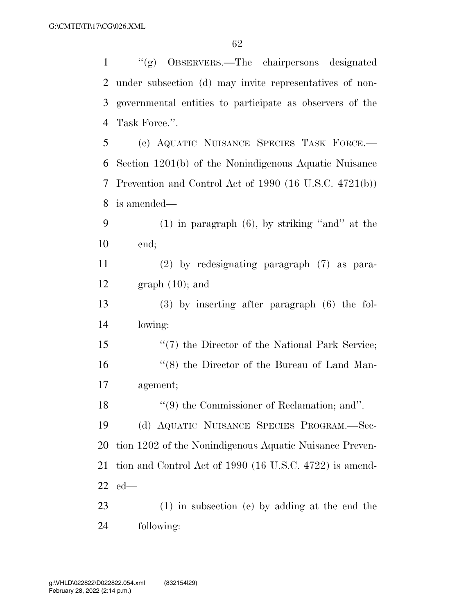| $\mathbf{1}$   | "(g) OBSERVERS.—The chairpersons designated              |
|----------------|----------------------------------------------------------|
| 2              | under subsection (d) may invite representatives of non-  |
| 3              | governmental entities to participate as observers of the |
| $\overline{4}$ | Task Force.".                                            |
| 5              | (c) AQUATIC NUISANCE SPECIES TASK FORCE.                 |
| 6              | Section 1201(b) of the Nonindigenous Aquatic Nuisance    |
| 7              | Prevention and Control Act of 1990 (16 U.S.C. 4721(b))   |
| 8              | is amended—                                              |
| 9              | $(1)$ in paragraph $(6)$ , by striking "and" at the      |
| 10             | end;                                                     |
| 11             | $(2)$ by redesignating paragraph $(7)$ as para-          |
| 12             | $graph(10)$ ; and                                        |
| 13             | $(3)$ by inserting after paragraph $(6)$ the fol-        |
| 14             | lowing:                                                  |
| 15             | $\lq(7)$ the Director of the National Park Service;      |
| 16             | "(8) the Director of the Bureau of Land Man-             |
| 17             | agement;                                                 |
| 18             | $\lq(9)$ the Commissioner of Reclamation; and".          |
| 19             | (d) AQUATIC NUISANCE SPECIES PROGRAM.—Sec-               |
| 20             | tion 1202 of the Nonindigenous Aquatic Nuisance Preven-  |
| 21             | tion and Control Act of 1990 (16 U.S.C. 4722) is amend-  |
| 22             | $_{\text{ed}}-$                                          |
| 23             | $(1)$ in subsection (e) by adding at the end the         |
| 24             | following:                                               |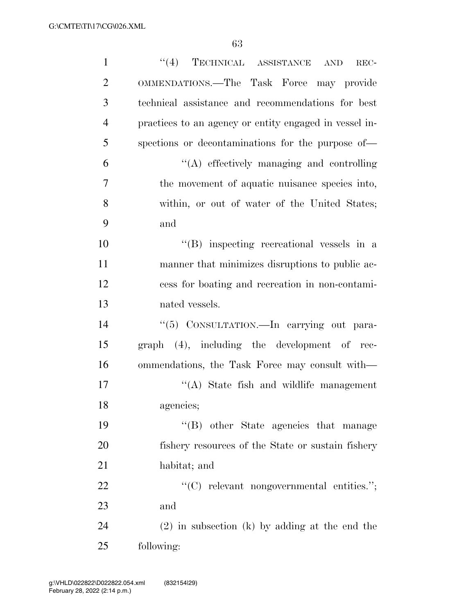| $\mathbf{1}$   | $``(4)$ TECHNICAL ASSISTANCE<br><b>AND</b><br>REC-     |
|----------------|--------------------------------------------------------|
| $\overline{2}$ | <b>OMMENDATIONS.—The Task Force may provide</b>        |
| 3              | technical assistance and recommendations for best      |
| $\overline{4}$ | practices to an agency or entity engaged in vessel in- |
| 5              | spections or decontaminations for the purpose of-      |
| 6              | "(A) effectively managing and controlling              |
| 7              | the movement of aquatic nuisance species into,         |
| 8              | within, or out of water of the United States;          |
| 9              | and                                                    |
| 10             | $\lq\lq$ inspecting recreational vessels in a          |
| 11             | manner that minimizes disruptions to public ac-        |
| 12             | cess for boating and recreation in non-contami-        |
| 13             | nated vessels.                                         |
| 14             | "(5) CONSULTATION.—In carrying out para-               |
| 15             | $graph$ $(4)$ , including the development of rec-      |
| 16             | ommendations, the Task Force may consult with—         |
| 17             | "(A) State fish and wildlife management                |
| 18             | agencies;                                              |
| 19             | "(B) other State agencies that manage                  |
| 20             | fishery resources of the State or sustain fishery      |
| 21             | habitat; and                                           |
| 22             | " $(C)$ relevant nongovernmental entities.";           |
| 23             | and                                                    |
| 24             | $(2)$ in subsection (k) by adding at the end the       |
| 25             | following:                                             |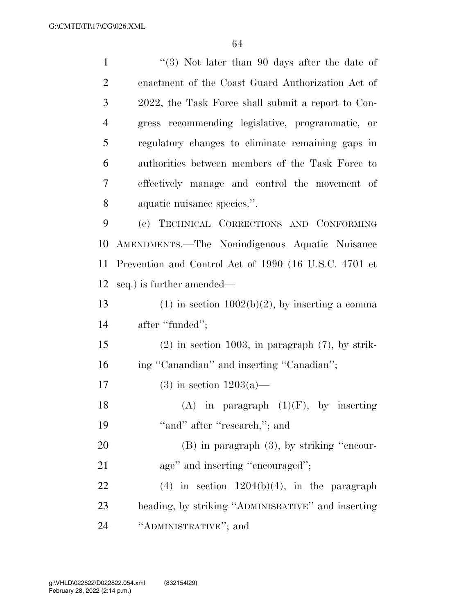| $\mathbf{1}$   | $(3)$ Not later than 90 days after the date of        |
|----------------|-------------------------------------------------------|
| $\overline{2}$ | enactment of the Coast Guard Authorization Act of     |
| 3              | 2022, the Task Force shall submit a report to Con-    |
| $\overline{4}$ | gress recommending legislative, programmatic, or      |
| 5              | regulatory changes to eliminate remaining gaps in     |
| 6              | authorities between members of the Task Force to      |
| 7              | effectively manage and control the movement of        |
| 8              | aquatic nuisance species.".                           |
| 9              | (e) TECHNICAL CORRECTIONS AND CONFORMING              |
| 10             | AMENDMENTS.—The Nonindigenous Aquatic Nuisance        |
| 11             | Prevention and Control Act of 1990 (16 U.S.C. 4701 et |
| 12             | seq.) is further amended—                             |
| 13             | $(1)$ in section $1002(b)(2)$ , by inserting a comma  |
| 14             | after "funded";                                       |
| 15             | $(2)$ in section 1003, in paragraph $(7)$ , by strik- |
| 16             | ing "Canandian" and inserting "Canadian";             |
| 17             | $(3)$ in section $1203(a)$ —                          |
| 18             | (A) in paragraph $(1)(F)$ , by inserting              |
| 19             | "and" after "research,"; and                          |
| 20             | $(B)$ in paragraph $(3)$ , by striking "encour-       |
| 21             | age" and inserting "encouraged";                      |
| 22             | $(4)$ in section $1204(b)(4)$ , in the paragraph      |
| 23             | heading, by striking "ADMINISRATIVE" and inserting    |
| 24             | "ADMINISTRATIVE"; and                                 |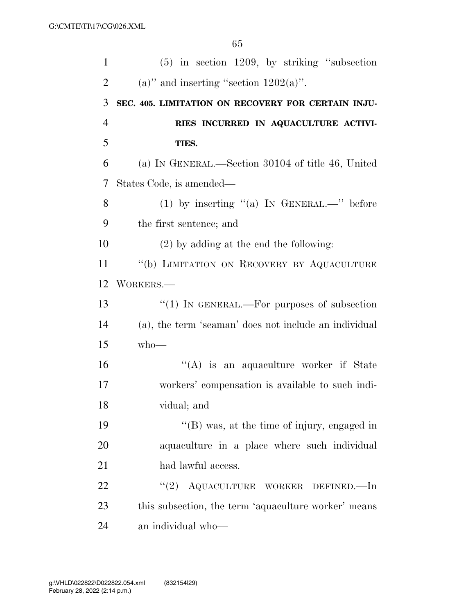| $\mathbf{1}$   | $(5)$ in section 1209, by striking "subsection        |
|----------------|-------------------------------------------------------|
| $\overline{2}$ | (a)" and inserting "section $1202(a)$ ".              |
| 3              | SEC. 405. LIMITATION ON RECOVERY FOR CERTAIN INJU-    |
| $\overline{4}$ | RIES INCURRED IN AQUACULTURE ACTIVI-                  |
| 5              | TIES.                                                 |
| 6              | (a) IN GENERAL.—Section 30104 of title 46, United     |
| 7              | States Code, is amended—                              |
| 8              | (1) by inserting "(a) IN GENERAL.—" before            |
| 9              | the first sentence; and                               |
| 10             | $(2)$ by adding at the end the following:             |
| 11             | "(b) LIMITATION ON RECOVERY BY AQUACULTURE            |
| 12             | WORKERS.-                                             |
| 13             | " $(1)$ IN GENERAL.—For purposes of subsection        |
| 14             | (a), the term 'seaman' does not include an individual |
| 15             | $who$ —                                               |
| 16             | "(A) is an aquaculture worker if State                |
| 17             | workers' compensation is available to such indi-      |
| 18             | vidual; and                                           |
| 19             | "(B) was, at the time of injury, engaged in           |
| 20             | aquaculture in a place where such individual          |
| 21             | had lawful access.                                    |
| 22             | (2)<br>AQUACULTURE WORKER DEFINED.—In                 |
| 23             | this subsection, the term 'aquaculture worker' means  |
| 24             | an individual who-                                    |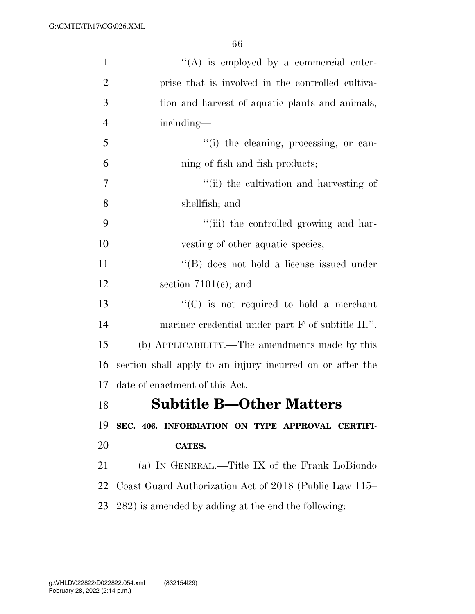| $\mathbf{1}$   | $\lq\lq$ is employed by a commercial enter-               |
|----------------|-----------------------------------------------------------|
| $\overline{2}$ | prise that is involved in the controlled cultiva-         |
| 3              | tion and harvest of aquatic plants and animals,           |
| $\overline{4}$ | including—                                                |
| 5              | "(i) the cleaning, processing, or can-                    |
| 6              | ning of fish and fish products;                           |
| 7              | "(ii) the cultivation and harvesting of                   |
| 8              | shellfish; and                                            |
| 9              | "(iii) the controlled growing and har-                    |
| 10             | vesting of other aquatic species;                         |
| 11             | "(B) does not hold a license issued under                 |
| 12             | section $7101(e)$ ; and                                   |
| 13             | $\lq\lq$ (C) is not required to hold a merchant           |
| 14             | mariner credential under part F of subtitle II.".         |
| 15             | (b) APPLICABILITY.—The amendments made by this            |
| 16             | section shall apply to an injury incurred on or after the |
| 17             | date of enactment of this Act.                            |
| 18             | <b>Subtitle B-Other Matters</b>                           |
| 19             | SEC. 406. INFORMATION ON TYPE APPROVAL CERTIFI-           |
| 20             | CATES.                                                    |
| 21             | (a) IN GENERAL.—Title IX of the Frank LoBiondo            |
| 22             | Coast Guard Authorization Act of 2018 (Public Law 115–    |
| 23             | 282) is amended by adding at the end the following:       |
|                |                                                           |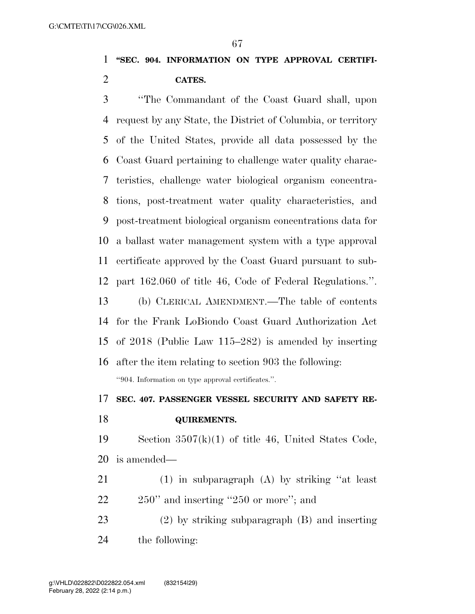## **''SEC. 904. INFORMATION ON TYPE APPROVAL CERTIFI-CATES.**

 ''The Commandant of the Coast Guard shall, upon request by any State, the District of Columbia, or territory of the United States, provide all data possessed by the Coast Guard pertaining to challenge water quality charac- teristics, challenge water biological organism concentra- tions, post-treatment water quality characteristics, and post-treatment biological organism concentrations data for a ballast water management system with a type approval certificate approved by the Coast Guard pursuant to sub-part 162.060 of title 46, Code of Federal Regulations.''.

 (b) CLERICAL AMENDMENT.—The table of contents for the Frank LoBiondo Coast Guard Authorization Act of 2018 (Public Law 115–282) is amended by inserting

 after the item relating to section 903 the following: ''904. Information on type approval certificates.''.

#### **SEC. 407. PASSENGER VESSEL SECURITY AND SAFETY RE-**

**QUIREMENTS.** 

 Section 3507(k)(1) of title 46, United States Code, is amended—

- (1) in subparagraph (A) by striking ''at least 22 250" and inserting "250 or more"; and
- (2) by striking subparagraph (B) and inserting

the following: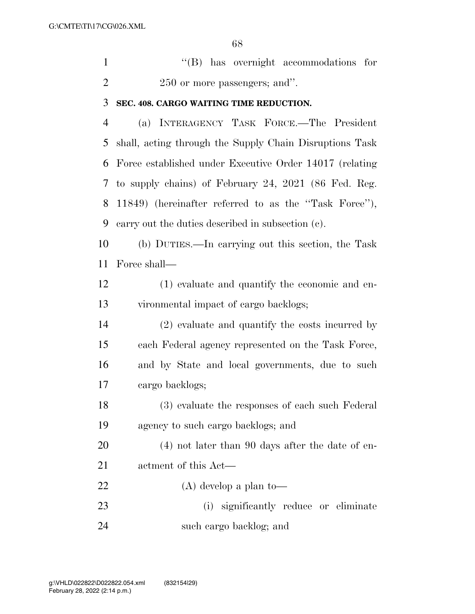''(B) has overnight accommodations for 2 250 or more passengers; and".

#### **SEC. 408. CARGO WAITING TIME REDUCTION.**

 (a) INTERAGENCY TASK FORCE.—The President shall, acting through the Supply Chain Disruptions Task Force established under Executive Order 14017 (relating to supply chains) of February 24, 2021 (86 Fed. Reg. 11849) (hereinafter referred to as the ''Task Force''), carry out the duties described in subsection (c).

 (b) DUTIES.—In carrying out this section, the Task Force shall—

 (1) evaluate and quantify the economic and en-vironmental impact of cargo backlogs;

 (2) evaluate and quantify the costs incurred by each Federal agency represented on the Task Force, and by State and local governments, due to such cargo backlogs;

 (3) evaluate the responses of each such Federal agency to such cargo backlogs; and

 (4) not later than 90 days after the date of en-actment of this Act—

(A) develop a plan to—

 (i) significantly reduce or eliminate such cargo backlog; and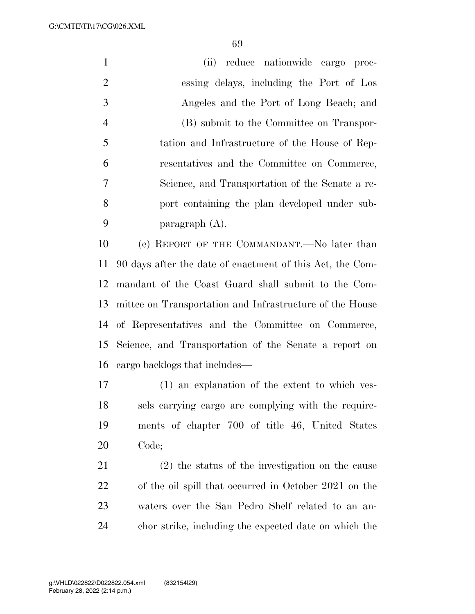G:\CMTE\TI\17\CG\026.XML

 (ii) reduce nationwide cargo proc- essing delays, including the Port of Los Angeles and the Port of Long Beach; and (B) submit to the Committee on Transpor- tation and Infrastructure of the House of Rep- resentatives and the Committee on Commerce, Science, and Transportation of the Senate a re- port containing the plan developed under sub-paragraph (A).

 (c) REPORT OF THE COMMANDANT.—No later than 90 days after the date of enactment of this Act, the Com- mandant of the Coast Guard shall submit to the Com- mittee on Transportation and Infrastructure of the House of Representatives and the Committee on Commerce, Science, and Transportation of the Senate a report on cargo backlogs that includes—

 (1) an explanation of the extent to which ves- sels carrying cargo are complying with the require- ments of chapter 700 of title 46, United States Code;

 (2) the status of the investigation on the cause of the oil spill that occurred in October 2021 on the waters over the San Pedro Shelf related to an an-chor strike, including the expected date on which the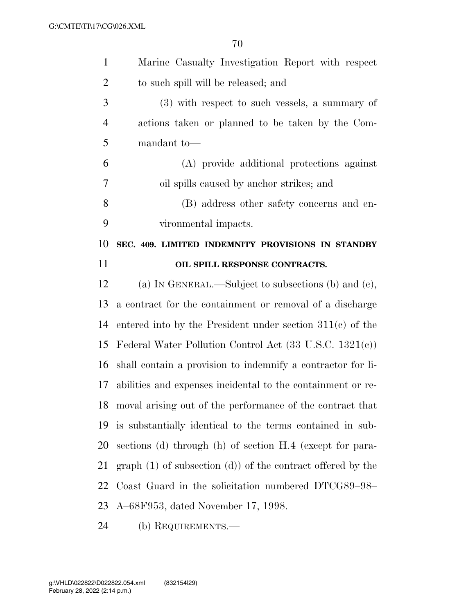| $\mathbf{1}$   | Marine Casualty Investigation Report with respect                  |
|----------------|--------------------------------------------------------------------|
| $\overline{2}$ | to such spill will be released; and                                |
| 3              | $(3)$ with respect to such vessels, a summary of                   |
| $\overline{4}$ | actions taken or planned to be taken by the Com-                   |
| 5              | mandant to-                                                        |
| 6              | (A) provide additional protections against                         |
| $\overline{7}$ | oil spills caused by anchor strikes; and                           |
| 8              | (B) address other safety concerns and en-                          |
| 9              | vironmental impacts.                                               |
| 10             | SEC. 409. LIMITED INDEMNITY PROVISIONS IN STANDBY                  |
| 11             | OIL SPILL RESPONSE CONTRACTS.                                      |
| 12             | (a) IN GENERAL.—Subject to subsections (b) and (c),                |
| 13             | a contract for the containment or removal of a discharge           |
| 14             | entered into by the President under section $311(c)$ of the        |
| 15             | Federal Water Pollution Control Act $(33 \text{ U.S.C. } 1321(e))$ |
| 16             | shall contain a provision to indemnify a contractor for li-        |
| 17             | abilities and expenses incidental to the containment or re-        |
| 18             | moval arising out of the performance of the contract that          |
| 19             | is substantially identical to the terms contained in sub-          |
| 20             | sections (d) through (h) of section H.4 (except for para-          |
| 21             | $graph(1)$ of subsection $(d)$ of the contract offered by the      |
| 22             | Coast Guard in the solicitation numbered DTCG89-98-                |
| 23             | A–68F953, dated November 17, 1998.                                 |
| 24             | (b) REQUIREMENTS.—                                                 |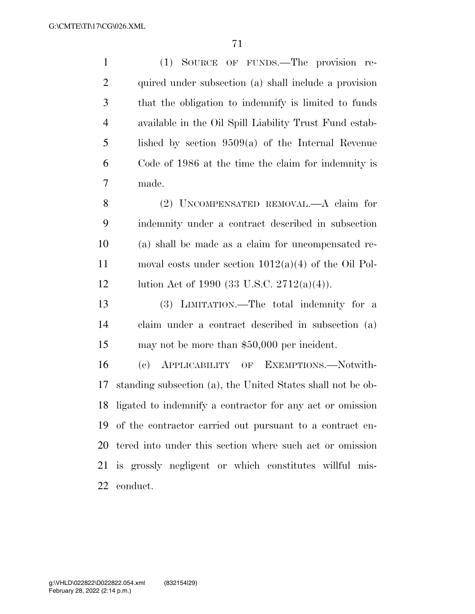(1) SOURCE OF FUNDS.—The provision re- quired under subsection (a) shall include a provision that the obligation to indemnify is limited to funds available in the Oil Spill Liability Trust Fund estab- lished by section 9509(a) of the Internal Revenue Code of 1986 at the time the claim for indemnity is made. (2) UNCOMPENSATED REMOVAL.—A claim for indemnity under a contract described in subsection (a) shall be made as a claim for uncompensated re- moval costs under section 1012(a)(4) of the Oil Pol- lution Act of 1990 (33 U.S.C. 2712(a)(4)). (3) LIMITATION.—The total indemnity for a claim under a contract described in subsection (a) may not be more than \$50,000 per incident. (c) APPLICABILITY OF EXEMPTIONS.—Notwith- standing subsection (a), the United States shall not be ob- ligated to indemnify a contractor for any act or omission of the contractor carried out pursuant to a contract en- tered into under this section where such act or omission is grossly negligent or which constitutes willful mis-conduct.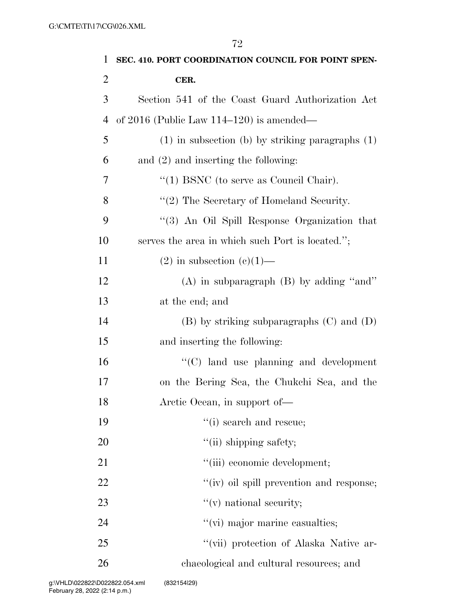|                | 72                                                   |
|----------------|------------------------------------------------------|
| $\mathbf{1}$   | SEC. 410. PORT COORDINATION COUNCIL FOR POINT SPEN-  |
| $\overline{2}$ | CER.                                                 |
| 3              | Section 541 of the Coast Guard Authorization Act     |
| 4              | of 2016 (Public Law $114-120$ ) is amended—          |
| 5              | $(1)$ in subsection (b) by striking paragraphs $(1)$ |
| 6              | and $(2)$ and inserting the following:               |
| 7              | $\lq(1)$ BSNC (to serve as Council Chair).           |
| 8              | $"(2)$ The Secretary of Homeland Security.           |
| 9              | "(3) An Oil Spill Response Organization that         |
| 10             | serves the area in which such Port is located.";     |
| 11             | $(2)$ in subsection $(e)(1)$ —                       |
| 12             | $(A)$ in subparagraph $(B)$ by adding "and"          |
| 13             | at the end; and                                      |
| 14             | $(B)$ by striking subparagraphs $(C)$ and $(D)$      |
| 15             | and inserting the following:                         |
| 16             | $\lq\lq$ (C) land use planning and development       |
| 17             | on the Bering Sea, the Chukchi Sea, and the          |
| 18             | Arctic Ocean, in support of—                         |
| 19             | "(i) search and rescue;                              |
| 20             | "(ii) shipping safety;                               |
| 21             | "(iii) economic development;                         |
| 22             | "(iv) oil spill prevention and response;             |
| 23             | $f'(v)$ national security;                           |
| 24             | "(vi) major marine casualties;                       |
| 25             | "(vii) protection of Alaska Native ar-               |
| 26             | chaeological and cultural resources; and             |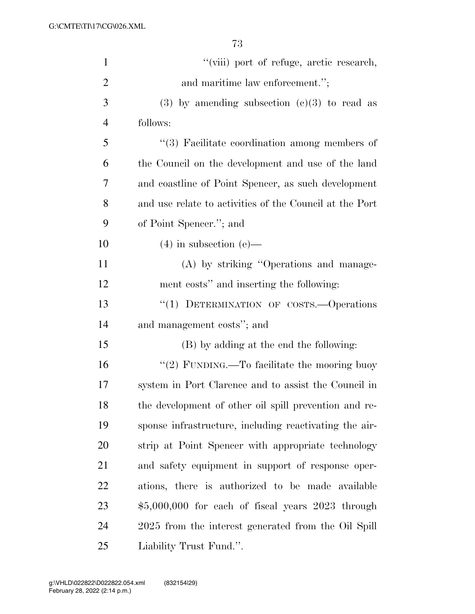| $\mathbf{1}$   | "(viii) port of refuge, arctic research,                |
|----------------|---------------------------------------------------------|
| $\overline{2}$ | and maritime law enforcement.";                         |
| 3              | $(3)$ by amending subsection $(c)(3)$ to read as        |
| $\overline{4}$ | follows:                                                |
| 5              | $\lq(3)$ Facilitate coordination among members of       |
| 6              | the Council on the development and use of the land      |
| 7              | and coastline of Point Spencer, as such development     |
| 8              | and use relate to activities of the Council at the Port |
| 9              | of Point Spencer."; and                                 |
| 10             | $(4)$ in subsection $(e)$ —                             |
| 11             | (A) by striking "Operations and manage-                 |
| 12             | ment costs" and inserting the following:                |
| 13             | "(1) DETERMINATION OF COSTS.--Operations                |
| 14             | and management costs"; and                              |
| 15             | (B) by adding at the end the following:                 |
| 16             | "(2) FUNDING.—To facilitate the mooring buoy            |
| 17             | system in Port Clarence and to assist the Council in    |
| 18             | the development of other oil spill prevention and re-   |
| 19             | sponse infrastructure, including reactivating the air-  |
| 20             | strip at Point Spencer with appropriate technology      |
| 21             | and safety equipment in support of response oper-       |
| 22             | ations, there is authorized to be made available        |
| 23             | $$5,000,000$ for each of fiscal years $2023$ through    |
| 24             | 2025 from the interest generated from the Oil Spill     |
| 25             | Liability Trust Fund.".                                 |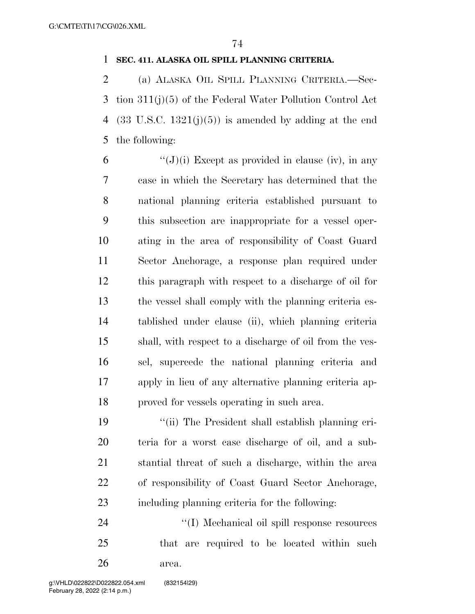#### **SEC. 411. ALASKA OIL SPILL PLANNING CRITERIA.**

 (a) ALASKA OIL SPILL PLANNING CRITERIA.—Sec- tion 311(j)(5) of the Federal Water Pollution Control Act 4 (33 U.S.C.  $1321(j)(5)$ ) is amended by adding at the end the following:

 $\langle (J)(i) \rangle$  Except as provided in clause (iv), in any case in which the Secretary has determined that the national planning criteria established pursuant to this subsection are inappropriate for a vessel oper- ating in the area of responsibility of Coast Guard Sector Anchorage, a response plan required under this paragraph with respect to a discharge of oil for the vessel shall comply with the planning criteria es- tablished under clause (ii), which planning criteria shall, with respect to a discharge of oil from the ves- sel, supercede the national planning criteria and apply in lieu of any alternative planning criteria ap-proved for vessels operating in such area.

 ''(ii) The President shall establish planning cri- teria for a worst case discharge of oil, and a sub- stantial threat of such a discharge, within the area of responsibility of Coast Guard Sector Anchorage, including planning criteria for the following:

 ''(I) Mechanical oil spill response resources that are required to be located within such area.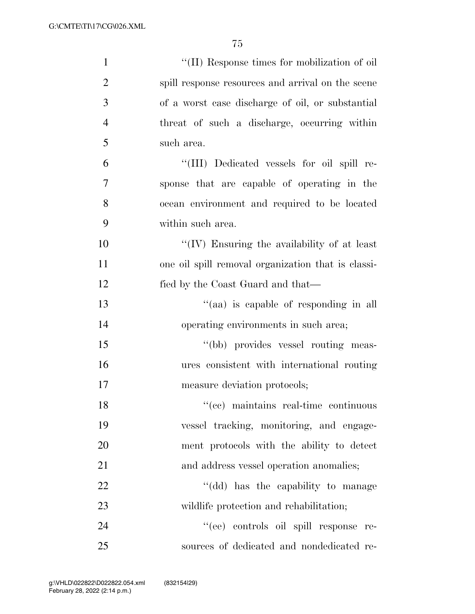| $\mathbf{1}$   | "(II) Response times for mobilization of oil       |
|----------------|----------------------------------------------------|
| $\overline{2}$ | spill response resources and arrival on the scene  |
| 3              | of a worst case discharge of oil, or substantial   |
| $\overline{4}$ | threat of such a discharge, occurring within       |
| 5              | such area.                                         |
| 6              | "(III) Dedicated vessels for oil spill re-         |
| 7              | sponse that are capable of operating in the        |
| 8              | ocean environment and required to be located       |
| 9              | within such area.                                  |
| 10             | "(IV) Ensuring the availability of at least        |
| 11             | one oil spill removal organization that is classi- |
| 12             | fied by the Coast Guard and that—                  |
| 13             | "(aa) is capable of responding in all              |
| 14             | operating environments in such area;               |
| 15             | "(bb) provides vessel routing meas-                |
| 16             | ures consistent with international routing         |
| 17             | measure deviation protocols;                       |
| 18             | "(cc) maintains real-time continuous               |
| 19             | vessel tracking, monitoring, and engage-           |
| 20             | ment protocols with the ability to detect          |
| 21             | and address vessel operation anomalies;            |
| 22             | "(dd) has the capability to manage                 |
| 23             | wildlife protection and rehabilitation;            |
| 24             | "(ee) controls oil spill response re-              |
| 25             | sources of dedicated and nondedicated re-          |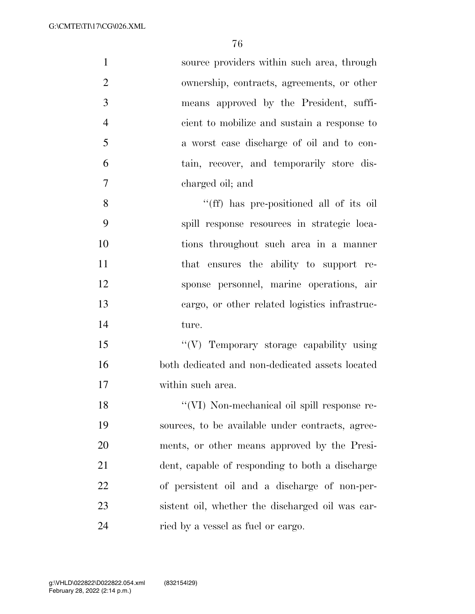| $\mathbf{1}$   | source providers within such area, through       |
|----------------|--------------------------------------------------|
| $\overline{2}$ | ownership, contracts, agreements, or other       |
| 3              | means approved by the President, suffi-          |
| $\overline{4}$ | cient to mobilize and sustain a response to      |
| 5              | a worst case discharge of oil and to con-        |
| 6              | tain, recover, and temporarily store dis-        |
| 7              | charged oil; and                                 |
| 8              | "(ff) has pre-positioned all of its oil"         |
| 9              | spill response resources in strategic loca-      |
| 10             | tions throughout such area in a manner           |
| 11             | that ensures the ability to support re-          |
| 12             | sponse personnel, marine operations, air         |
| 13             | cargo, or other related logistics infrastruc-    |
| 14             | ture.                                            |
| 15             | "(V) Temporary storage capability using          |
| 16             | both dedicated and non-dedicated assets located  |
| 17             | within such area.                                |
| 18             | "(VI) Non-mechanical oil spill response re-      |
| 19             | sources, to be available under contracts, agree- |
| 20             | ments, or other means approved by the Presi-     |
| 21             | dent, capable of responding to both a discharge  |
| 22             | of persistent oil and a discharge of non-per-    |
| 23             | sistent oil, whether the discharged oil was car- |
| 24             | ried by a vessel as fuel or cargo.               |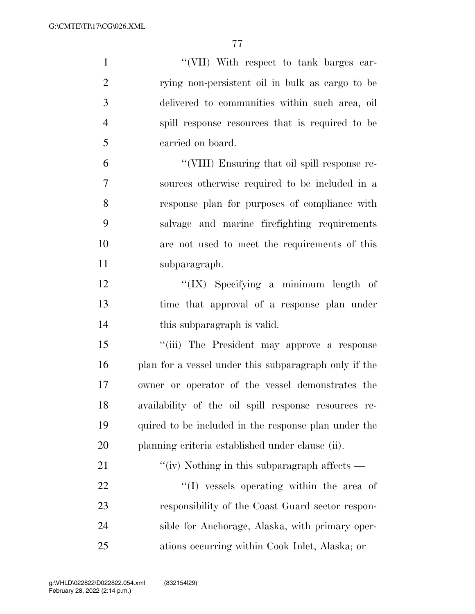| $\mathbf{1}$   | "(VII) With respect to tank barges car-               |
|----------------|-------------------------------------------------------|
| $\overline{2}$ | rying non-persistent oil in bulk as cargo to be       |
| 3              | delivered to communities within such area, oil        |
| $\overline{4}$ | spill response resources that is required to be       |
| 5              | carried on board.                                     |
| 6              | "(VIII) Ensuring that oil spill response re-          |
| $\overline{7}$ | sources otherwise required to be included in a        |
| 8              | response plan for purposes of compliance with         |
| 9              | salvage and marine firefighting requirements          |
| 10             | are not used to meet the requirements of this         |
| 11             | subparagraph.                                         |
| 12             | " $(IX)$ Specifying a minimum length of               |
| 13             | time that approval of a response plan under           |
| 14             | this subparagraph is valid.                           |
| 15             | "(iii) The President may approve a response           |
| 16             | plan for a vessel under this subparagraph only if the |
| 17             | owner or operator of the vessel demonstrates the      |
| 18             | availability of the oil spill response resources re-  |
| 19             | quired to be included in the response plan under the  |
| 20             | planning criteria established under clause (ii).      |
| 21             | "(iv) Nothing in this subparagraph affects $-$        |
| 22             | "(I) vessels operating within the area of             |
| 23             | responsibility of the Coast Guard sector respon-      |
| 24             | sible for Anchorage, Alaska, with primary oper-       |
| 25             | ations occurring within Cook Inlet, Alaska; or        |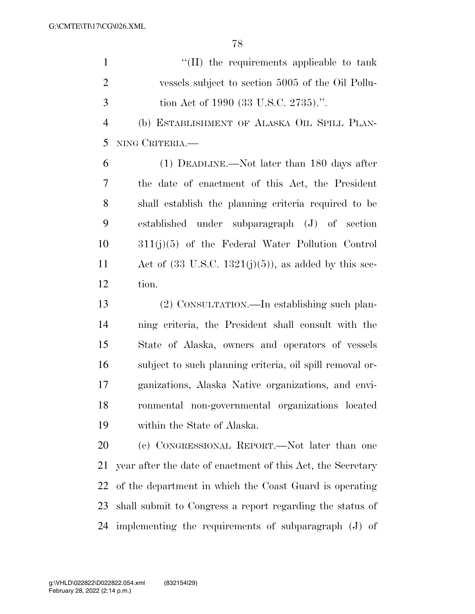1  $\lq$  (II) the requirements applicable to tank vessels subject to section 5005 of the Oil Pollu-tion Act of 1990 (33 U.S.C. 2735).''.

 (b) ESTABLISHMENT OF ALASKA OIL SPILL PLAN-NING CRITERIA.—

 (1) DEADLINE.—Not later than 180 days after the date of enactment of this Act, the President shall establish the planning criteria required to be established under subparagraph (J) of section 311(j)(5) of the Federal Water Pollution Control 11 Act of  $(33 \text{ U.S.C. } 1321(j)(5))$ , as added by this sec-tion.

 (2) CONSULTATION.—In establishing such plan- ning criteria, the President shall consult with the State of Alaska, owners and operators of vessels subject to such planning criteria, oil spill removal or- ganizations, Alaska Native organizations, and envi- ronmental non-governmental organizations located within the State of Alaska.

 (c) CONGRESSIONAL REPORT.—Not later than one year after the date of enactment of this Act, the Secretary of the department in which the Coast Guard is operating shall submit to Congress a report regarding the status of implementing the requirements of subparagraph (J) of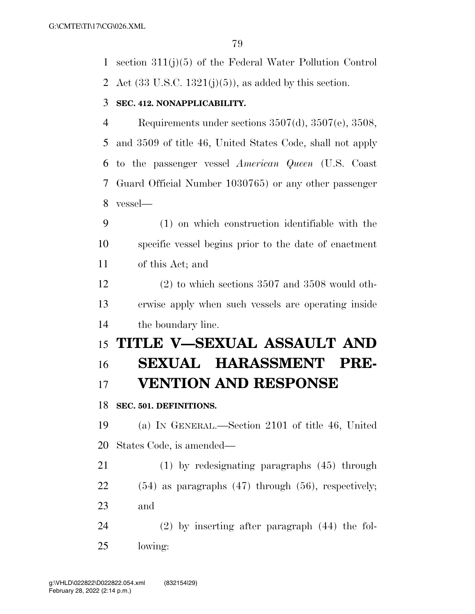section 311(j)(5) of the Federal Water Pollution Control

2 Act  $(33 \text{ U.S.C. } 1321(i)(5))$ , as added by this section.

#### **SEC. 412. NONAPPLICABILITY.**

 Requirements under sections 3507(d), 3507(e), 3508, and 3509 of title 46, United States Code, shall not apply to the passenger vessel *American Queen* (U.S. Coast Guard Official Number 1030765) or any other passenger vessel—

 (1) on which construction identifiable with the specific vessel begins prior to the date of enactment of this Act; and

 (2) to which sections 3507 and 3508 would oth- erwise apply when such vessels are operating inside the boundary line.

# **TITLE V—SEXUAL ASSAULT AND SEXUAL HARASSMENT PRE-VENTION AND RESPONSE**

**SEC. 501. DEFINITIONS.** 

 (a) IN GENERAL.—Section 2101 of title 46, United States Code, is amended—

 (1) by redesignating paragraphs (45) through (54) as paragraphs (47) through (56), respectively; and

 (2) by inserting after paragraph (44) the fol-lowing: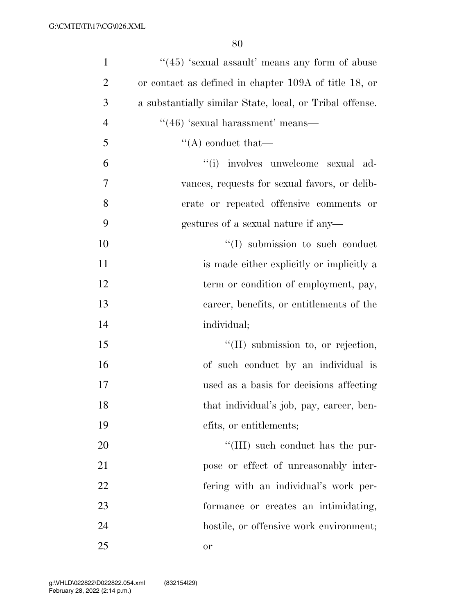| $\mathbf{1}$   | " $(45)$ 'sexual assault' means any form of abuse        |
|----------------|----------------------------------------------------------|
| $\overline{2}$ | or contact as defined in chapter 109A of title 18, or    |
| 3              | a substantially similar State, local, or Tribal offense. |
| $\overline{4}$ | $``(46)$ 'sexual harassment' means—                      |
| 5              | $\lq\lq$ conduct that—                                   |
| 6              | "(i) involves unwelcome sexual ad-                       |
| 7              | vances, requests for sexual favors, or delib-            |
| 8              | erate or repeated offensive comments or                  |
| 9              | gestures of a sexual nature if any—                      |
| 10             | $\lq\lq$ submission to such conduct                      |
| 11             | is made either explicitly or implicitly a                |
| 12             | term or condition of employment, pay,                    |
| 13             | career, benefits, or entitlements of the                 |
| 14             | individual;                                              |
| 15             | $\lq\lq$ (II) submission to, or rejection,               |
| 16             | of such conduct by an individual is                      |
| 17             | used as a basis for decisions affecting                  |
| 18             | that individual's job, pay, career, ben-                 |
| 19             | efits, or entitlements;                                  |
| 20             | "(III) such conduct has the pur-                         |
| 21             | pose or effect of unreasonably inter-                    |
| 22             | fering with an individual's work per-                    |
| 23             | formance or creates an intimidating,                     |
| 24             | hostile, or offensive work environment;                  |
| 25             | or                                                       |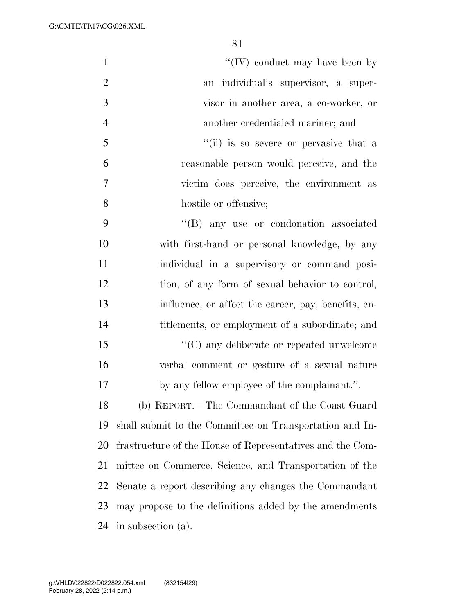| $\mathbf{1}$   | "(IV) conduct may have been by                            |
|----------------|-----------------------------------------------------------|
| $\overline{2}$ | an individual's supervisor, a super-                      |
| 3              | visor in another area, a co-worker, or                    |
| $\overline{4}$ | another credentialed mariner; and                         |
| 5              | "(ii) is so severe or pervasive that a                    |
| 6              | reasonable person would perceive, and the                 |
| $\overline{7}$ | victim does perceive, the environment as                  |
| 8              | hostile or offensive;                                     |
| 9              | "(B) any use or condonation associated                    |
| 10             | with first-hand or personal knowledge, by any             |
| 11             | individual in a supervisory or command posi-              |
| 12             | tion, of any form of sexual behavior to control,          |
| 13             | influence, or affect the career, pay, benefits, en-       |
| 14             | titlements, or employment of a subordinate; and           |
| 15             | "(C) any deliberate or repeated unwelcome                 |
| 16             | verbal comment or gesture of a sexual nature              |
| 17             | by any fellow employee of the complainant.".              |
| 18             | (b) REPORT.—The Commandant of the Coast Guard             |
| 19             | shall submit to the Committee on Transportation and In-   |
| 20             | frastructure of the House of Representatives and the Com- |
| 21             | mittee on Commerce, Science, and Transportation of the    |
| 22             | Senate a report describing any changes the Commandant     |
| 23             | may propose to the definitions added by the amendments    |
| 24             | in subsection (a).                                        |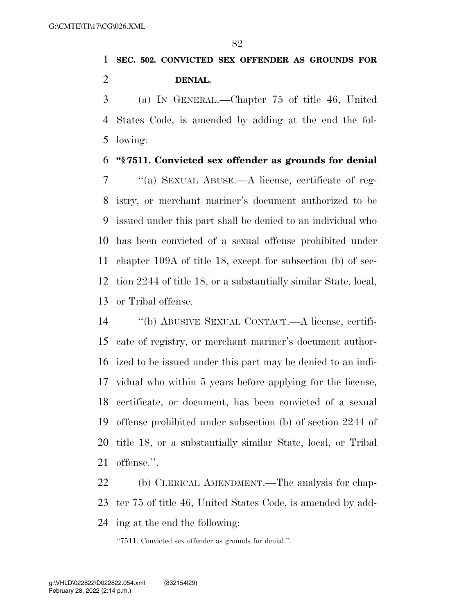## **SEC. 502. CONVICTED SEX OFFENDER AS GROUNDS FOR DENIAL.**

 (a) IN GENERAL.—Chapter 75 of title 46, United States Code, is amended by adding at the end the fol-lowing:

#### **''§ 7511. Convicted sex offender as grounds for denial**

 ''(a) SEXUAL ABUSE.—A license, certificate of reg- istry, or merchant mariner's document authorized to be issued under this part shall be denied to an individual who has been convicted of a sexual offense prohibited under chapter 109A of title 18, except for subsection (b) of sec- tion 2244 of title 18, or a substantially similar State, local, or Tribal offense.

 ''(b) ABUSIVE SEXUAL CONTACT.—A license, certifi- cate of registry, or merchant mariner's document author- ized to be issued under this part may be denied to an indi- vidual who within 5 years before applying for the license, certificate, or document, has been convicted of a sexual offense prohibited under subsection (b) of section 2244 of title 18, or a substantially similar State, local, or Tribal offense.''.

 (b) CLERICAL AMENDMENT.—The analysis for chap- ter 75 of title 46, United States Code, is amended by add-ing at the end the following:

''7511. Convicted sex offender as grounds for denial.''.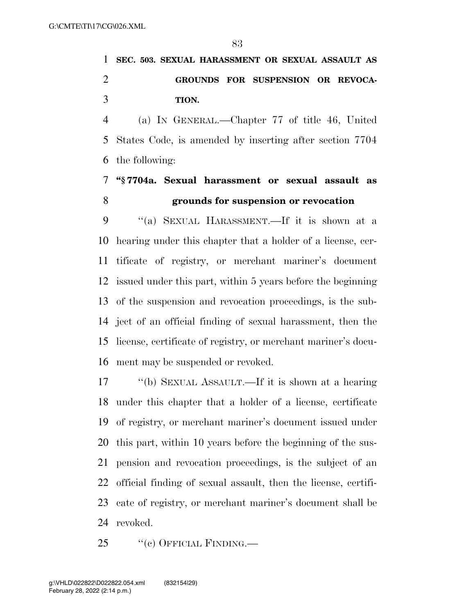# **SEC. 503. SEXUAL HARASSMENT OR SEXUAL ASSAULT AS GROUNDS FOR SUSPENSION OR REVOCA-TION.**

 (a) IN GENERAL.—Chapter 77 of title 46, United States Code, is amended by inserting after section 7704 the following:

### **''§ 7704a. Sexual harassment or sexual assault as grounds for suspension or revocation**

 ''(a) SEXUAL HARASSMENT.—If it is shown at a hearing under this chapter that a holder of a license, cer- tificate of registry, or merchant mariner's document issued under this part, within 5 years before the beginning of the suspension and revocation proceedings, is the sub- ject of an official finding of sexual harassment, then the license, certificate of registry, or merchant mariner's docu-ment may be suspended or revoked.

 ''(b) SEXUAL ASSAULT.—If it is shown at a hearing under this chapter that a holder of a license, certificate of registry, or merchant mariner's document issued under this part, within 10 years before the beginning of the sus- pension and revocation proceedings, is the subject of an official finding of sexual assault, then the license, certifi- cate of registry, or merchant mariner's document shall be revoked.

25 "(c) OFFICIAL FINDING.—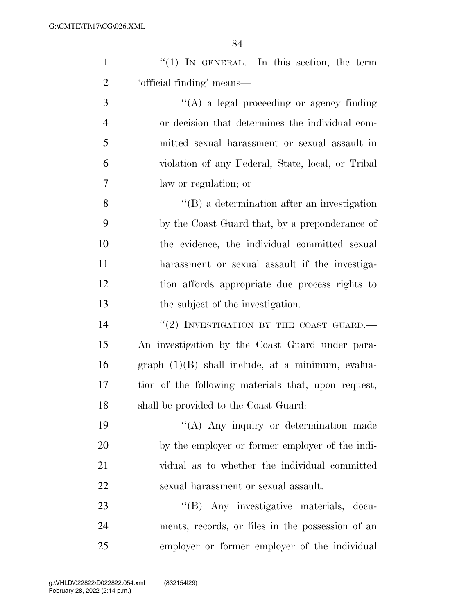| $\mathbf{1}$   | "(1) IN GENERAL.—In this section, the term          |
|----------------|-----------------------------------------------------|
| $\overline{2}$ | 'official finding' means—                           |
| 3              | $\lq\lq$ (A) a legal proceeding or agency finding   |
| $\overline{4}$ | or decision that determines the individual com-     |
| 5              | mitted sexual harassment or sexual assault in       |
| 6              | violation of any Federal, State, local, or Tribal   |
| 7              | law or regulation; or                               |
| 8              | $\lq\lq (B)$ a determination after an investigation |
| 9              | by the Coast Guard that, by a preponderance of      |
| 10             | the evidence, the individual committed sexual       |
| 11             | harassment or sexual assault if the investiga-      |
| 12             | tion affords appropriate due process rights to      |
| 13             | the subject of the investigation.                   |
| 14             | $``(2)$ INVESTIGATION BY THE COAST GUARD.           |
| 15             | An investigation by the Coast Guard under para-     |
| 16             | $graph (1)(B) shall include, at a minimum, evalua-$ |
| 17             | tion of the following materials that, upon request, |
| 18             | shall be provided to the Coast Guard:               |
| 19             | "(A) Any inquiry or determination made              |
| 20             | by the employer or former employer of the indi-     |
| 21             | vidual as to whether the individual committed       |
| 22             | sexual harassment or sexual assault.                |
| 23             | "(B) Any investigative materials, docu-             |
| 24             | ments, records, or files in the possession of an    |
| 25             | employer or former employer of the individual       |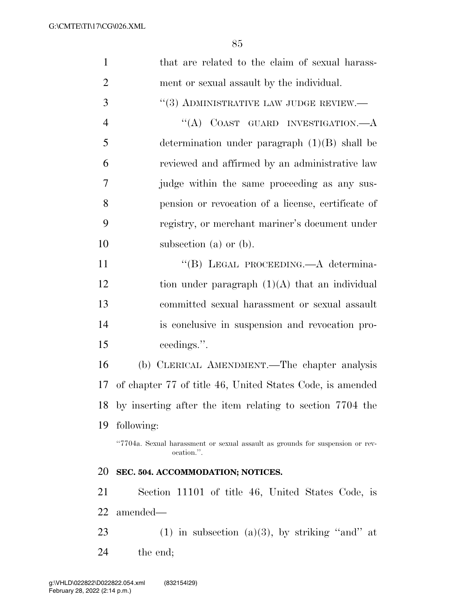| $\mathbf{1}$   | that are related to the claim of sexual harass-                                             |
|----------------|---------------------------------------------------------------------------------------------|
| $\overline{2}$ | ment or sexual assault by the individual.                                                   |
| 3              | $``(3)$ ADMINISTRATIVE LAW JUDGE REVIEW.—                                                   |
| $\overline{4}$ | "(A) COAST GUARD INVESTIGATION.— $A$                                                        |
| 5              | determination under paragraph $(1)(B)$ shall be                                             |
| 6              | reviewed and affirmed by an administrative law                                              |
| 7              | judge within the same proceeding as any sus-                                                |
| 8              | pension or revocation of a license, certificate of                                          |
| 9              | registry, or merchant mariner's document under                                              |
| 10             | subsection (a) or $(b)$ .                                                                   |
| 11             | "(B) LEGAL PROCEEDING.—A determina-                                                         |
| 12             | tion under paragraph $(1)(A)$ that an individual                                            |
| 13             | committed sexual harassment or sexual assault                                               |
| 14             | is conclusive in suspension and revocation pro-                                             |
| 15             | ceedings.".                                                                                 |
| 16             | (b) CLERICAL AMENDMENT.—The chapter analysis                                                |
| 17             | of chapter 77 of title 46, United States Code, is amended                                   |
|                | 18 by inserting after the item relating to section 7704 the                                 |
| 19             | following:                                                                                  |
|                | "7704a. Sexual harassment or sexual assault as grounds for suspension or rev-<br>ocation.". |
| 20             | SEC. 504. ACCOMMODATION; NOTICES.                                                           |
| 21             | Section 11101 of title 46, United States Code, is                                           |
| 22             | amended—                                                                                    |
| 23             | (1) in subsection (a)(3), by striking "and" at                                              |
| 24             | the end;                                                                                    |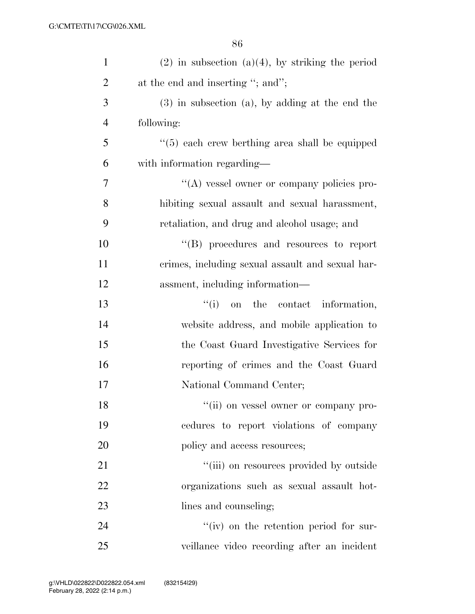| $\mathbf{1}$   | $(2)$ in subsection $(a)(4)$ , by striking the period |
|----------------|-------------------------------------------------------|
| $\overline{2}$ | at the end and inserting "; and";                     |
| 3              | $(3)$ in subsection $(a)$ , by adding at the end the  |
| $\overline{4}$ | following:                                            |
| 5              | $\lq(5)$ each crew berthing area shall be equipped    |
| 6              | with information regarding—                           |
| 7              | $\lq\lq$ vessel owner or company policies pro-        |
| 8              | hibiting sexual assault and sexual harassment,        |
| 9              | retaliation, and drug and alcohol usage; and          |
| 10             | $\lq\lq$ (B) procedures and resources to report       |
| 11             | crimes, including sexual assault and sexual har-      |
| 12             | assment, including information—                       |
| 13             | ``(i)<br>the contact information,<br>on               |
| 14             | website address, and mobile application to            |
| 15             | the Coast Guard Investigative Services for            |
| 16             | reporting of crimes and the Coast Guard               |
| 17             | National Command Center;                              |
| 18             | "(ii) on vessel owner or company pro-                 |
| 19             | cedures to report violations of company               |
| 20             | policy and access resources;                          |
| 21             | "(iii) on resources provided by outside               |
| 22             | organizations such as sexual assault hot-             |
| 23             | lines and counseling;                                 |
| 24             | $f'(iv)$ on the retention period for sur-             |
| 25             | veillance video recording after an incident           |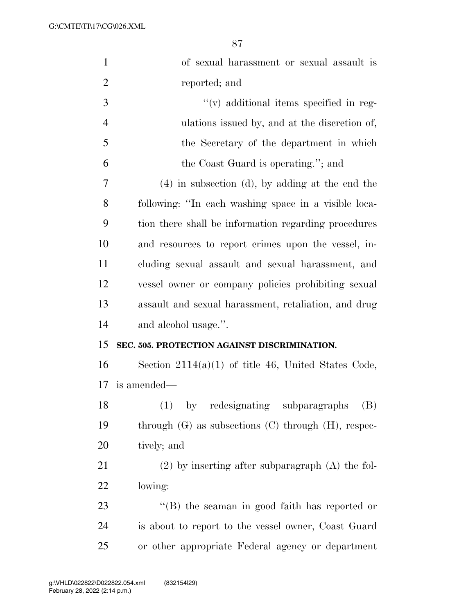G:\CMTE\TI\17\CG\026.XML

| $\mathbf{1}$   | of sexual harassment or sexual assault is                  |
|----------------|------------------------------------------------------------|
| $\overline{2}$ | reported; and                                              |
| 3              | $\lq\lq$ additional items specified in reg-                |
| $\overline{4}$ | ulations issued by, and at the discretion of,              |
| 5              | the Secretary of the department in which                   |
| 6              | the Coast Guard is operating."; and                        |
| 7              | $(4)$ in subsection (d), by adding at the end the          |
| 8              | following: "In each washing space in a visible loca-       |
| 9              | tion there shall be information regarding procedures       |
| 10             | and resources to report crimes upon the vessel, in-        |
| 11             | cluding sexual assault and sexual harassment, and          |
| 12             | vessel owner or company policies prohibiting sexual        |
| 13             | assault and sexual harassment, retaliation, and drug       |
| 14             | and alcohol usage.".                                       |
| 15             | SEC. 505. PROTECTION AGAINST DISCRIMINATION.               |
| 16             | Section $2114(a)(1)$ of title 46, United States Code,      |
| 17             | is amended—                                                |
| 18             | by redesignating subparagraphs<br>(B)                      |
| 19             | through $(G)$ as subsections $(C)$ through $(H)$ , respec- |
| 20             | tively; and                                                |
| 21             | $(2)$ by inserting after subparagraph $(A)$ the fol-       |
| 22             | lowing:                                                    |
| 23             | "(B) the seaman in good faith has reported or              |
|                |                                                            |
| 24             | is about to report to the vessel owner, Coast Guard        |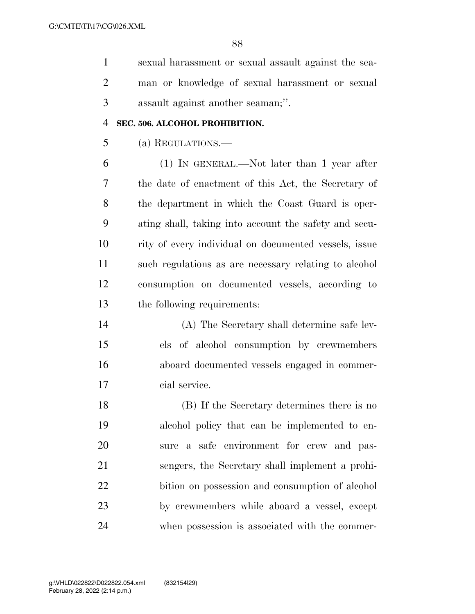sexual harassment or sexual assault against the sea- man or knowledge of sexual harassment or sexual assault against another seaman;''.

#### **SEC. 506. ALCOHOL PROHIBITION.**

(a) REGULATIONS.—

 (1) IN GENERAL.—Not later than 1 year after the date of enactment of this Act, the Secretary of the department in which the Coast Guard is oper- ating shall, taking into account the safety and secu- rity of every individual on documented vessels, issue such regulations as are necessary relating to alcohol consumption on documented vessels, according to the following requirements:

 (A) The Secretary shall determine safe lev- els of alcohol consumption by crewmembers aboard documented vessels engaged in commer-cial service.

 (B) If the Secretary determines there is no alcohol policy that can be implemented to en- sure a safe environment for crew and pas- sengers, the Secretary shall implement a prohi- bition on possession and consumption of alcohol by crewmembers while aboard a vessel, except when possession is associated with the commer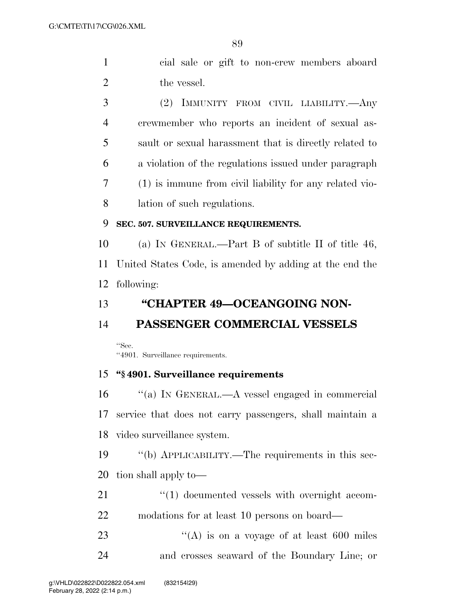cial sale or gift to non-crew members aboard 2 the vessel.

 (2) IMMUNITY FROM CIVIL LIABILITY.—Any crewmember who reports an incident of sexual as- sault or sexual harassment that is directly related to a violation of the regulations issued under paragraph (1) is immune from civil liability for any related vio-lation of such regulations.

#### **SEC. 507. SURVEILLANCE REQUIREMENTS.**

 (a) IN GENERAL.—Part B of subtitle II of title 46, United States Code, is amended by adding at the end the following:

#### **''CHAPTER 49—OCEANGOING NON-**

#### **PASSENGER COMMERCIAL VESSELS**

''Sec. ''4901. Surveillance requirements.

#### **''§ 4901. Surveillance requirements**

 ''(a) IN GENERAL.—A vessel engaged in commercial service that does not carry passengers, shall maintain a video surveillance system.

 ''(b) APPLICABILITY.—The requirements in this sec-tion shall apply to—

21  $\frac{u(1)}{2}$  documented vessels with overnight accom-modations for at least 10 persons on board—

23  $\langle (A)$  is on a voyage of at least 600 miles and crosses seaward of the Boundary Line; or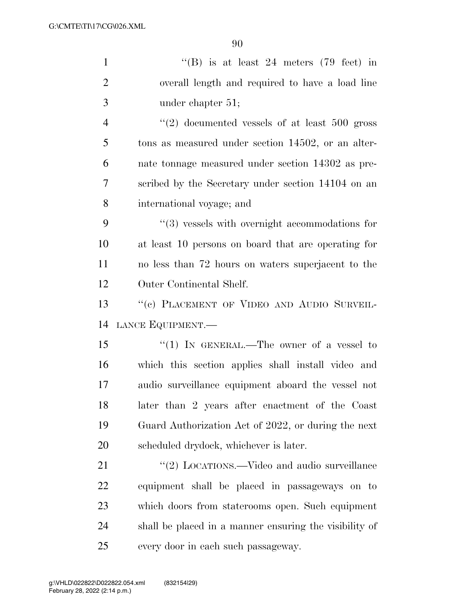| $\mathbf{1}$   | "(B) is at least 24 meters $(79 \text{ feet})$ in             |
|----------------|---------------------------------------------------------------|
| $\overline{2}$ | overall length and required to have a load line               |
| 3              | under chapter 51;                                             |
| $\overline{4}$ | $\cdot\cdot\cdot(2)$ documented vessels of at least 500 gross |
| 5              | tons as measured under section 14502, or an alter-            |
| 6              | nate tonnage measured under section 14302 as pre-             |
| 7              | scribed by the Secretary under section 14104 on an            |
| 8              | international voyage; and                                     |
| 9              | $\lq(3)$ vessels with overnight accommodations for            |
| 10             | at least 10 persons on board that are operating for           |
| 11             | no less than 72 hours on waters superjacent to the            |
| 12             | Outer Continental Shelf.                                      |
| 13             | "(c) PLACEMENT OF VIDEO AND AUDIO SURVEIL-                    |
| 14             | LANCE EQUIPMENT.                                              |
| 15             | "(1) IN GENERAL.—The owner of a vessel to                     |
| 16             | which this section applies shall install video and            |
| 17             | audio surveillance equipment aboard the vessel not            |
| 18             | later than 2 years after enactment of the Coast               |
| 19             | Guard Authorization Act of 2022, or during the next           |
| 20             | scheduled drydock, whichever is later.                        |
| 21             | "(2) LOCATIONS.—Video and audio surveillance                  |
| 22             | equipment shall be placed in passageways on to                |
| 23             | which doors from staterooms open. Such equipment              |
| 24             | shall be placed in a manner ensuring the visibility of        |
| 25             | every door in each such passageway.                           |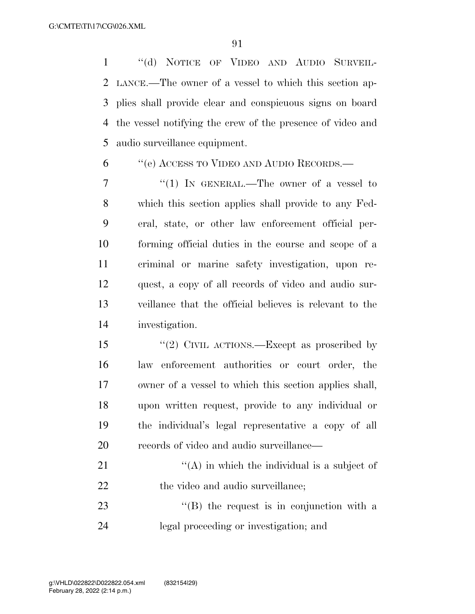''(d) NOTICE OF VIDEO AND AUDIO SURVEIL- LANCE.—The owner of a vessel to which this section ap- plies shall provide clear and conspicuous signs on board the vessel notifying the crew of the presence of video and audio surveillance equipment.

#### ''(e) ACCESS TO VIDEO AND AUDIO RECORDS.—

7 "(1) In GENERAL.—The owner of a vessel to which this section applies shall provide to any Fed- eral, state, or other law enforcement official per- forming official duties in the course and scope of a criminal or marine safety investigation, upon re- quest, a copy of all records of video and audio sur- veillance that the official believes is relevant to the investigation.

15 "(2) CIVIL ACTIONS.—Except as proscribed by law enforcement authorities or court order, the owner of a vessel to which this section applies shall, upon written request, provide to any individual or the individual's legal representative a copy of all records of video and audio surveillance—

21  $\langle (A)$  in which the individual is a subject of 22 the video and audio surveillance;

23 "'(B) the request is in conjunction with a legal proceeding or investigation; and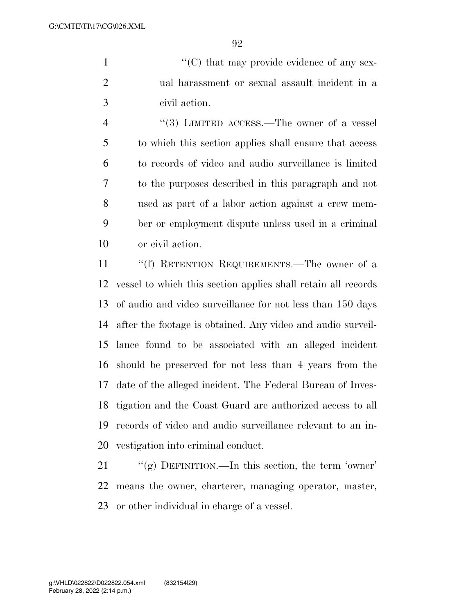1  $\langle ^{\prime}(C) \rangle$  that may provide evidence of any sex- ual harassment or sexual assault incident in a civil action.

4 "(3) LIMITED ACCESS.—The owner of a vessel to which this section applies shall ensure that access to records of video and audio surveillance is limited to the purposes described in this paragraph and not used as part of a labor action against a crew mem- ber or employment dispute unless used in a criminal or civil action.

 ''(f) RETENTION REQUIREMENTS.—The owner of a vessel to which this section applies shall retain all records of audio and video surveillance for not less than 150 days after the footage is obtained. Any video and audio surveil- lance found to be associated with an alleged incident should be preserved for not less than 4 years from the date of the alleged incident. The Federal Bureau of Inves- tigation and the Coast Guard are authorized access to all records of video and audio surveillance relevant to an in-vestigation into criminal conduct.

21 "(g) DEFINITION.—In this section, the term 'owner' means the owner, charterer, managing operator, master, or other individual in charge of a vessel.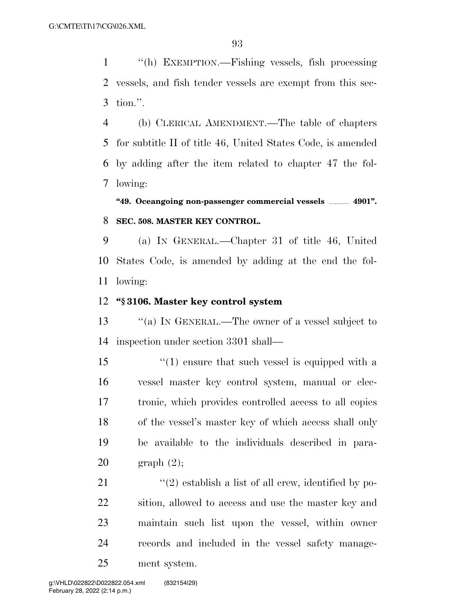''(h) EXEMPTION.—Fishing vessels, fish processing vessels, and fish tender vessels are exempt from this sec-tion.''.

 (b) CLERICAL AMENDMENT.—The table of chapters for subtitle II of title 46, United States Code, is amended by adding after the item related to chapter 47 the fol-lowing:

**''49. Oceangoing non-passenger commercial vessels** .......... **4901''. SEC. 508. MASTER KEY CONTROL.** 

 (a) IN GENERAL.—Chapter 31 of title 46, United States Code, is amended by adding at the end the fol-lowing:

#### **''§ 3106. Master key control system**

13 "(a) In GENERAL.—The owner of a vessel subject to inspection under section 3301 shall—

15 ''(1) ensure that such vessel is equipped with a vessel master key control system, manual or elec- tronic, which provides controlled access to all copies of the vessel's master key of which access shall only be available to the individuals described in para-graph (2);

 $\langle \cdot (2) \right)$  establish a list of all crew, identified by po- sition, allowed to access and use the master key and maintain such list upon the vessel, within owner records and included in the vessel safety manage-ment system.

February 28, 2022 (2:14 p.m.) g:\VHLD\022822\D022822.054.xml (832154|29)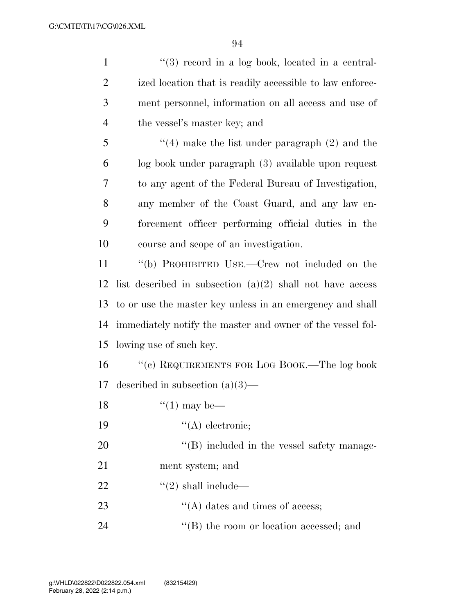| $\mathbf{1}$   | $\lq(3)$ record in a log book, located in a central-        |
|----------------|-------------------------------------------------------------|
| $\overline{2}$ | ized location that is readily accessible to law enforce-    |
| 3              | ment personnel, information on all access and use of        |
| $\overline{4}$ | the vessel's master key; and                                |
| 5              | $\cdot$ (4) make the list under paragraph (2) and the       |
| 6              | log book under paragraph (3) available upon request         |
| 7              | to any agent of the Federal Bureau of Investigation,        |
| 8              | any member of the Coast Guard, and any law en-              |
| 9              | forcement officer performing official duties in the         |
| 10             | course and scope of an investigation.                       |
| 11             | "(b) PROHIBITED USE.—Crew not included on the               |
| 12             | list described in subsection $(a)(2)$ shall not have access |
| 13             | to or use the master key unless in an emergency and shall   |
| 14             | immediately notify the master and owner of the vessel fol-  |
| 15             | lowing use of such key.                                     |
| 16             | $``\rm (c)$ REQUIREMENTS FOR LOG BOOK.—The log book         |
| 17             | described in subsection $(a)(3)$ —                          |
| 18             | $\lq(1)$ may be—                                            |
| 19             | $\lq\lq$ electronic;                                        |
| 20             | "(B) included in the vessel safety manage-                  |
| 21             | ment system; and                                            |
| 22             | $\lq(2)$ shall include—                                     |
| 23             | $\lq\lq$ dates and times of access;                         |
| 24             | "(B) the room or location accessed; and                     |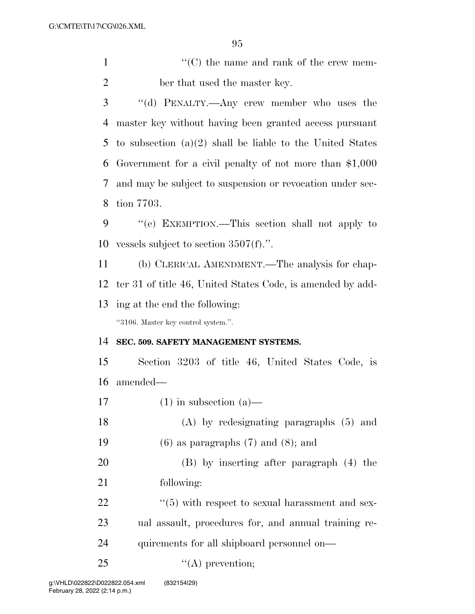1 ''(C) the name and rank of the crew mem-ber that used the master key.

 ''(d) PENALTY.—Any crew member who uses the master key without having been granted access pursuant to subsection (a)(2) shall be liable to the United States Government for a civil penalty of not more than \$1,000 and may be subject to suspension or revocation under sec-tion 7703.

 ''(e) EXEMPTION.—This section shall not apply to vessels subject to section 3507(f).''.

 (b) CLERICAL AMENDMENT.—The analysis for chap- ter 31 of title 46, United States Code, is amended by add-ing at the end the following:

''3106. Master key control system.''.

#### **SEC. 509. SAFETY MANAGEMENT SYSTEMS.**

 Section 3203 of title 46, United States Code, is amended—

17 (1) in subsection  $(a)$ —

 (A) by redesignating paragraphs (5) and 19 (6) as paragraphs  $(7)$  and  $(8)$ ; and

 (B) by inserting after paragraph (4) the following:

 $\frac{1}{22}$  ''(5) with respect to sexual harassment and sex- ual assault, procedures for, and annual training re-quirements for all shipboard personnel on—

25  $"({\rm A})$  prevention;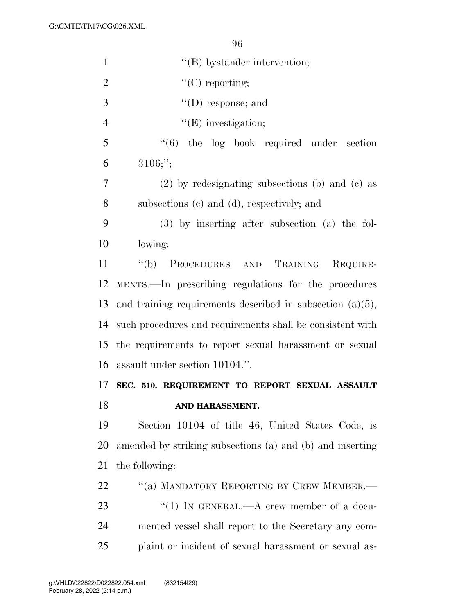| $\mathbf{1}$   | $\lq\lq$ by stander intervention;                            |
|----------------|--------------------------------------------------------------|
| $\overline{2}$ | $\lq\lq$ (C) reporting;                                      |
| 3              | $\lq\lq$ (D) response; and                                   |
| $\overline{4}$ | $\lq\lq(E)$ investigation;                                   |
| 5              | $\cdot\cdot\cdot(6)$ the log book required under section     |
| 6              | $3106;$ ";                                                   |
| 7              | $(2)$ by redesignating subsections (b) and (c) as            |
| 8              | subsections (c) and (d), respectively; and                   |
| 9              | $(3)$ by inserting after subsection $(a)$ the fol-           |
| 10             | lowing:                                                      |
| 11             | "(b) PROCEDURES AND TRAINING<br>REQUIRE-                     |
| 12             | MENTS.—In prescribing regulations for the procedures         |
| 13             | and training requirements described in subsection $(a)(5)$ , |
| 14             | such procedures and requirements shall be consistent with    |
| 15             | the requirements to report sexual harassment or sexual       |
|                | 16 assault under section 10104.".                            |
| 17             | SEC. 510. REQUIREMENT TO REPORT SEXUAL ASSAULT               |
| 18             | AND HARASSMENT.                                              |
| 19             | Section 10104 of title 46, United States Code, is            |
| 20             | amended by striking subsections (a) and (b) and inserting    |
| 21             | the following:                                               |
| 22             | "(a) MANDATORY REPORTING BY CREW MEMBER.-                    |
| 23             | "(1) IN GENERAL.—A crew member of a docu-                    |
| 24             | mented vessel shall report to the Secretary any com-         |
| 25             | plaint or incident of sexual harassment or sexual as-        |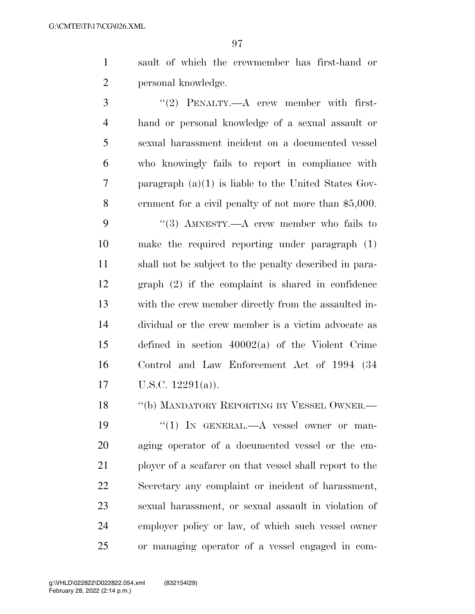sault of which the crewmember has first-hand or personal knowledge.

3 "(2) PENALTY.—A crew member with first- hand or personal knowledge of a sexual assault or sexual harassment incident on a documented vessel who knowingly fails to report in compliance with paragraph (a)(1) is liable to the United States Gov- ernment for a civil penalty of not more than \$5,000. 9 "(3) AMNESTY.—A crew member who fails to make the required reporting under paragraph (1) shall not be subject to the penalty described in para- graph (2) if the complaint is shared in confidence with the crew member directly from the assaulted in- dividual or the crew member is a victim advocate as defined in section 40002(a) of the Violent Crime Control and Law Enforcement Act of 1994 (34 U.S.C. 12291(a)).

18 "(b) MANDATORY REPORTING BY VESSEL OWNER.— 19 "(1) In GENERAL.—A vessel owner or man- aging operator of a documented vessel or the em- ployer of a seafarer on that vessel shall report to the Secretary any complaint or incident of harassment, sexual harassment, or sexual assault in violation of employer policy or law, of which such vessel owner or managing operator of a vessel engaged in com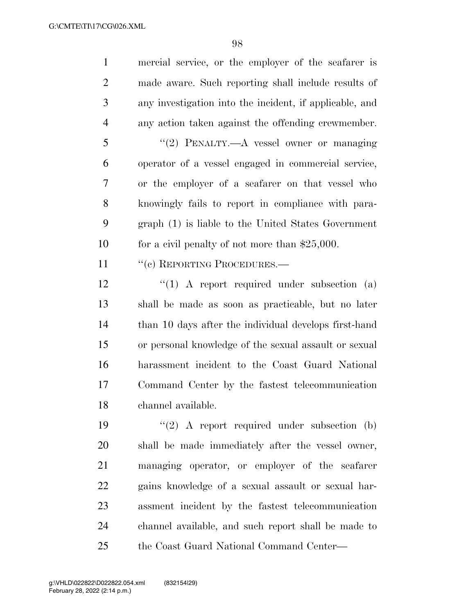mercial service, or the employer of the seafarer is made aware. Such reporting shall include results of any investigation into the incident, if applicable, and any action taken against the offending crewmember.

 ''(2) PENALTY.—A vessel owner or managing operator of a vessel engaged in commercial service, or the employer of a seafarer on that vessel who knowingly fails to report in compliance with para- graph (1) is liable to the United States Government 10 for a civil penalty of not more than \$25,000.

11 " (c) REPORTING PROCEDURES.—

 ''(1) A report required under subsection (a) shall be made as soon as practicable, but no later 14 than 10 days after the individual develops first-hand or personal knowledge of the sexual assault or sexual harassment incident to the Coast Guard National Command Center by the fastest telecommunication channel available.

 $(2)$  A report required under subsection (b) shall be made immediately after the vessel owner, managing operator, or employer of the seafarer gains knowledge of a sexual assault or sexual har- assment incident by the fastest telecommunication channel available, and such report shall be made to the Coast Guard National Command Center—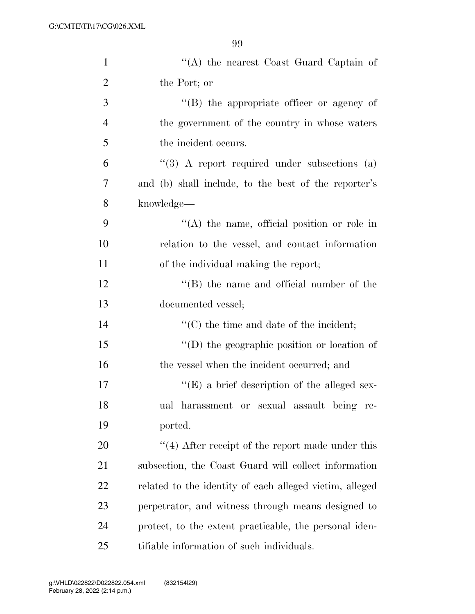| $\mathbf{1}$   | "(A) the nearest Coast Guard Captain of                 |
|----------------|---------------------------------------------------------|
| $\overline{2}$ | the Port; or                                            |
| 3              | $\lq\lq (B)$ the appropriate officer or agency of       |
| $\overline{4}$ | the government of the country in whose waters           |
| 5              | the incident occurs.                                    |
| 6              | $\lq(3)$ A report required under subsections (a)        |
| 7              | and (b) shall include, to the best of the reporter's    |
| 8              | knowledge—                                              |
| 9              | $\lq\lq$ the name, official position or role in         |
| 10             | relation to the vessel, and contact information         |
| 11             | of the individual making the report;                    |
| 12             | $\lq\lq$ the name and official number of the            |
| 13             | documented vessel;                                      |
| 14             | "(C) the time and date of the incident;                 |
| 15             | "(D) the geographic position or location of             |
| 16             | the vessel when the incident occurred; and              |
| 17             | $\lq\lq(E)$ a brief description of the alleged sex-     |
| 18             | ual harassment or sexual assault being<br>re-           |
| 19             | ported.                                                 |
| 20             | $\cdot$ (4) After receipt of the report made under this |
| 21             | subsection, the Coast Guard will collect information    |
| 22             | related to the identity of each alleged victim, alleged |
| 23             | perpetrator, and witness through means designed to      |
| 24             | protect, to the extent practicable, the personal iden-  |
| 25             | tifiable information of such individuals.               |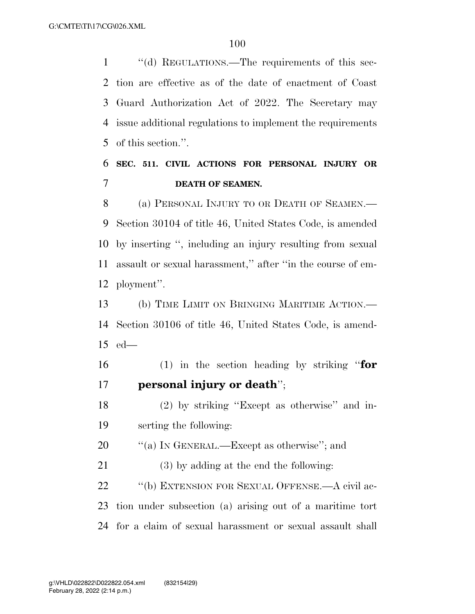''(d) REGULATIONS.—The requirements of this sec- tion are effective as of the date of enactment of Coast Guard Authorization Act of 2022. The Secretary may issue additional regulations to implement the requirements of this section.''.

### **SEC. 511. CIVIL ACTIONS FOR PERSONAL INJURY OR DEATH OF SEAMEN.**

8 (a) PERSONAL INJURY TO OR DEATH OF SEAMEN.— Section 30104 of title 46, United States Code, is amended by inserting '', including an injury resulting from sexual assault or sexual harassment,'' after ''in the course of em-ployment''.

 (b) TIME LIMIT ON BRINGING MARITIME ACTION.— Section 30106 of title 46, United States Code, is amend-ed—

 (1) in the section heading by striking ''**for personal injury or death**'';

 (2) by striking ''Except as otherwise'' and in-serting the following:

20  $\frac{1}{20}$  (a) In GENERAL.—Except as otherwise"; and

 (3) by adding at the end the following: 22 "(b) EXTENSION FOR SEXUAL OFFENSE.—A civil ac- tion under subsection (a) arising out of a maritime tort for a claim of sexual harassment or sexual assault shall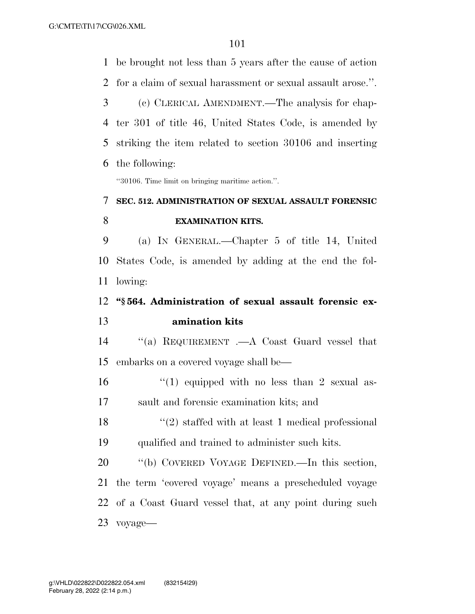be brought not less than 5 years after the cause of action for a claim of sexual harassment or sexual assault arose.''. (c) CLERICAL AMENDMENT.—The analysis for chap- ter 301 of title 46, United States Code, is amended by striking the item related to section 30106 and inserting the following: ''30106. Time limit on bringing maritime action.''. **SEC. 512. ADMINISTRATION OF SEXUAL ASSAULT FORENSIC EXAMINATION KITS.**  (a) IN GENERAL.—Chapter 5 of title 14, United States Code, is amended by adding at the end the fol- lowing: **''§ 564. Administration of sexual assault forensic ex- amination kits**  ''(a) REQUIREMENT .—A Coast Guard vessel that embarks on a covered voyage shall be—  $\frac{1}{2}$  (1) equipped with no less than 2 sexual as- sault and forensic examination kits; and ''(2) staffed with at least 1 medical professional qualified and trained to administer such kits. ''(b) COVERED VOYAGE DEFINED.—In this section, the term 'covered voyage' means a prescheduled voyage of a Coast Guard vessel that, at any point during such voyage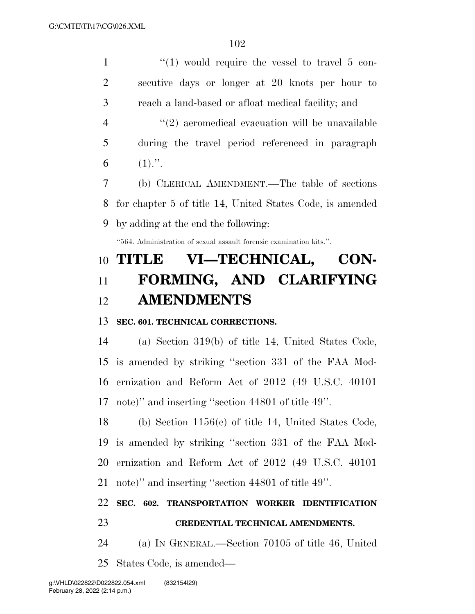$\frac{1}{1}$   $\frac{1}{2}$   $\frac{1}{2}$  would require the vessel to travel 5 con- secutive days or longer at 20 knots per hour to reach a land-based or afloat medical facility; and  $(2)$  aeromedical evacuation will be unavailable during the travel period referenced in paragraph 6  $(1)$ .". (b) CLERICAL AMENDMENT.—The table of sections

 for chapter 5 of title 14, United States Code, is amended by adding at the end the following:

''564. Administration of sexual assault forensic examination kits.''.

# **TITLE VI—TECHNICAL, CON- FORMING, AND CLARIFYING AMENDMENTS**

#### **SEC. 601. TECHNICAL CORRECTIONS.**

 (a) Section 319(b) of title 14, United States Code, is amended by striking ''section 331 of the FAA Mod- ernization and Reform Act of 2012 (49 U.S.C. 40101 note)'' and inserting ''section 44801 of title 49''.

 (b) Section 1156(c) of title 14, United States Code, is amended by striking ''section 331 of the FAA Mod- ernization and Reform Act of 2012 (49 U.S.C. 40101 note)'' and inserting ''section 44801 of title 49''.

### **SEC. 602. TRANSPORTATION WORKER IDENTIFICATION**

#### **CREDENTIAL TECHNICAL AMENDMENTS.**

 (a) IN GENERAL.—Section 70105 of title 46, United States Code, is amended—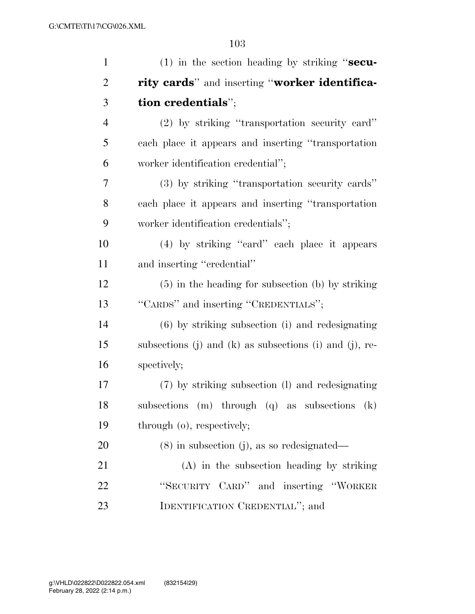| $\mathbf{1}$   | $(1)$ in the section heading by striking "secu-         |
|----------------|---------------------------------------------------------|
| $\overline{2}$ | rity cards" and inserting "worker identifica-           |
| 3              | tion credentials";                                      |
| $\overline{4}$ | $(2)$ by striking "transportation security card"        |
| 5              | each place it appears and inserting "transportation     |
| 6              | worker identification credential";                      |
| 7              | (3) by striking "transportation security cards"         |
| 8              | each place it appears and inserting "transportation"    |
| 9              | worker identification credentials";                     |
| 10             | (4) by striking "eard" each place it appears            |
| 11             | and inserting "credential"                              |
| 12             | $(5)$ in the heading for subsection (b) by striking     |
| 13             | "CARDS" and inserting "CREDENTIALS";                    |
| 14             | $(6)$ by striking subsection (i) and redesignating      |
| 15             | subsections (j) and (k) as subsections (i) and (j), re- |
| 16             | spectively;                                             |
| 17             | (7) by striking subsection (1) and redesignating        |
| 18             | subsections (m) through (q) as subsections (k)          |
| 19             | through (o), respectively;                              |
| 20             | $(8)$ in subsection (j), as so redesignated—            |
| 21             | $(A)$ in the subsection heading by striking             |
| 22             | "SECURITY CARD" and inserting "WORKER                   |
| 23             | IDENTIFICATION CREDENTIAL"; and                         |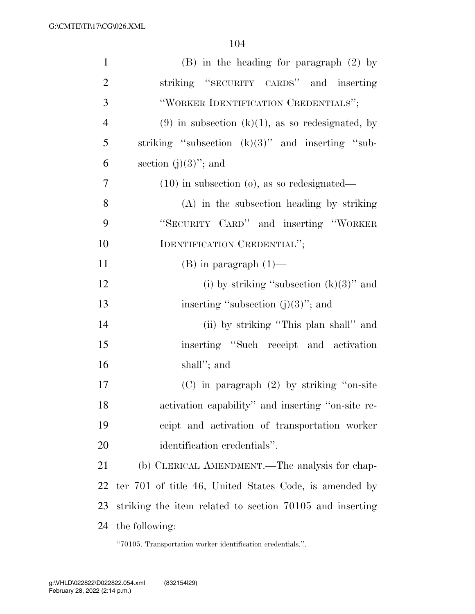| $\mathbf{1}$   | $(B)$ in the heading for paragraph $(2)$ by              |
|----------------|----------------------------------------------------------|
| $\overline{2}$ | striking "SECURITY CARDS" and inserting                  |
| 3              | "WORKER IDENTIFICATION CREDENTIALS";                     |
| $\overline{4}$ | $(9)$ in subsection $(k)(1)$ , as so redesignated, by    |
| 5              | striking "subsection $(k)(3)$ " and inserting "sub-      |
| 6              | section $(j)(3)$ "; and                                  |
| 7              | $(10)$ in subsection $(o)$ , as so redesignated—         |
| 8              | $(A)$ in the subsection heading by striking              |
| 9              | "SECURITY CARD" and inserting "WORKER"                   |
| 10             | IDENTIFICATION CREDENTIAL";                              |
| 11             | $(B)$ in paragraph $(1)$ —                               |
| 12             | (i) by striking "subsection $(k)(3)$ " and               |
| 13             | inserting "subsection $(j)(3)$ "; and                    |
| 14             | (ii) by striking "This plan shall" and                   |
| 15             | inserting "Such receipt and activation                   |
| 16             | shall"; and                                              |
| 17             | $(C)$ in paragraph $(2)$ by striking "on-site"           |
| 18             | activation capability" and inserting "on-site re-        |
| 19             | ceipt and activation of transportation worker            |
| 20             | identification credentials".                             |
| 21             | (b) CLERICAL AMENDMENT.—The analysis for chap-           |
| 22             | ter 701 of title 46, United States Code, is amended by   |
| 23             | striking the item related to section 70105 and inserting |
| 24             | the following:                                           |

''70105. Transportation worker identification credentials.''.